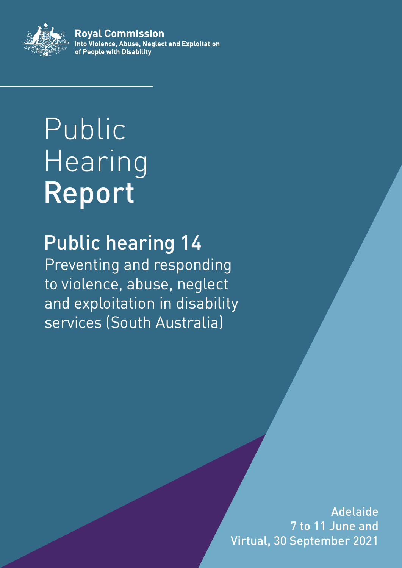

**Roval Commission** into Violence, Abuse, Neglect and Exploitation of People with Disability

# Public Hearing Report

## Public hearing 14

Preventing and responding to violence, abuse, neglect and exploitation in disability services (South Australia)

> i Virtual, 30 September 2021Adelaide 7 to 11 June and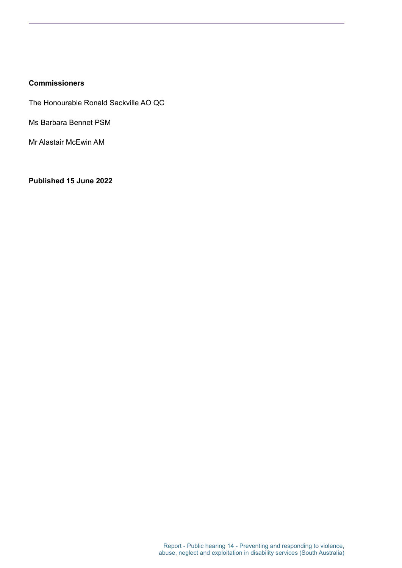#### **Commissioners**

The Honourable Ronald Sackville AO QC

Ms Barbara Bennet PSM

Mr Alastair McEwin AM

**Published 15 June 2022**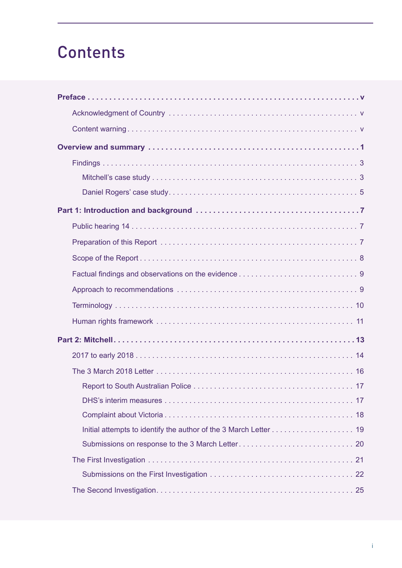## **Contents**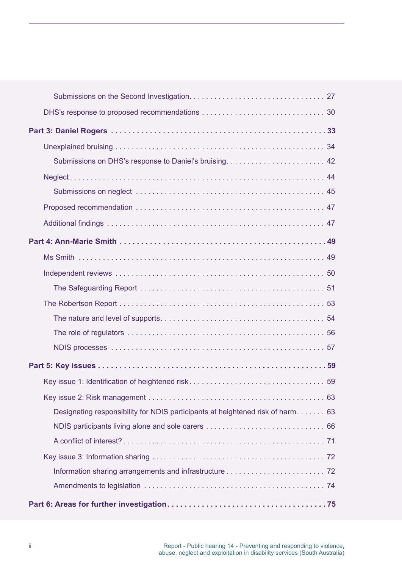| Submissions on DHS's response to Daniel's bruising 42                          |  |
|--------------------------------------------------------------------------------|--|
|                                                                                |  |
|                                                                                |  |
|                                                                                |  |
|                                                                                |  |
|                                                                                |  |
|                                                                                |  |
|                                                                                |  |
|                                                                                |  |
|                                                                                |  |
|                                                                                |  |
|                                                                                |  |
|                                                                                |  |
|                                                                                |  |
|                                                                                |  |
|                                                                                |  |
| Designating responsibility for NDIS participants at heightened risk of harm 63 |  |
|                                                                                |  |
|                                                                                |  |
|                                                                                |  |
|                                                                                |  |
|                                                                                |  |
|                                                                                |  |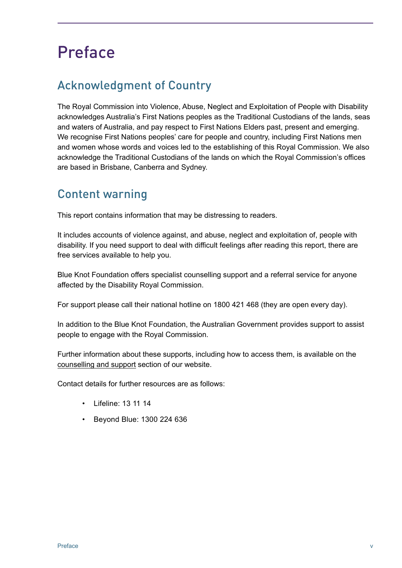## <span id="page-6-0"></span>Preface

### Acknowledgment of Country

The Royal Commission into Violence, Abuse, Neglect and Exploitation of People with Disability acknowledges Australia's First Nations peoples as the Traditional Custodians of the lands, seas and waters of Australia, and pay respect to First Nations Elders past, present and emerging. We recognise First Nations peoples' care for people and country, including First Nations men and women whose words and voices led to the establishing of this Royal Commission. We also acknowledge the Traditional Custodians of the lands on which the Royal Commission's offices are based in Brisbane, Canberra and Sydney.

### Content warning

This report contains information that may be distressing to readers.

It includes accounts of violence against, and abuse, neglect and exploitation of, people with disability. If you need support to deal with difficult feelings after reading this report, there are free services available to help you.

Blue Knot Foundation offers specialist counselling support and a referral service for anyone affected by the Disability Royal Commission.

For support please call their national hotline on 1800 421 468 (they are open every day).

In addition to the Blue Knot Foundation, the Australian Government provides support to assist people to engage with the Royal Commission.

Further information about these supports, including how to access them, is available on the [counselling and support](https://disability.royalcommission.gov.au/counselling-and-support) section of our website.

Contact details for further resources are as follows:

- Lifeline: 13 11 14
- Beyond Blue: 1300 224 636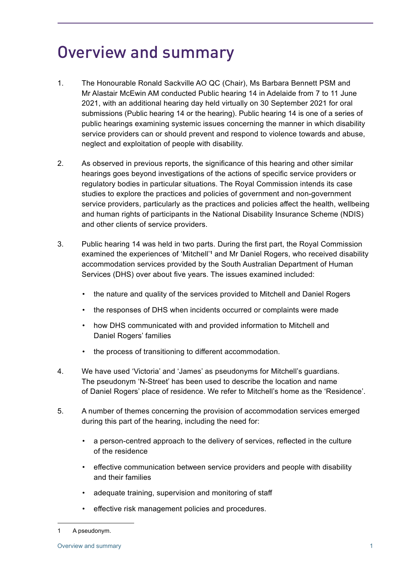## <span id="page-8-0"></span>Overview and summary

- 1. The Honourable Ronald Sackville AO QC (Chair), Ms Barbara Bennett PSM and Mr Alastair McEwin AM conducted Public hearing 14 in Adelaide from 7 to 11 June 2021, with an additional hearing day held virtually on 30 September 2021 for oral submissions (Public hearing 14 or the hearing). Public hearing 14 is one of a series of public hearings examining systemic issues concerning the manner in which disability service providers can or should prevent and respond to violence towards and abuse, neglect and exploitation of people with disability.
- 2. As observed in previous reports, the significance of this hearing and other similar hearings goes beyond investigations of the actions of specific service providers or regulatory bodies in particular situations. The Royal Commission intends its case studies to explore the practices and policies of government and non-government service providers, particularly as the practices and policies affect the health, wellbeing and human rights of participants in the National Disability Insurance Scheme (NDIS) and other clients of service providers.
- 3. Public hearing 14 was held in two parts. During the first part, the Royal Commission examined the experiences of 'Mitchell'**<sup>1</sup>** and Mr Daniel Rogers, who received disability accommodation services provided by the South Australian Department of Human Services (DHS) over about five years. The issues examined included:
	- the nature and quality of the services provided to Mitchell and Daniel Rogers
	- the responses of DHS when incidents occurred or complaints were made
	- how DHS communicated with and provided information to Mitchell and Daniel Rogers' families
	- the process of transitioning to different accommodation.
- 4. We have used 'Victoria' and 'James' as pseudonyms for Mitchell's guardians. The pseudonym 'N-Street' has been used to describe the location and name of Daniel Rogers' place of residence. We refer to Mitchell's home as the 'Residence'.
- 5. A number of themes concerning the provision of accommodation services emerged during this part of the hearing, including the need for:
	- a person-centred approach to the delivery of services, reflected in the culture of the residence
	- effective communication between service providers and people with disability and their families
	- adequate training, supervision and monitoring of staff
	- effective risk management policies and procedures.

<sup>1</sup> A pseudonym.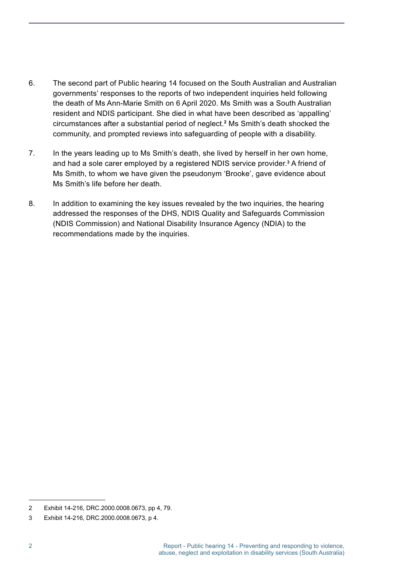- 6. The second part of Public hearing 14 focused on the South Australian and Australian governments' responses to the reports of two independent inquiries held following the death of Ms Ann-Marie Smith on 6 April 2020. Ms Smith was a South Australian resident and NDIS participant. She died in what have been described as 'appalling' circumstances after a substantial period of neglect. **2** Ms Smith's death shocked the community, and prompted reviews into safeguarding of people with a disability.
- 7. In the years leading up to Ms Smith's death, she lived by herself in her own home, and had a sole carer employed by a registered NDIS service provider.<sup>3</sup> A friend of Ms Smith, to whom we have given the pseudonym 'Brooke', gave evidence about Ms Smith's life before her death.
- 8. In addition to examining the key issues revealed by the two inquiries, the hearing addressed the responses of the DHS, NDIS Quality and Safeguards Commission (NDIS Commission) and National Disability Insurance Agency (NDIA) to the recommendations made by the inquiries.

<sup>2</sup> Exhibit 14-216, DRC.2000.0008.0673, pp 4, 79.

<sup>3</sup> Exhibit 14-216, DRC.2000.0008.0673, p 4.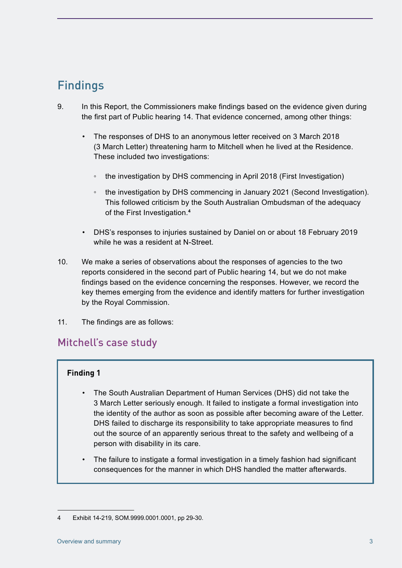### <span id="page-10-0"></span>Findings

- 9. In this Report, the Commissioners make findings based on the evidence given during the first part of Public hearing 14. That evidence concerned, among other things:
	- The responses of DHS to an anonymous letter received on 3 March 2018 (3 March Letter) threatening harm to Mitchell when he lived at the Residence. These included two investigations:
		- the investigation by DHS commencing in April 2018 (First Investigation)
		- the investigation by DHS commencing in January 2021 (Second Investigation). This followed criticism by the South Australian Ombudsman of the adequacy of the First Investigation. **4**
	- DHS's responses to injuries sustained by Daniel on or about 18 February 2019 while he was a resident at N-Street.
- 10. We make a series of observations about the responses of agencies to the two reports considered in the second part of Public hearing 14, but we do not make findings based on the evidence concerning the responses. However, we record the key themes emerging from the evidence and identify matters for further investigation by the Royal Commission.
- 11. The findings are as follows:

#### Mitchell's case study

#### **Finding 1**

- The South Australian Department of Human Services (DHS) did not take the 3 March Letter seriously enough. It failed to instigate a formal investigation into the identity of the author as soon as possible after becoming aware of the Letter. DHS failed to discharge its responsibility to take appropriate measures to find out the source of an apparently serious threat to the safety and wellbeing of a person with disability in its care.
- The failure to instigate a formal investigation in a timely fashion had significant consequences for the manner in which DHS handled the matter afterwards.

<sup>4</sup> Exhibit 14-219, SOM.9999.0001.0001, pp 29-30.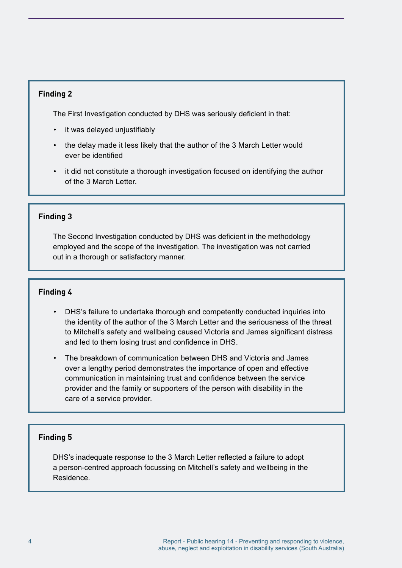#### **Finding 2**

The First Investigation conducted by DHS was seriously deficient in that:

- it was delayed unjustifiably
- the delay made it less likely that the author of the 3 March Letter would ever be identified
- it did not constitute a thorough investigation focused on identifying the author of the 3 March Letter.

#### **Finding 3**

The Second Investigation conducted by DHS was deficient in the methodology employed and the scope of the investigation. The investigation was not carried out in a thorough or satisfactory manner.

#### **Finding 4**

- DHS's failure to undertake thorough and competently conducted inquiries into the identity of the author of the 3 March Letter and the seriousness of the threat to Mitchell's safety and wellbeing caused Victoria and James significant distress and led to them losing trust and confidence in DHS.
- The breakdown of communication between DHS and Victoria and James over a lengthy period demonstrates the importance of open and effective communication in maintaining trust and confidence between the service provider and the family or supporters of the person with disability in the care of a service provider.

#### **Finding 5**

DHS's inadequate response to the 3 March Letter reflected a failure to adopt a person-centred approach focussing on Mitchell's safety and wellbeing in the Residence.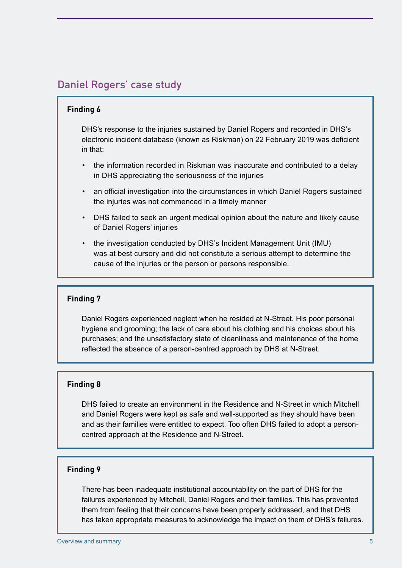#### <span id="page-12-0"></span>Daniel Rogers' case study

#### **Finding 6**

DHS's response to the injuries sustained by Daniel Rogers and recorded in DHS's electronic incident database (known as Riskman) on 22 February 2019 was deficient in that:

- the information recorded in Riskman was inaccurate and contributed to a delay in DHS appreciating the seriousness of the injuries
- an official investigation into the circumstances in which Daniel Rogers sustained the injuries was not commenced in a timely manner
- DHS failed to seek an urgent medical opinion about the nature and likely cause of Daniel Rogers' injuries
- the investigation conducted by DHS's Incident Management Unit (IMU) was at best cursory and did not constitute a serious attempt to determine the cause of the injuries or the person or persons responsible.

#### **Finding 7**

Daniel Rogers experienced neglect when he resided at N-Street. His poor personal hygiene and grooming; the lack of care about his clothing and his choices about his purchases; and the unsatisfactory state of cleanliness and maintenance of the home reflected the absence of a person-centred approach by DHS at N-Street.

#### **Finding 8**

DHS failed to create an environment in the Residence and N-Street in which Mitchell and Daniel Rogers were kept as safe and well-supported as they should have been and as their families were entitled to expect. Too often DHS failed to adopt a personcentred approach at the Residence and N-Street.

#### **Finding 9**

There has been inadequate institutional accountability on the part of DHS for the failures experienced by Mitchell, Daniel Rogers and their families. This has prevented them from feeling that their concerns have been properly addressed, and that DHS has taken appropriate measures to acknowledge the impact on them of DHS's failures.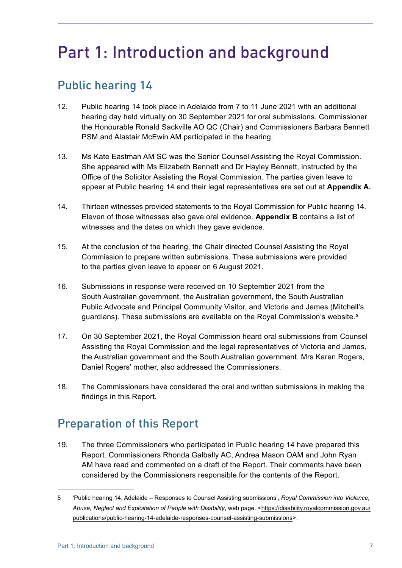## <span id="page-14-0"></span>Part 1: Introduction and background

### Public hearing 14

- 12. Public hearing 14 took place in Adelaide from 7 to 11 June 2021 with an additional hearing day held virtually on 30 September 2021 for oral submissions. Commissioner the Honourable Ronald Sackville AO QC (Chair) and Commissioners Barbara Bennett PSM and Alastair McEwin AM participated in the hearing.
- 13. Ms Kate Eastman AM SC was the Senior Counsel Assisting the Royal Commission. She appeared with Ms Elizabeth Bennett and Dr Hayley Bennett, instructed by the Office of the Solicitor Assisting the Royal Commission. The parties given leave to appear at Public hearing 14 and their legal representatives are set out at **Appendix A.**
- 14. Thirteen witnesses provided statements to the Royal Commission for Public hearing 14. Eleven of those witnesses also gave oral evidence. **Appendix B** contains a list of witnesses and the dates on which they gave evidence.
- 15. At the conclusion of the hearing, the Chair directed Counsel Assisting the Royal Commission to prepare written submissions. These submissions were provided to the parties given leave to appear on 6 August 2021.
- 16. Submissions in response were received on 10 September 2021 from the South Australian government, the Australian government, the South Australian Public Advocate and Principal Community Visitor, and Victoria and James (Mitchell's guardians). These submissions are available on the [Royal Commission's website](https://disability.royalcommission.gov.au/publications/public-hearing-14-adelaide-responses-counsel-assisting-submissions). **5**
- 17. On 30 September 2021, the Royal Commission heard oral submissions from Counsel Assisting the Royal Commission and the legal representatives of Victoria and James, the Australian government and the South Australian government. Mrs Karen Rogers, Daniel Rogers' mother, also addressed the Commissioners.
- 18. The Commissioners have considered the oral and written submissions in making the findings in this Report.

### Preparation of this Report

19. The three Commissioners who participated in Public hearing 14 have prepared this Report. Commissioners Rhonda Galbally AC, Andrea Mason OAM and John Ryan AM have read and commented on a draft of the Report. Their comments have been considered by the Commissioners responsible for the contents of the Report.

<sup>5</sup> 'Public hearing 14, Adelaide – Responses to Counsel Assisting submissions', *Royal Commission into Violence, Abuse, Neglect and Exploitation of People with Disability*, web page. [<https://disability.royalcommission.gov.au/](https://disability.royalcommission.gov.au/publications/public-hearing-14-adelaide-responses-counsel-assisting-submissions) [publications/public-hearing-14-adelaide-responses-counsel-assisting-submissions](https://disability.royalcommission.gov.au/publications/public-hearing-14-adelaide-responses-counsel-assisting-submissions)>.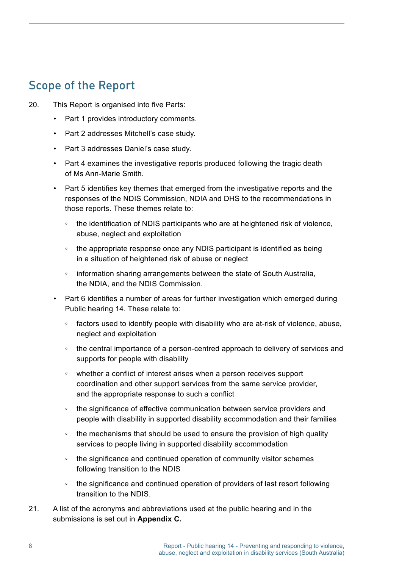### <span id="page-15-0"></span>Scope of the Report

- 20. This Report is organised into five Parts:
	- Part 1 provides introductory comments.
	- Part 2 addresses Mitchell's case study.
	- Part 3 addresses Daniel's case study.
	- Part 4 examines the investigative reports produced following the tragic death of Ms Ann-Marie Smith.
	- Part 5 identifies key themes that emerged from the investigative reports and the responses of the NDIS Commission, NDIA and DHS to the recommendations in those reports. These themes relate to:
		- the identification of NDIS participants who are at heightened risk of violence, abuse, neglect and exploitation
		- the appropriate response once any NDIS participant is identified as being in a situation of heightened risk of abuse or neglect
		- information sharing arrangements between the state of South Australia, the NDIA, and the NDIS Commission.
	- Part 6 identifies a number of areas for further investigation which emerged during Public hearing 14. These relate to:
		- factors used to identify people with disability who are at-risk of violence, abuse, neglect and exploitation
		- the central importance of a person-centred approach to delivery of services and supports for people with disability
		- whether a conflict of interest arises when a person receives support coordination and other support services from the same service provider, and the appropriate response to such a conflict
		- the significance of effective communication between service providers and people with disability in supported disability accommodation and their families
		- the mechanisms that should be used to ensure the provision of high quality services to people living in supported disability accommodation
		- the significance and continued operation of community visitor schemes following transition to the NDIS
		- the significance and continued operation of providers of last resort following transition to the NDIS.
- 21. A list of the acronyms and abbreviations used at the public hearing and in the submissions is set out in **Appendix C.**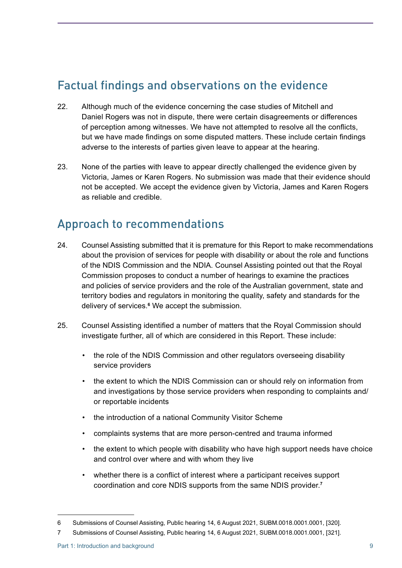### <span id="page-16-0"></span>Factual findings and observations on the evidence

- 22. Although much of the evidence concerning the case studies of Mitchell and Daniel Rogers was not in dispute, there were certain disagreements or differences of perception among witnesses. We have not attempted to resolve all the conflicts, but we have made findings on some disputed matters. These include certain findings adverse to the interests of parties given leave to appear at the hearing.
- 23. None of the parties with leave to appear directly challenged the evidence given by Victoria, James or Karen Rogers. No submission was made that their evidence should not be accepted. We accept the evidence given by Victoria, James and Karen Rogers as reliable and credible.

### Approach to recommendations

- 24. Counsel Assisting submitted that it is premature for this Report to make recommendations about the provision of services for people with disability or about the role and functions of the NDIS Commission and the NDIA. Counsel Assisting pointed out that the Royal Commission proposes to conduct a number of hearings to examine the practices and policies of service providers and the role of the Australian government, state and territory bodies and regulators in monitoring the quality, safety and standards for the delivery of services. **6** We accept the submission.
- 25. Counsel Assisting identified a number of matters that the Royal Commission should investigate further, all of which are considered in this Report. These include:
	- the role of the NDIS Commission and other regulators overseeing disability service providers
	- the extent to which the NDIS Commission can or should rely on information from and investigations by those service providers when responding to complaints and/ or reportable incidents
	- the introduction of a national Community Visitor Scheme
	- complaints systems that are more person-centred and trauma informed
	- the extent to which people with disability who have high support needs have choice and control over where and with whom they live
	- whether there is a conflict of interest where a participant receives support coordination and core NDIS supports from the same NDIS provider. **7**

<sup>6</sup> Submissions of Counsel Assisting, Public hearing 14, 6 August 2021, SUBM.0018.0001.0001, [320].

<sup>7</sup> Submissions of Counsel Assisting, Public hearing 14, 6 August 2021, SUBM.0018.0001.0001, [321].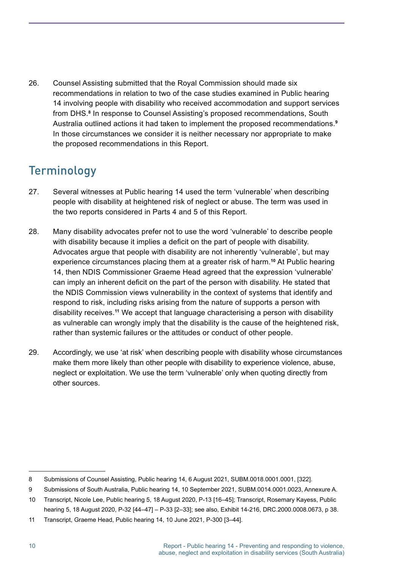<span id="page-17-0"></span>26. Counsel Assisting submitted that the Royal Commission should made six recommendations in relation to two of the case studies examined in Public hearing 14 involving people with disability who received accommodation and support services from DHS. **8** In response to Counsel Assisting's proposed recommendations, South Australia outlined actions it had taken to implement the proposed recommendations. **9** In those circumstances we consider it is neither necessary nor appropriate to make the proposed recommendations in this Report.

### Terminology

- 27. Several witnesses at Public hearing 14 used the term 'vulnerable' when describing people with disability at heightened risk of neglect or abuse. The term was used in the two reports considered in Parts 4 and 5 of this Report.
- 28. Many disability advocates prefer not to use the word 'vulnerable' to describe people with disability because it implies a deficit on the part of people with disability. Advocates argue that people with disability are not inherently 'vulnerable', but may experience circumstances placing them at a greater risk of harm. **<sup>10</sup>** At Public hearing 14, then NDIS Commissioner Graeme Head agreed that the expression 'vulnerable' can imply an inherent deficit on the part of the person with disability. He stated that the NDIS Commission views vulnerability in the context of systems that identify and respond to risk, including risks arising from the nature of supports a person with disability receives. **<sup>11</sup>** We accept that language characterising a person with disability as vulnerable can wrongly imply that the disability is the cause of the heightened risk, rather than systemic failures or the attitudes or conduct of other people.
- 29. Accordingly, we use 'at risk' when describing people with disability whose circumstances make them more likely than other people with disability to experience violence, abuse, neglect or exploitation. We use the term 'vulnerable' only when quoting directly from other sources.

<sup>8</sup> Submissions of Counsel Assisting, Public hearing 14, 6 August 2021, SUBM.0018.0001.0001, [322].

<sup>9</sup> Submissions of South Australia, Public hearing 14, 10 September 2021, SUBM.0014.0001.0023, Annexure A.

<sup>10</sup> Transcript, Nicole Lee, Public hearing 5, 18 August 2020, P-13 [16–45]; Transcript, Rosemary Kayess, Public hearing 5, 18 August 2020, P-32 [44–47] – P-33 [2–33]; see also, Exhibit 14-216, DRC.2000.0008.0673, p 38.

<sup>11</sup> Transcript, Graeme Head, Public hearing 14, 10 June 2021, P-300 [3–44].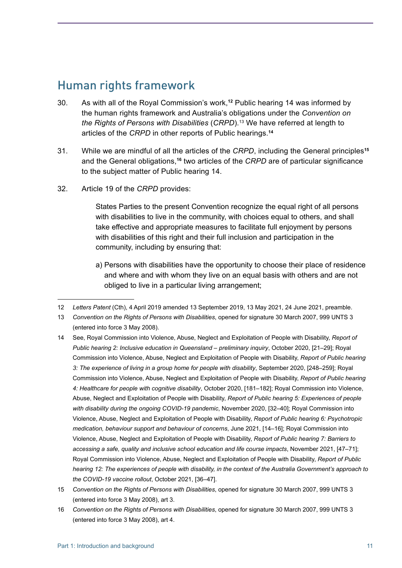### <span id="page-18-0"></span>Human rights framework

- 30. As with all of the Royal Commission's work,**<sup>12</sup>** Public hearing 14 was informed by the human rights framework and Australia's obligations under the *Convention on the Rights of Persons with Disabilities* (*CRPD*). 13 We have referred at length to articles of the *CRPD* in other reports of Public hearings. **14**
- 31. While we are mindful of all the articles of the *CRPD*, including the General principles**<sup>15</sup>** and the General obligations,**<sup>16</sup>** two articles of the *CRPD* are of particular significance to the subject matter of Public hearing 14.
- 32. Article 19 of the *CRPD* provides:

States Parties to the present Convention recognize the equal right of all persons with disabilities to live in the community, with choices equal to others, and shall take effective and appropriate measures to facilitate full enjoyment by persons with disabilities of this right and their full inclusion and participation in the community, including by ensuring that:

a) Persons with disabilities have the opportunity to choose their place of residence and where and with whom they live on an equal basis with others and are not obliged to live in a particular living arrangement;

- 14 See, Royal Commission into Violence, Abuse, Neglect and Exploitation of People with Disability, *Report of Public hearing 2: Inclusive education in Queensland – preliminary inquiry*, October 2020, [21–29]; Royal Commission into Violence, Abuse, Neglect and Exploitation of People with Disability, *Report of Public hearing 3: The experience of living in a group home for people with disability*, September 2020, [248–259]; Royal Commission into Violence, Abuse, Neglect and Exploitation of People with Disability, *Report of Public hearing 4: Healthcare for people with cognitive disability*, October 2020, [181–182]; Royal Commission into Violence, Abuse, Neglect and Exploitation of People with Disability, *Report of Public hearing 5: Experiences of people with disability during the ongoing COVID-19 pandemic*, November 2020, [32–40]; Royal Commission into Violence, Abuse, Neglect and Exploitation of People with Disability, *Report of Public hearing 6: Psychotropic medication, behaviour support and behaviour of concerns*, June 2021, [14–16]; Royal Commission into Violence, Abuse, Neglect and Exploitation of People with Disability, *Report of Public hearing 7: Barriers to accessing a safe, quality and inclusive school education and life course impacts*, November 2021, [47–71]; Royal Commission into Violence, Abuse, Neglect and Exploitation of People with Disability, *Report of Public hearing 12: The experiences of people with disability, in the context of the Australia Government's approach to the COVID-19 vaccine rollout*, October 2021, [36–47].
- 15 *Convention on the Rights of Persons with Disabilities*, opened for signature 30 March 2007, 999 UNTS 3 (entered into force 3 May 2008), art 3.
- 16 *Convention on the Rights of Persons with Disabilities*, opened for signature 30 March 2007, 999 UNTS 3 (entered into force 3 May 2008), art 4.

<sup>12</sup> *Letters Patent* (Cth), 4 April 2019 amended 13 September 2019, 13 May 2021, 24 June 2021, preamble.

<sup>13</sup> *Convention on the Rights of Persons with Disabilities*, opened for signature 30 March 2007, 999 UNTS 3 (entered into force 3 May 2008).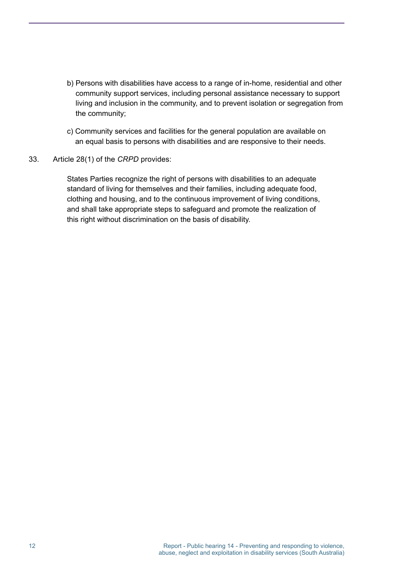- b) Persons with disabilities have access to a range of in-home, residential and other community support services, including personal assistance necessary to support living and inclusion in the community, and to prevent isolation or segregation from the community;
- c) Community services and facilities for the general population are available on an equal basis to persons with disabilities and are responsive to their needs.
- 33. Article 28(1) of the *CRPD* provides:

States Parties recognize the right of persons with disabilities to an adequate standard of living for themselves and their families, including adequate food, clothing and housing, and to the continuous improvement of living conditions, and shall take appropriate steps to safeguard and promote the realization of this right without discrimination on the basis of disability.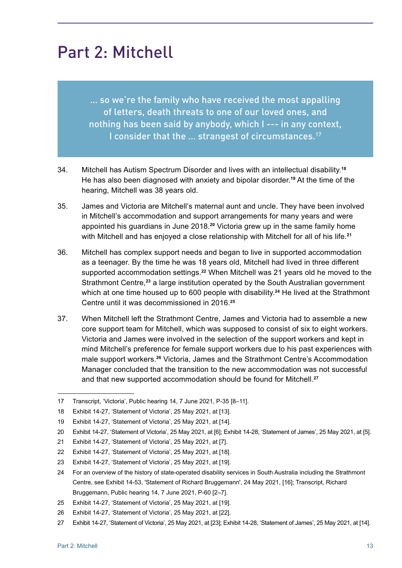## <span id="page-20-0"></span>Part 2: Mitchell

… so we're the family who have received the most appalling of letters, death threats to one of our loved ones, and nothing has been said by anybody, which I --- in any context, I consider that the ... strangest of circumstances.<sup>17</sup>

- 34. Mitchell has Autism Spectrum Disorder and lives with an intellectual disability. **18** He has also been diagnosed with anxiety and bipolar disorder. **<sup>19</sup>** At the time of the hearing, Mitchell was 38 years old.
- 35. James and Victoria are Mitchell's maternal aunt and uncle. They have been involved in Mitchell's accommodation and support arrangements for many years and were appointed his guardians in June 2018. **<sup>20</sup>** Victoria grew up in the same family home with Mitchell and has enjoyed a close relationship with Mitchell for all of his life. **21**
- 36. Mitchell has complex support needs and began to live in supported accommodation as a teenager. By the time he was 18 years old, Mitchell had lived in three different supported accommodation settings. **<sup>22</sup>** When Mitchell was 21 years old he moved to the Strathmont Centre,**<sup>23</sup>** a large institution operated by the South Australian government which at one time housed up to 600 people with disability. **<sup>24</sup>** He lived at the Strathmont Centre until it was decommissioned in 2016. **25**
- 37. When Mitchell left the Strathmont Centre, James and Victoria had to assemble a new core support team for Mitchell, which was supposed to consist of six to eight workers. Victoria and James were involved in the selection of the support workers and kept in mind Mitchell's preference for female support workers due to his past experiences with male support workers. **<sup>26</sup>** Victoria, James and the Strathmont Centre's Accommodation Manager concluded that the transition to the new accommodation was not successful and that new supported accommodation should be found for Mitchell. **27**

<sup>17</sup> Transcript, 'Victoria', Public hearing 14, 7 June 2021, P-35 [8–11].

<sup>18</sup> Exhibit 14-27, 'Statement of Victoria', 25 May 2021, at [13].

<sup>19</sup> Exhibit 14-27, 'Statement of Victoria', 25 May 2021, at [14].

<sup>20</sup> Exhibit 14-27, 'Statement of Victoria', 25 May 2021, at [6]; Exhibit 14-28, 'Statement of James', 25 May 2021, at [5].

<sup>21</sup> Exhibit 14-27, 'Statement of Victoria', 25 May 2021, at [7].

<sup>22</sup> Exhibit 14-27, 'Statement of Victoria', 25 May 2021, at [18].

<sup>23</sup> Exhibit 14-27, 'Statement of Victoria', 25 May 2021, at [19].

<sup>24</sup> For an overview of the history of state-operated disability services in South Australia including the Strathmont Centre, see Exhibit 14-53, 'Statement of Richard Bruggemann', 24 May 2021, [16]; Transcript, Richard Bruggemann, Public hearing 14, 7 June 2021, P-60 [2–7].

<sup>25</sup> Exhibit 14-27, 'Statement of Victoria', 25 May 2021, at [19].

<sup>26</sup> Exhibit 14-27, 'Statement of Victoria', 25 May 2021, at [22].

<sup>27</sup> Exhibit 14-27, 'Statement of Victoria', 25 May 2021, at [23]; Exhibit 14-28, 'Statement of James', 25 May 2021, at [14].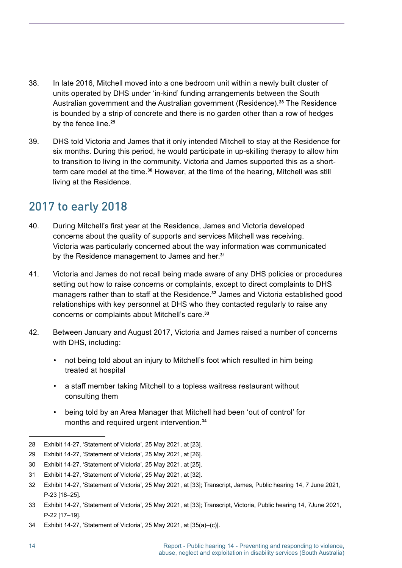- <span id="page-21-0"></span>38. In late 2016, Mitchell moved into a one bedroom unit within a newly built cluster of units operated by DHS under 'in-kind' funding arrangements between the South Australian government and the Australian government (Residence). **<sup>28</sup>** The Residence is bounded by a strip of concrete and there is no garden other than a row of hedges by the fence line. **29**
- 39. DHS told Victoria and James that it only intended Mitchell to stay at the Residence for six months. During this period, he would participate in up-skilling therapy to allow him to transition to living in the community. Victoria and James supported this as a shortterm care model at the time.<sup>30</sup> However, at the time of the hearing, Mitchell was still living at the Residence.

### 2017 to early 2018

- 40. During Mitchell's first year at the Residence, James and Victoria developed concerns about the quality of supports and services Mitchell was receiving. Victoria was particularly concerned about the way information was communicated by the Residence management to James and her. **31**
- 41. Victoria and James do not recall being made aware of any DHS policies or procedures setting out how to raise concerns or complaints, except to direct complaints to DHS managers rather than to staff at the Residence.**<sup>32</sup>** James and Victoria established good relationships with key personnel at DHS who they contacted regularly to raise any concerns or complaints about Mitchell's care. **33**
- 42. Between January and August 2017, Victoria and James raised a number of concerns with DHS, including:
	- not being told about an injury to Mitchell's foot which resulted in him being treated at hospital
	- a staff member taking Mitchell to a topless waitress restaurant without consulting them
	- being told by an Area Manager that Mitchell had been 'out of control' for months and required urgent intervention. **34**

<sup>28</sup> Exhibit 14-27, 'Statement of Victoria', 25 May 2021, at [23].

<sup>29</sup> Exhibit 14-27, 'Statement of Victoria', 25 May 2021, at [26].

<sup>30</sup> Exhibit 14-27, 'Statement of Victoria', 25 May 2021, at [25].

<sup>31</sup> Exhibit 14-27, 'Statement of Victoria', 25 May 2021, at [32].

<sup>32</sup> Exhibit 14-27, 'Statement of Victoria', 25 May 2021, at [33]; Transcript, James, Public hearing 14, 7 June 2021, P-23 [18–25].

<sup>33</sup> Exhibit 14-27, 'Statement of Victoria', 25 May 2021, at [33]; Transcript, Victoria, Public hearing 14, 7June 2021, P-22 [17–19].

<sup>34</sup> Exhibit 14-27, 'Statement of Victoria', 25 May 2021, at [35(a)–(c)].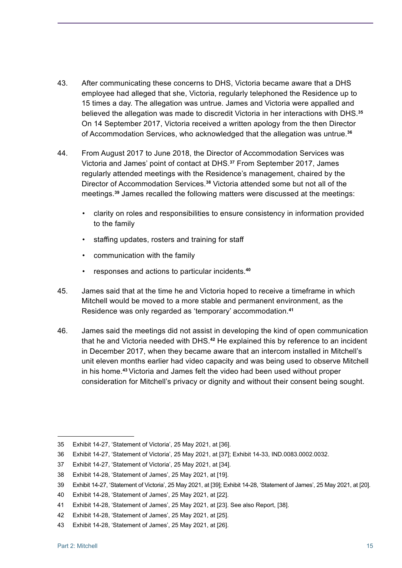- 43. After communicating these concerns to DHS, Victoria became aware that a DHS employee had alleged that she, Victoria, regularly telephoned the Residence up to 15 times a day. The allegation was untrue. James and Victoria were appalled and believed the allegation was made to discredit Victoria in her interactions with DHS. **35** On 14 September 2017, Victoria received a written apology from the then Director of Accommodation Services, who acknowledged that the allegation was untrue. **36**
- 44. From August 2017 to June 2018, the Director of Accommodation Services was Victoria and James' point of contact at DHS. **<sup>37</sup>** From September 2017, James regularly attended meetings with the Residence's management, chaired by the Director of Accommodation Services. **<sup>38</sup>** Victoria attended some but not all of the meetings. **<sup>39</sup>** James recalled the following matters were discussed at the meetings:
	- clarity on roles and responsibilities to ensure consistency in information provided to the family
	- staffing updates, rosters and training for staff
	- communication with the family
	- responses and actions to particular incidents. **40**
- 45. James said that at the time he and Victoria hoped to receive a timeframe in which Mitchell would be moved to a more stable and permanent environment, as the Residence was only regarded as 'temporary' accommodation. **41**
- 46. James said the meetings did not assist in developing the kind of open communication that he and Victoria needed with DHS. **<sup>42</sup>** He explained this by reference to an incident in December 2017, when they became aware that an intercom installed in Mitchell's unit eleven months earlier had video capacity and was being used to observe Mitchell in his home. **<sup>43</sup>** Victoria and James felt the video had been used without proper consideration for Mitchell's privacy or dignity and without their consent being sought.

<sup>35</sup> Exhibit 14-27, 'Statement of Victoria', 25 May 2021, at [36].

<sup>36</sup> Exhibit 14-27, 'Statement of Victoria', 25 May 2021, at [37]; Exhibit 14-33, IND.0083.0002.0032.

<sup>37</sup> Exhibit 14-27, 'Statement of Victoria', 25 May 2021, at [34].

<sup>38</sup> Exhibit 14-28, 'Statement of James', 25 May 2021, at [19].

<sup>39</sup> Exhibit 14-27, 'Statement of Victoria', 25 May 2021, at [39]; Exhibit 14-28, 'Statement of James', 25 May 2021, at [20].

<sup>40</sup> Exhibit 14-28, 'Statement of James', 25 May 2021, at [22].

<sup>41</sup> Exhibit 14-28, 'Statement of James', 25 May 2021, at [23]. See also Report, [38].

<sup>42</sup> Exhibit 14-28, 'Statement of James', 25 May 2021, at [25].

<sup>43</sup> Exhibit 14-28, 'Statement of James', 25 May 2021, at [26].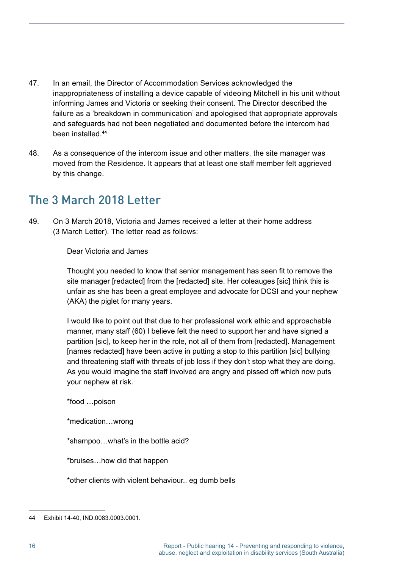- <span id="page-23-0"></span>47. In an email, the Director of Accommodation Services acknowledged the inappropriateness of installing a device capable of videoing Mitchell in his unit without informing James and Victoria or seeking their consent. The Director described the failure as a 'breakdown in communication' and apologised that appropriate approvals and safeguards had not been negotiated and documented before the intercom had been installed. **44**
- 48. As a consequence of the intercom issue and other matters, the site manager was moved from the Residence. It appears that at least one staff member felt aggrieved by this change.

### The 3 March 2018 Letter

49. On 3 March 2018, Victoria and James received a letter at their home address (3 March Letter). The letter read as follows:

Dear Victoria and James

Thought you needed to know that senior management has seen fit to remove the site manager [redacted] from the [redacted] site. Her coleauges [sic] think this is unfair as she has been a great employee and advocate for DCSI and your nephew (AKA) the piglet for many years.

I would like to point out that due to her professional work ethic and approachable manner, many staff (60) I believe felt the need to support her and have signed a partition [sic], to keep her in the role, not all of them from [redacted]. Management [names redacted] have been active in putting a stop to this partition [sic] bullying and threatening staff with threats of job loss if they don't stop what they are doing. As you would imagine the staff involved are angry and pissed off which now puts your nephew at risk.

\*food …poison

\*medication…wrong

\*shampoo…what's in the bottle acid?

\*bruises…how did that happen

\*other clients with violent behaviour.. eg dumb bells

<sup>44</sup> Exhibit 14-40, IND.0083.0003.0001.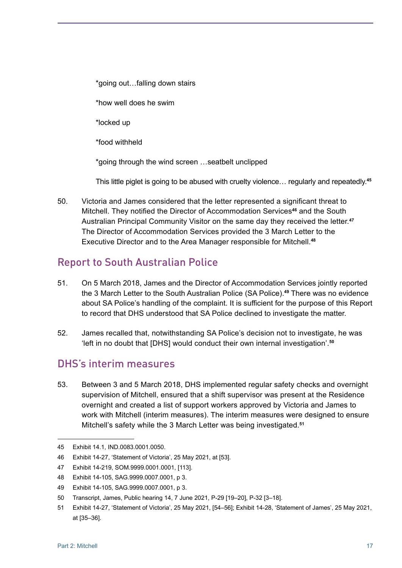<span id="page-24-0"></span>\*going out…falling down stairs \*how well does he swim \*locked up \*food withheld \*going through the wind screen …seatbelt unclipped

This little piglet is going to be abused with cruelty violence… regularly and repeatedly. **45**

50. Victoria and James considered that the letter represented a significant threat to Mitchell. They notified the Director of Accommodation Services**<sup>46</sup>** and the South Australian Principal Community Visitor on the same day they received the letter. **47** The Director of Accommodation Services provided the 3 March Letter to the Executive Director and to the Area Manager responsible for Mitchell. **48**

#### Report to South Australian Police

- 51. On 5 March 2018, James and the Director of Accommodation Services jointly reported the 3 March Letter to the South Australian Police (SA Police). **<sup>49</sup>** There was no evidence about SA Police's handling of the complaint. It is sufficient for the purpose of this Report to record that DHS understood that SA Police declined to investigate the matter.
- 52. James recalled that, notwithstanding SA Police's decision not to investigate, he was 'left in no doubt that [DHS] would conduct their own internal investigation'. **50**

#### DHS's interim measures

53. Between 3 and 5 March 2018, DHS implemented regular safety checks and overnight supervision of Mitchell, ensured that a shift supervisor was present at the Residence overnight and created a list of support workers approved by Victoria and James to work with Mitchell (interim measures). The interim measures were designed to ensure Mitchell's safety while the 3 March Letter was being investigated. **51**

<sup>45</sup> Exhibit 14.1, IND.0083.0001.0050.

<sup>46</sup> Exhibit 14-27, 'Statement of Victoria', 25 May 2021, at [53].

<sup>47</sup> Exhibit 14-219, SOM.9999.0001.0001, [113].

<sup>48</sup> Exhibit 14-105, SAG.9999.0007.0001, p 3.

<sup>49</sup> Exhibit 14-105, SAG.9999.0007.0001, p 3.

<sup>50</sup> Transcript, James, Public hearing 14, 7 June 2021, P-29 [19–20], P-32 [3–18].

<sup>51</sup> Exhibit 14-27, 'Statement of Victoria', 25 May 2021, [54–56]; Exhibit 14-28, 'Statement of James', 25 May 2021, at [35–36].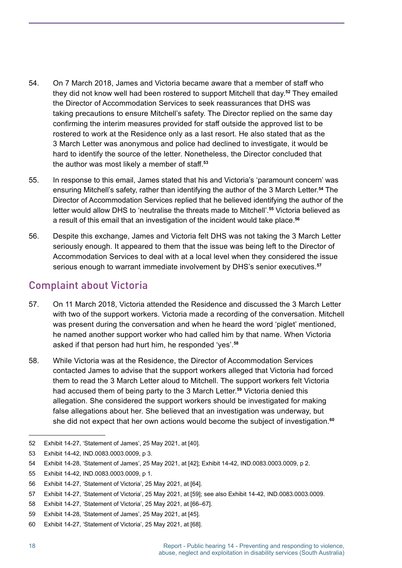- <span id="page-25-0"></span>54. On 7 March 2018, James and Victoria became aware that a member of staff who they did not know well had been rostered to support Mitchell that day. **<sup>52</sup>** They emailed the Director of Accommodation Services to seek reassurances that DHS was taking precautions to ensure Mitchell's safety. The Director replied on the same day confirming the interim measures provided for staff outside the approved list to be rostered to work at the Residence only as a last resort. He also stated that as the 3 March Letter was anonymous and police had declined to investigate, it would be hard to identify the source of the letter. Nonetheless, the Director concluded that the author was most likely a member of staff.**<sup>53</sup>**
- 55. In response to this email, James stated that his and Victoria's 'paramount concern' was ensuring Mitchell's safety, rather than identifying the author of the 3 March Letter. **<sup>54</sup>** The Director of Accommodation Services replied that he believed identifying the author of the letter would allow DHS to 'neutralise the threats made to Mitchell'. **<sup>55</sup>** Victoria believed as a result of this email that an investigation of the incident would take place. **56**
- 56. Despite this exchange, James and Victoria felt DHS was not taking the 3 March Letter seriously enough. It appeared to them that the issue was being left to the Director of Accommodation Services to deal with at a local level when they considered the issue serious enough to warrant immediate involvement by DHS's senior executives. **57**

#### Complaint about Victoria

- 57. On 11 March 2018, Victoria attended the Residence and discussed the 3 March Letter with two of the support workers. Victoria made a recording of the conversation. Mitchell was present during the conversation and when he heard the word 'piglet' mentioned, he named another support worker who had called him by that name. When Victoria asked if that person had hurt him, he responded 'yes'. **58**
- 58. While Victoria was at the Residence, the Director of Accommodation Services contacted James to advise that the support workers alleged that Victoria had forced them to read the 3 March Letter aloud to Mitchell. The support workers felt Victoria had accused them of being party to the 3 March Letter. **<sup>59</sup>** Victoria denied this allegation. She considered the support workers should be investigated for making false allegations about her. She believed that an investigation was underway, but she did not expect that her own actions would become the subject of investigation. **60**

<sup>52</sup> Exhibit 14-27, 'Statement of James', 25 May 2021, at [40].

<sup>53</sup> Exhibit 14-42, IND.0083.0003.0009, p 3.

<sup>54</sup> Exhibit 14-28, 'Statement of James', 25 May 2021, at [42]; Exhibit 14-42, IND.0083.0003.0009, p 2.

<sup>55</sup> Exhibit 14-42, IND.0083.0003.0009, p 1.

<sup>56</sup> Exhibit 14-27, 'Statement of Victoria', 25 May 2021, at [64].

<sup>57</sup> Exhibit 14-27, 'Statement of Victoria', 25 May 2021, at [59]; see also Exhibit 14-42, IND.0083.0003.0009.

<sup>58</sup> Exhibit 14-27, 'Statement of Victoria', 25 May 2021, at [66–67].

<sup>59</sup> Exhibit 14-28, 'Statement of James', 25 May 2021, at [45].

<sup>60</sup> Exhibit 14-27, 'Statement of Victoria', 25 May 2021, at [68].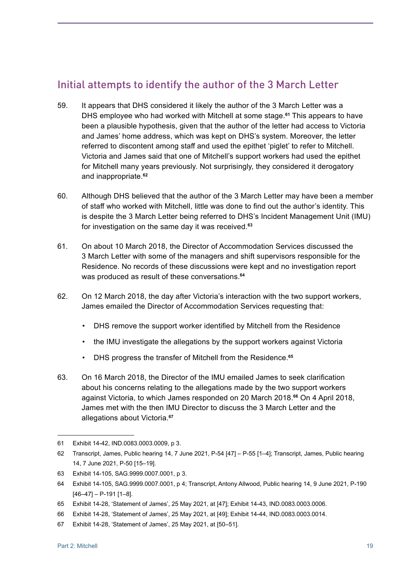### <span id="page-26-0"></span>Initial attempts to identify the author of the 3 March Letter

- 59. It appears that DHS considered it likely the author of the 3 March Letter was a DHS employee who had worked with Mitchell at some stage. **<sup>61</sup>** This appears to have been a plausible hypothesis, given that the author of the letter had access to Victoria and James' home address, which was kept on DHS's system. Moreover, the letter referred to discontent among staff and used the epithet 'piglet' to refer to Mitchell. Victoria and James said that one of Mitchell's support workers had used the epithet for Mitchell many years previously. Not surprisingly, they considered it derogatory and inappropriate. **62**
- 60. Although DHS believed that the author of the 3 March Letter may have been a member of staff who worked with Mitchell, little was done to find out the author's identity. This is despite the 3 March Letter being referred to DHS's Incident Management Unit (IMU) for investigation on the same day it was received. **63**
- 61. On about 10 March 2018, the Director of Accommodation Services discussed the 3 March Letter with some of the managers and shift supervisors responsible for the Residence. No records of these discussions were kept and no investigation report was produced as result of these conversations. **64**
- 62. On 12 March 2018, the day after Victoria's interaction with the two support workers, James emailed the Director of Accommodation Services requesting that:
	- DHS remove the support worker identified by Mitchell from the Residence
	- the IMU investigate the allegations by the support workers against Victoria
	- DHS progress the transfer of Mitchell from the Residence. **65**
- 63. On 16 March 2018, the Director of the IMU emailed James to seek clarification about his concerns relating to the allegations made by the two support workers against Victoria, to which James responded on 20 March 2018. **<sup>66</sup>** On 4 April 2018, James met with the then IMU Director to discuss the 3 March Letter and the allegations about Victoria. **67**

<sup>61</sup> Exhibit 14-42, IND.0083.0003.0009, p 3.

<sup>62</sup> Transcript, James, Public hearing 14, 7 June 2021, P-54 [47] – P-55 [1–4]; Transcript, James, Public hearing 14, 7 June 2021, P-50 [15–19].

<sup>63</sup> Exhibit 14-105, SAG.9999.0007.0001, p 3.

<sup>64</sup> Exhibit 14-105, SAG.9999.0007.0001, p 4; Transcript, Antony Allwood, Public hearing 14, 9 June 2021, P-190  $[46-47] - P-191$   $[1-8]$ .

<sup>65</sup> Exhibit 14-28, 'Statement of James', 25 May 2021, at [47]; Exhibit 14-43, IND.0083.0003.0006.

<sup>66</sup> Exhibit 14-28, 'Statement of James', 25 May 2021, at [49]; Exhibit 14-44, IND.0083.0003.0014.

<sup>67</sup> Exhibit 14-28, 'Statement of James', 25 May 2021, at [50–51].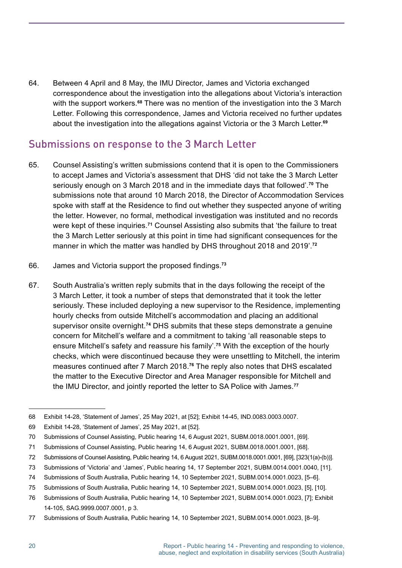<span id="page-27-0"></span>64. Between 4 April and 8 May, the IMU Director, James and Victoria exchanged correspondence about the investigation into the allegations about Victoria's interaction with the support workers. **<sup>68</sup>** There was no mention of the investigation into the 3 March Letter. Following this correspondence, James and Victoria received no further updates about the investigation into the allegations against Victoria or the 3 March Letter. **69**

#### Submissions on response to the 3 March Letter

- 65. Counsel Assisting's written submissions contend that it is open to the Commissioners to accept James and Victoria's assessment that DHS 'did not take the 3 March Letter seriously enough on 3 March 2018 and in the immediate days that followed'. **<sup>70</sup>** The submissions note that around 10 March 2018, the Director of Accommodation Services spoke with staff at the Residence to find out whether they suspected anyone of writing the letter. However, no formal, methodical investigation was instituted and no records were kept of these inquiries. **<sup>71</sup>** Counsel Assisting also submits that 'the failure to treat the 3 March Letter seriously at this point in time had significant consequences for the manner in which the matter was handled by DHS throughout 2018 and 2019'. **72**
- 66. James and Victoria support the proposed findings.**<sup>73</sup>**
- 67. South Australia's written reply submits that in the days following the receipt of the 3 March Letter, it took a number of steps that demonstrated that it took the letter seriously. These included deploying a new supervisor to the Residence, implementing hourly checks from outside Mitchell's accommodation and placing an additional supervisor onsite overnight. **<sup>74</sup>** DHS submits that these steps demonstrate a genuine concern for Mitchell's welfare and a commitment to taking 'all reasonable steps to ensure Mitchell's safety and reassure his family'. **<sup>75</sup>** With the exception of the hourly checks, which were discontinued because they were unsettling to Mitchell, the interim measures continued after 7 March 2018. **<sup>76</sup>** The reply also notes that DHS escalated the matter to the Executive Director and Area Manager responsible for Mitchell and the IMU Director, and jointly reported the letter to SA Police with James. **77**

<sup>68</sup> Exhibit 14-28, 'Statement of James', 25 May 2021, at [52]; Exhibit 14-45, IND.0083.0003.0007.

<sup>69</sup> Exhibit 14-28, 'Statement of James', 25 May 2021, at [52].

<sup>70</sup> Submissions of Counsel Assisting, Public hearing 14, 6 August 2021, SUBM.0018.0001.0001, [69].

<sup>71</sup> Submissions of Counsel Assisting, Public hearing 14, 6 August 2021, SUBM.0018.0001.0001, [68].

<sup>72</sup> Submissions of Counsel Assisting, Public hearing 14, 6 August 2021, SUBM.0018.0001.0001, [69], [323(1(a)-(b))].

<sup>73</sup> Submissions of 'Victoria' and 'James', Public hearing 14, 17 September 2021, SUBM.0014.0001.0040, [11].

<sup>74</sup> Submissions of South Australia, Public hearing 14, 10 September 2021, SUBM.0014.0001.0023, [5–6].

<sup>75</sup> Submissions of South Australia, Public hearing 14, 10 September 2021, SUBM.0014.0001.0023, [5], [10].

<sup>76</sup> Submissions of South Australia, Public hearing 14, 10 September 2021, SUBM.0014.0001.0023, [7]; Exhibit 14-105, SAG.9999.0007.0001, p 3.

<sup>77</sup> Submissions of South Australia, Public hearing 14, 10 September 2021, SUBM.0014.0001.0023, [8–9].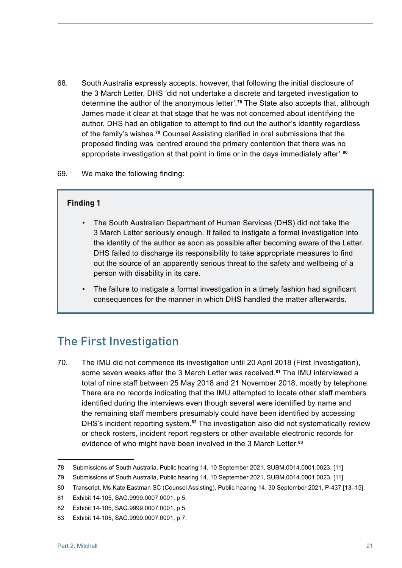- <span id="page-28-0"></span>68. South Australia expressly accepts, however, that following the initial disclosure of the 3 March Letter, DHS 'did not undertake a discrete and targeted investigation to determine the author of the anonymous letter'. **<sup>78</sup>** The State also accepts that, although James made it clear at that stage that he was not concerned about identifying the author, DHS had an obligation to attempt to find out the author's identity regardless of the family's wishes. **<sup>79</sup>** Counsel Assisting clarified in oral submissions that the proposed finding was 'centred around the primary contention that there was no appropriate investigation at that point in time or in the days immediately after'. **80**
- 69. We make the following finding:

#### **Finding 1**

- The South Australian Department of Human Services (DHS) did not take the 3 March Letter seriously enough. It failed to instigate a formal investigation into the identity of the author as soon as possible after becoming aware of the Letter. DHS failed to discharge its responsibility to take appropriate measures to find out the source of an apparently serious threat to the safety and wellbeing of a person with disability in its care.
- The failure to instigate a formal investigation in a timely fashion had significant consequences for the manner in which DHS handled the matter afterwards.

#### The First Investigation

70. The IMU did not commence its investigation until 20 April 2018 (First Investigation), some seven weeks after the 3 March Letter was received. **<sup>81</sup>** The IMU interviewed a total of nine staff between 25 May 2018 and 21 November 2018, mostly by telephone. There are no records indicating that the IMU attempted to locate other staff members identified during the interviews even though several were identified by name and the remaining staff members presumably could have been identified by accessing DHS's incident reporting system. **<sup>82</sup>** The investigation also did not systematically review or check rosters, incident report registers or other available electronic records for evidence of who might have been involved in the 3 March Letter. **83**

<sup>78</sup> Submissions of South Australia, Public hearing 14, 10 September 2021, SUBM.0014.0001.0023, [11].

<sup>79</sup> Submissions of South Australia, Public hearing 14, 10 September 2021, SUBM.0014.0001.0023, [11].

<sup>80</sup> Transcript, Ms Kate Eastman SC (Counsel Assisting), Public hearing 14, 30 September 2021, P-437 [13–15].

<sup>81</sup> Exhibit 14-105, SAG.9999.0007.0001, p 5.

<sup>82</sup> Exhibit 14-105, SAG.9999.0007.0001, p 5.

<sup>83</sup> Exhibit 14-105, SAG.9999.0007.0001, p 7.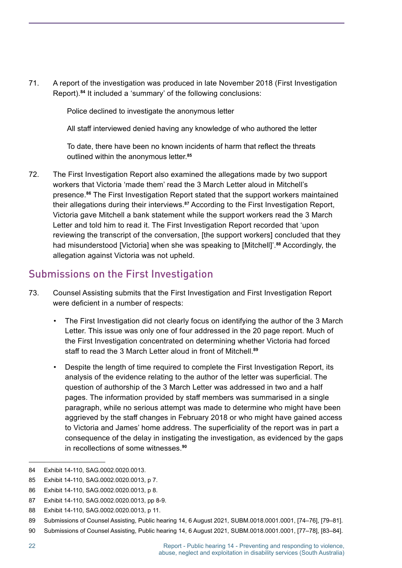<span id="page-29-0"></span>71. A report of the investigation was produced in late November 2018 (First Investigation Report). **<sup>84</sup>** It included a 'summary' of the following conclusions:

Police declined to investigate the anonymous letter

All staff interviewed denied having any knowledge of who authored the letter

To date, there have been no known incidents of harm that reflect the threats outlined within the anonymous letter. **85**

72. The First Investigation Report also examined the allegations made by two support workers that Victoria 'made them' read the 3 March Letter aloud in Mitchell's presence. **<sup>86</sup>** The First Investigation Report stated that the support workers maintained their allegations during their interviews. **<sup>87</sup>** According to the First Investigation Report, Victoria gave Mitchell a bank statement while the support workers read the 3 March Letter and told him to read it. The First Investigation Report recorded that 'upon reviewing the transcript of the conversation, [the support workers] concluded that they had misunderstood [Victoria] when she was speaking to [Mitchell]'. **<sup>88</sup>** Accordingly, the allegation against Victoria was not upheld.

#### Submissions on the First Investigation

- 73. Counsel Assisting submits that the First Investigation and First Investigation Report were deficient in a number of respects:
	- The First Investigation did not clearly focus on identifying the author of the 3 March Letter. This issue was only one of four addressed in the 20 page report. Much of the First Investigation concentrated on determining whether Victoria had forced staff to read the 3 March Letter aloud in front of Mitchell.**<sup>89</sup>**
	- Despite the length of time required to complete the First Investigation Report, its analysis of the evidence relating to the author of the letter was superficial. The question of authorship of the 3 March Letter was addressed in two and a half pages. The information provided by staff members was summarised in a single paragraph, while no serious attempt was made to determine who might have been aggrieved by the staff changes in February 2018 or who might have gained access to Victoria and James' home address. The superficiality of the report was in part a consequence of the delay in instigating the investigation, as evidenced by the gaps in recollections of some witnesses. **90**

<sup>84</sup> Exhibit 14-110, SAG.0002.0020.0013.

<sup>85</sup> Exhibit 14-110, SAG.0002.0020.0013, p 7.

<sup>86</sup> Exhibit 14-110, SAG.0002.0020.0013, p 8.

<sup>87</sup> Exhibit 14-110, SAG.0002.0020.0013, pp 8-9.

<sup>88</sup> Exhibit 14-110, SAG.0002.0020.0013, p 11.

<sup>89</sup> Submissions of Counsel Assisting, Public hearing 14, 6 August 2021, SUBM.0018.0001.0001, [74–76], [79–81].

<sup>90</sup> Submissions of Counsel Assisting, Public hearing 14, 6 August 2021, SUBM.0018.0001.0001, [77–78], [83–84].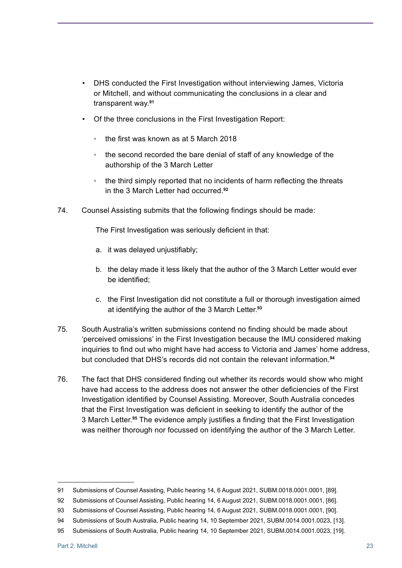- DHS conducted the First Investigation without interviewing James, Victoria or Mitchell, and without communicating the conclusions in a clear and transparent way. **91**
- Of the three conclusions in the First Investigation Report:
	- the first was known as at 5 March 2018
	- the second recorded the bare denial of staff of any knowledge of the authorship of the 3 March Letter
	- the third simply reported that no incidents of harm reflecting the threats in the 3 March Letter had occurred. **92**
- 74. Counsel Assisting submits that the following findings should be made:

The First Investigation was seriously deficient in that:

- a. it was delayed unjustifiably;
- b. the delay made it less likely that the author of the 3 March Letter would ever be identified;
- c. the First Investigation did not constitute a full or thorough investigation aimed at identifying the author of the 3 March Letter. **93**
- 75. South Australia's written submissions contend no finding should be made about 'perceived omissions' in the First Investigation because the IMU considered making inquiries to find out who might have had access to Victoria and James' home address, but concluded that DHS's records did not contain the relevant information. **94**
- 76. The fact that DHS considered finding out whether its records would show who might have had access to the address does not answer the other deficiencies of the First Investigation identified by Counsel Assisting. Moreover, South Australia concedes that the First Investigation was deficient in seeking to identify the author of the 3 March Letter. **<sup>95</sup>** The evidence amply justifies a finding that the First Investigation was neither thorough nor focussed on identifying the author of the 3 March Letter.

<sup>91</sup> Submissions of Counsel Assisting, Public hearing 14, 6 August 2021, SUBM.0018.0001.0001, [89].

<sup>92</sup> Submissions of Counsel Assisting, Public hearing 14, 6 August 2021, SUBM.0018.0001.0001, [86].

<sup>93</sup> Submissions of Counsel Assisting, Public hearing 14, 6 August 2021, SUBM.0018.0001.0001, [90].

<sup>94</sup> Submissions of South Australia, Public hearing 14, 10 September 2021, SUBM.0014.0001.0023, [13].

<sup>95</sup> Submissions of South Australia, Public hearing 14, 10 September 2021, SUBM.0014.0001.0023, [19].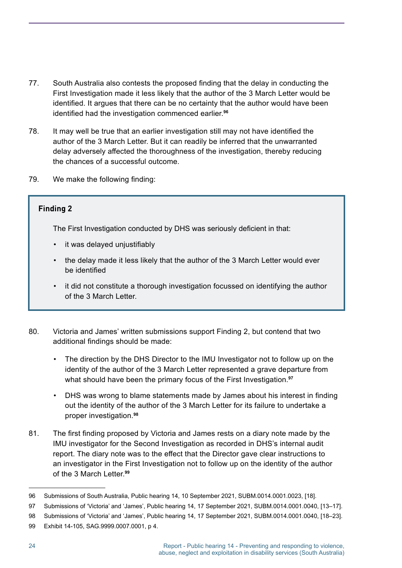- 77. South Australia also contests the proposed finding that the delay in conducting the First Investigation made it less likely that the author of the 3 March Letter would be identified. It argues that there can be no certainty that the author would have been identified had the investigation commenced earlier.**<sup>96</sup>**
- 78. It may well be true that an earlier investigation still may not have identified the author of the 3 March Letter. But it can readily be inferred that the unwarranted delay adversely affected the thoroughness of the investigation, thereby reducing the chances of a successful outcome.
- 79. We make the following finding:

#### **Finding 2**

The First Investigation conducted by DHS was seriously deficient in that:

- it was delaved uniustifiably
- the delay made it less likely that the author of the 3 March Letter would ever be identified
- it did not constitute a thorough investigation focussed on identifying the author of the 3 March Letter.
- 80. Victoria and James' written submissions support Finding 2, but contend that two additional findings should be made:
	- The direction by the DHS Director to the IMU Investigator not to follow up on the identity of the author of the 3 March Letter represented a grave departure from what should have been the primary focus of the First Investigation. **97**
	- DHS was wrong to blame statements made by James about his interest in finding out the identity of the author of the 3 March Letter for its failure to undertake a proper investigation. **98**
- 81. The first finding proposed by Victoria and James rests on a diary note made by the IMU investigator for the Second Investigation as recorded in DHS's internal audit report. The diary note was to the effect that the Director gave clear instructions to an investigator in the First Investigation not to follow up on the identity of the author of the 3 March Letter. **99**

<sup>96</sup> Submissions of South Australia, Public hearing 14, 10 September 2021, SUBM.0014.0001.0023, [18].

<sup>97</sup> Submissions of 'Victoria' and 'James', Public hearing 14, 17 September 2021, SUBM.0014.0001.0040, [13–17].

<sup>98</sup> Submissions of 'Victoria' and 'James', Public hearing 14, 17 September 2021, SUBM.0014.0001.0040, [18–23].

<sup>99</sup> Exhibit 14-105, SAG.9999.0007.0001, p 4.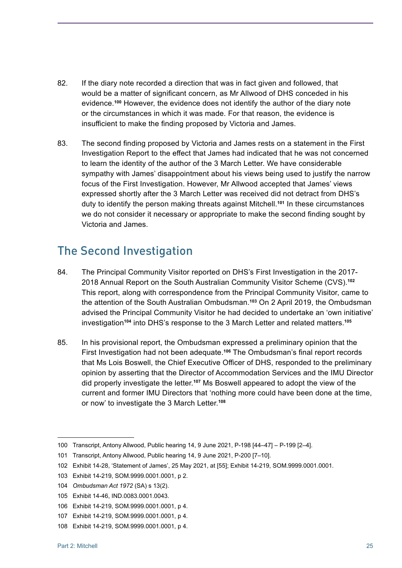- <span id="page-32-0"></span>82. If the diary note recorded a direction that was in fact given and followed, that would be a matter of significant concern, as Mr Allwood of DHS conceded in his evidence. **<sup>100</sup>** However, the evidence does not identify the author of the diary note or the circumstances in which it was made. For that reason, the evidence is insufficient to make the finding proposed by Victoria and James.
- 83. The second finding proposed by Victoria and James rests on a statement in the First Investigation Report to the effect that James had indicated that he was not concerned to learn the identity of the author of the 3 March Letter. We have considerable sympathy with James' disappointment about his views being used to justify the narrow focus of the First Investigation. However, Mr Allwood accepted that James' views expressed shortly after the 3 March Letter was received did not detract from DHS's duty to identify the person making threats against Mitchell. **<sup>101</sup>** In these circumstances we do not consider it necessary or appropriate to make the second finding sought by Victoria and James.

### The Second Investigation

- 84. The Principal Community Visitor reported on DHS's First Investigation in the 2017- 2018 Annual Report on the South Australian Community Visitor Scheme (CVS). **102** This report, along with correspondence from the Principal Community Visitor, came to the attention of the South Australian Ombudsman. **<sup>103</sup>** On 2 April 2019, the Ombudsman advised the Principal Community Visitor he had decided to undertake an 'own initiative' investigation**<sup>104</sup>** into DHS's response to the 3 March Letter and related matters. **105**
- 85. In his provisional report, the Ombudsman expressed a preliminary opinion that the First Investigation had not been adequate. **<sup>106</sup>** The Ombudsman's final report records that Ms Lois Boswell, the Chief Executive Officer of DHS, responded to the preliminary opinion by asserting that the Director of Accommodation Services and the IMU Director did properly investigate the letter. **<sup>107</sup>** Ms Boswell appeared to adopt the view of the current and former IMU Directors that 'nothing more could have been done at the time, or now' to investigate the 3 March Letter. **108**

<sup>100</sup> Transcript, Antony Allwood, Public hearing 14, 9 June 2021, P-198 [44–47] – P-199 [2–4].

<sup>101</sup> Transcript, Antony Allwood, Public hearing 14, 9 June 2021, P-200 [7–10].

<sup>102</sup> Exhibit 14-28, 'Statement of James', 25 May 2021, at [55]; Exhibit 14-219, SOM.9999.0001.0001.

<sup>103</sup> Exhibit 14-219, SOM.9999.0001.0001, p 2.

<sup>104</sup> *Ombudsman Act 1972* (SA) s 13(2).

<sup>105</sup> Exhibit 14-46, IND.0083.0001.0043.

<sup>106</sup> Exhibit 14-219, SOM.9999.0001.0001, p 4.

<sup>107</sup> Exhibit 14-219, SOM.9999.0001.0001, p 4.

<sup>108</sup> Exhibit 14-219, SOM.9999.0001.0001, p 4.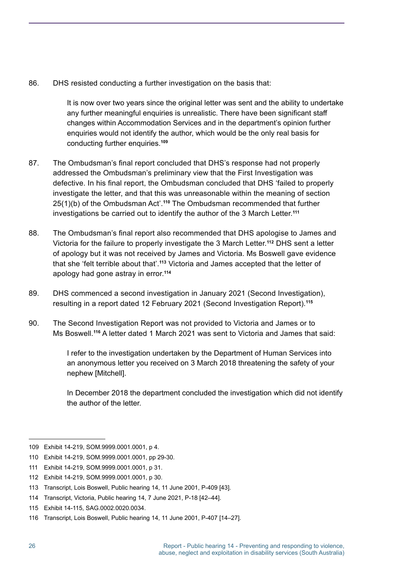86. DHS resisted conducting a further investigation on the basis that:

It is now over two years since the original letter was sent and the ability to undertake any further meaningful enquiries is unrealistic. There have been significant staff changes within Accommodation Services and in the department's opinion further enquiries would not identify the author, which would be the only real basis for conducting further enquiries. **109**

- 87. The Ombudsman's final report concluded that DHS's response had not properly addressed the Ombudsman's preliminary view that the First Investigation was defective. In his final report, the Ombudsman concluded that DHS 'failed to properly investigate the letter, and that this was unreasonable within the meaning of section 25(1)(b) of the Ombudsman Act'.<sup>110</sup> The Ombudsman recommended that further investigations be carried out to identify the author of the 3 March Letter. **111**
- 88. The Ombudsman's final report also recommended that DHS apologise to James and Victoria for the failure to properly investigate the 3 March Letter. **<sup>112</sup>** DHS sent a letter of apology but it was not received by James and Victoria. Ms Boswell gave evidence that she 'felt terrible about that'. **<sup>113</sup>** Victoria and James accepted that the letter of apology had gone astray in error. **114**
- 89. DHS commenced a second investigation in January 2021 (Second Investigation), resulting in a report dated 12 February 2021 (Second Investigation Report). **115**
- 90. The Second Investigation Report was not provided to Victoria and James or to Ms Boswell. **<sup>116</sup>** A letter dated 1 March 2021 was sent to Victoria and James that said:

I refer to the investigation undertaken by the Department of Human Services into an anonymous letter you received on 3 March 2018 threatening the safety of your nephew [Mitchell].

In December 2018 the department concluded the investigation which did not identify the author of the letter.

<sup>109</sup> Exhibit 14-219, SOM.9999.0001.0001, p 4.

<sup>110</sup> Exhibit 14-219, SOM.9999.0001.0001, pp 29-30.

<sup>111</sup> Exhibit 14-219, SOM.9999.0001.0001, p 31.

<sup>112</sup> Exhibit 14-219, SOM.9999.0001.0001, p 30.

<sup>113</sup> Transcript, Lois Boswell, Public hearing 14, 11 June 2001, P-409 [43].

<sup>114</sup> Transcript, Victoria, Public hearing 14, 7 June 2021, P-18 [42–44].

<sup>115</sup> Exhibit 14-115, SAG.0002.0020.0034.

<sup>116</sup> Transcript, Lois Boswell, Public hearing 14, 11 June 2001, P-407 [14–27].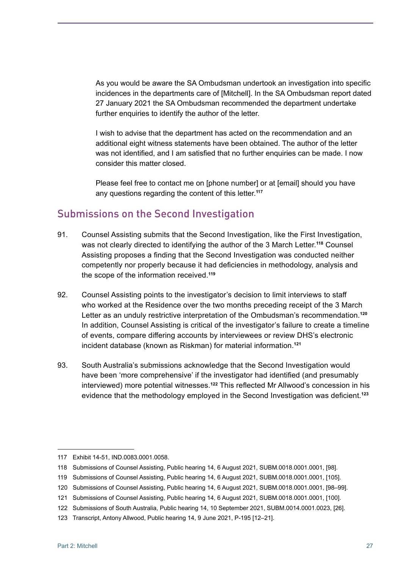<span id="page-34-0"></span>As you would be aware the SA Ombudsman undertook an investigation into specific incidences in the departments care of [Mitchell]. In the SA Ombudsman report dated 27 January 2021 the SA Ombudsman recommended the department undertake further enquiries to identify the author of the letter.

I wish to advise that the department has acted on the recommendation and an additional eight witness statements have been obtained. The author of the letter was not identified, and I am satisfied that no further enquiries can be made. I now consider this matter closed.

Please feel free to contact me on [phone number] or at [email] should you have any questions regarding the content of this letter. **117**

#### Submissions on the Second Investigation

- 91. Counsel Assisting submits that the Second Investigation, like the First Investigation, was not clearly directed to identifying the author of the 3 March Letter. **<sup>118</sup>** Counsel Assisting proposes a finding that the Second Investigation was conducted neither competently nor properly because it had deficiencies in methodology, analysis and the scope of the information received. **119**
- 92. Counsel Assisting points to the investigator's decision to limit interviews to staff who worked at the Residence over the two months preceding receipt of the 3 March Letter as an unduly restrictive interpretation of the Ombudsman's recommendation. **120** In addition, Counsel Assisting is critical of the investigator's failure to create a timeline of events, compare differing accounts by interviewees or review DHS's electronic incident database (known as Riskman) for material information. **121**
- 93. South Australia's submissions acknowledge that the Second Investigation would have been 'more comprehensive' if the investigator had identified (and presumably interviewed) more potential witnesses. **<sup>122</sup>** This reflected Mr Allwood's concession in his evidence that the methodology employed in the Second Investigation was deficient.**<sup>123</sup>**

<sup>117</sup> Exhibit 14-51, IND.0083.0001.0058.

<sup>118</sup> Submissions of Counsel Assisting, Public hearing 14, 6 August 2021, SUBM.0018.0001.0001, [98].

<sup>119</sup> Submissions of Counsel Assisting, Public hearing 14, 6 August 2021, SUBM.0018.0001.0001, [105].

<sup>120</sup> Submissions of Counsel Assisting, Public hearing 14, 6 August 2021, SUBM.0018.0001.0001, [98–99].

<sup>121</sup> Submissions of Counsel Assisting, Public hearing 14, 6 August 2021, SUBM.0018.0001.0001, [100].

<sup>122</sup> Submissions of South Australia, Public hearing 14, 10 September 2021, SUBM.0014.0001.0023, [26].

<sup>123</sup> Transcript, Antony Allwood, Public hearing 14, 9 June 2021, P-195 [12–21].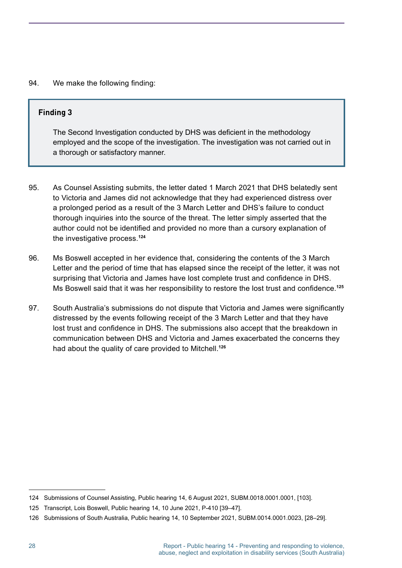#### 94. We make the following finding:

#### **Finding 3**

The Second Investigation conducted by DHS was deficient in the methodology employed and the scope of the investigation. The investigation was not carried out in a thorough or satisfactory manner.

- 95. As Counsel Assisting submits, the letter dated 1 March 2021 that DHS belatedly sent to Victoria and James did not acknowledge that they had experienced distress over a prolonged period as a result of the 3 March Letter and DHS's failure to conduct thorough inquiries into the source of the threat. The letter simply asserted that the author could not be identified and provided no more than a cursory explanation of the investigative process. **124**
- 96. Ms Boswell accepted in her evidence that, considering the contents of the 3 March Letter and the period of time that has elapsed since the receipt of the letter, it was not surprising that Victoria and James have lost complete trust and confidence in DHS. Ms Boswell said that it was her responsibility to restore the lost trust and confidence.**<sup>125</sup>**
- 97. South Australia's submissions do not dispute that Victoria and James were significantly distressed by the events following receipt of the 3 March Letter and that they have lost trust and confidence in DHS. The submissions also accept that the breakdown in communication between DHS and Victoria and James exacerbated the concerns they had about the quality of care provided to Mitchell. **126**

<sup>124</sup> Submissions of Counsel Assisting, Public hearing 14, 6 August 2021, SUBM.0018.0001.0001, [103].

<sup>125</sup> Transcript, Lois Boswell, Public hearing 14, 10 June 2021, P-410 [39–47].

<sup>126</sup> Submissions of South Australia, Public hearing 14, 10 September 2021, SUBM.0014.0001.0023, [28–29].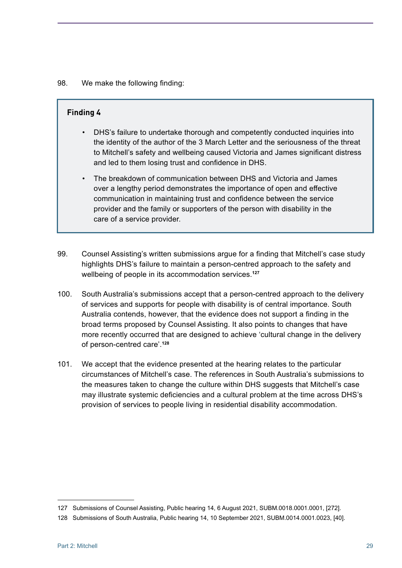#### 98. We make the following finding:

#### **Finding 4**

- DHS's failure to undertake thorough and competently conducted inquiries into the identity of the author of the 3 March Letter and the seriousness of the threat to Mitchell's safety and wellbeing caused Victoria and James significant distress and led to them losing trust and confidence in DHS.
- The breakdown of communication between DHS and Victoria and James over a lengthy period demonstrates the importance of open and effective communication in maintaining trust and confidence between the service provider and the family or supporters of the person with disability in the care of a service provider.
- 99. Counsel Assisting's written submissions argue for a finding that Mitchell's case study highlights DHS's failure to maintain a person-centred approach to the safety and wellbeing of people in its accommodation services. **127**
- 100. South Australia's submissions accept that a person-centred approach to the delivery of services and supports for people with disability is of central importance. South Australia contends, however, that the evidence does not support a finding in the broad terms proposed by Counsel Assisting. It also points to changes that have more recently occurred that are designed to achieve 'cultural change in the delivery of person-centred care'. **128**
- 101. We accept that the evidence presented at the hearing relates to the particular circumstances of Mitchell's case. The references in South Australia's submissions to the measures taken to change the culture within DHS suggests that Mitchell's case may illustrate systemic deficiencies and a cultural problem at the time across DHS's provision of services to people living in residential disability accommodation.

<sup>127</sup> Submissions of Counsel Assisting, Public hearing 14, 6 August 2021, SUBM.0018.0001.0001, [272].

<sup>128</sup> Submissions of South Australia, Public hearing 14, 10 September 2021, SUBM.0014.0001.0023, [40].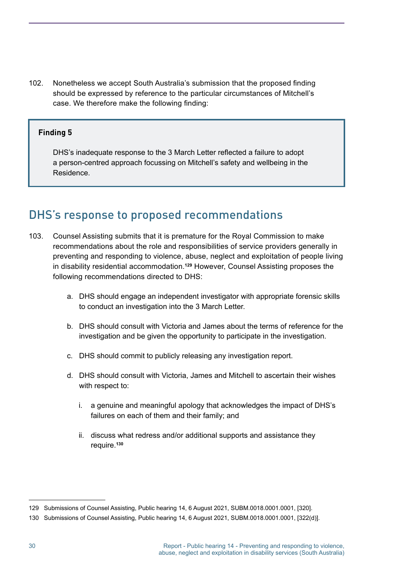102. Nonetheless we accept South Australia's submission that the proposed finding should be expressed by reference to the particular circumstances of Mitchell's case. We therefore make the following finding:

#### **Finding 5**

DHS's inadequate response to the 3 March Letter reflected a failure to adopt a person-centred approach focussing on Mitchell's safety and wellbeing in the Residence.

### DHS's response to proposed recommendations

- 103. Counsel Assisting submits that it is premature for the Royal Commission to make recommendations about the role and responsibilities of service providers generally in preventing and responding to violence, abuse, neglect and exploitation of people living in disability residential accommodation. **<sup>129</sup>** However, Counsel Assisting proposes the following recommendations directed to DHS:
	- a. DHS should engage an independent investigator with appropriate forensic skills to conduct an investigation into the 3 March Letter.
	- b. DHS should consult with Victoria and James about the terms of reference for the investigation and be given the opportunity to participate in the investigation.
	- c. DHS should commit to publicly releasing any investigation report.
	- d. DHS should consult with Victoria, James and Mitchell to ascertain their wishes with respect to:
		- i. a genuine and meaningful apology that acknowledges the impact of DHS's failures on each of them and their family; and
		- ii. discuss what redress and/or additional supports and assistance they require. **130**

<sup>129</sup> Submissions of Counsel Assisting, Public hearing 14, 6 August 2021, SUBM.0018.0001.0001, [320].

<sup>130</sup> Submissions of Counsel Assisting, Public hearing 14, 6 August 2021, SUBM.0018.0001.0001, [322(d)].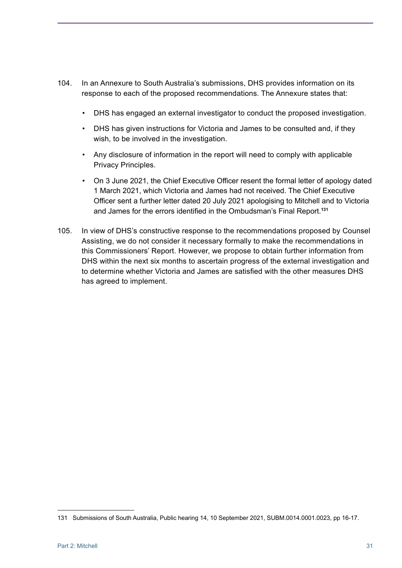- 104. In an Annexure to South Australia's submissions, DHS provides information on its response to each of the proposed recommendations. The Annexure states that:
	- DHS has engaged an external investigator to conduct the proposed investigation.
	- DHS has given instructions for Victoria and James to be consulted and, if they wish, to be involved in the investigation.
	- Any disclosure of information in the report will need to comply with applicable Privacy Principles.
	- On 3 June 2021, the Chief Executive Officer resent the formal letter of apology dated 1 March 2021, which Victoria and James had not received. The Chief Executive Officer sent a further letter dated 20 July 2021 apologising to Mitchell and to Victoria and James for the errors identified in the Ombudsman's Final Report.**<sup>131</sup>**
- 105. In view of DHS's constructive response to the recommendations proposed by Counsel Assisting, we do not consider it necessary formally to make the recommendations in this Commissioners' Report. However, we propose to obtain further information from DHS within the next six months to ascertain progress of the external investigation and to determine whether Victoria and James are satisfied with the other measures DHS has agreed to implement.

<sup>131</sup> Submissions of South Australia, Public hearing 14, 10 September 2021, SUBM.0014.0001.0023, pp 16-17.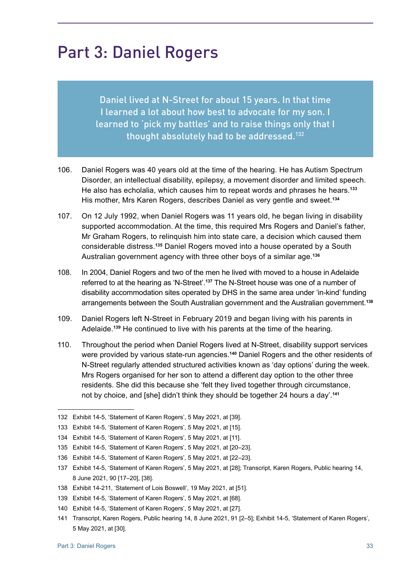# Part 3: Daniel Rogers

Daniel lived at N-Street for about 15 years. In that time I learned a lot about how best to advocate for my son. I learned to 'pick my battles' and to raise things only that I thought absolutely had to be addressed.<sup>132</sup>

- 106. Daniel Rogers was 40 years old at the time of the hearing. He has Autism Spectrum Disorder, an intellectual disability, epilepsy, a movement disorder and limited speech. He also has echolalia, which causes him to repeat words and phrases he hears. **133** His mother, Mrs Karen Rogers, describes Daniel as very gentle and sweet. **134**
- 107. On 12 July 1992, when Daniel Rogers was 11 years old, he began living in disability supported accommodation. At the time, this required Mrs Rogers and Daniel's father, Mr Graham Rogers, to relinquish him into state care, a decision which caused them considerable distress. **<sup>135</sup>** Daniel Rogers moved into a house operated by a South Australian government agency with three other boys of a similar age. **136**
- 108. In 2004, Daniel Rogers and two of the men he lived with moved to a house in Adelaide referred to at the hearing as 'N-Street'. **<sup>137</sup>** The N-Street house was one of a number of disability accommodation sites operated by DHS in the same area under 'in-kind' funding arrangements between the South Australian government and the Australian government. **138**
- 109. Daniel Rogers left N-Street in February 2019 and began living with his parents in Adelaide. **<sup>139</sup>** He continued to live with his parents at the time of the hearing.
- 110. Throughout the period when Daniel Rogers lived at N-Street, disability support services were provided by various state-run agencies. **<sup>140</sup>** Daniel Rogers and the other residents of N-Street regularly attended structured activities known as 'day options' during the week. Mrs Rogers organised for her son to attend a different day option to the other three residents. She did this because she 'felt they lived together through circumstance, not by choice, and [she] didn't think they should be together 24 hours a day'. **141**

<sup>132</sup> Exhibit 14-5, 'Statement of Karen Rogers', 5 May 2021, at [39].

<sup>133</sup> Exhibit 14-5, 'Statement of Karen Rogers', 5 May 2021, at [15].

<sup>134</sup> Exhibit 14-5, 'Statement of Karen Rogers', 5 May 2021, at [11].

<sup>135</sup> Exhibit 14-5, 'Statement of Karen Rogers', 5 May 2021, at [20–23].

<sup>136</sup> Exhibit 14-5, 'Statement of Karen Rogers', 5 May 2021, at [22–23].

<sup>137</sup> Exhibit 14-5, 'Statement of Karen Rogers', 5 May 2021, at [28]; Transcript, Karen Rogers, Public hearing 14, 8 June 2021, 90 [17–20], [38].

<sup>138</sup> Exhibit 14-211, 'Statement of Lois Boswell', 19 May 2021, at [51].

<sup>139</sup> Exhibit 14-5, 'Statement of Karen Rogers', 5 May 2021, at [68].

<sup>140</sup> Exhibit 14-5, 'Statement of Karen Rogers', 5 May 2021, at [27].

<sup>141</sup> Transcript, Karen Rogers, Public hearing 14, 8 June 2021, 91 [2–5]; Exhibit 14-5, 'Statement of Karen Rogers', 5 May 2021, at [30].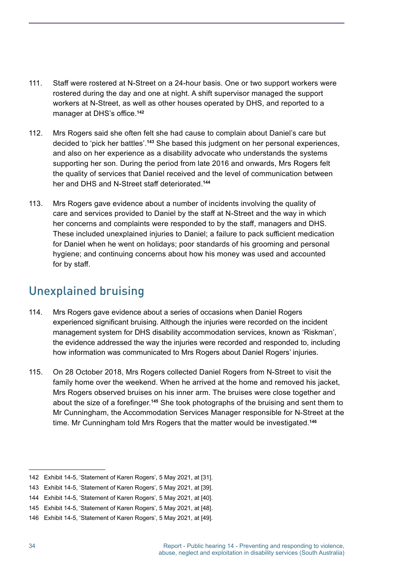- 111. Staff were rostered at N-Street on a 24-hour basis. One or two support workers were rostered during the day and one at night. A shift supervisor managed the support workers at N-Street, as well as other houses operated by DHS, and reported to a manager at DHS's office.**<sup>142</sup>**
- 112. Mrs Rogers said she often felt she had cause to complain about Daniel's care but decided to 'pick her battles'. **<sup>143</sup>** She based this judgment on her personal experiences, and also on her experience as a disability advocate who understands the systems supporting her son. During the period from late 2016 and onwards, Mrs Rogers felt the quality of services that Daniel received and the level of communication between her and DHS and N-Street staff deteriorated.**<sup>144</sup>**
- 113. Mrs Rogers gave evidence about a number of incidents involving the quality of care and services provided to Daniel by the staff at N-Street and the way in which her concerns and complaints were responded to by the staff, managers and DHS. These included unexplained injuries to Daniel; a failure to pack sufficient medication for Daniel when he went on holidays; poor standards of his grooming and personal hygiene; and continuing concerns about how his money was used and accounted for by staff.

# Unexplained bruising

- 114. Mrs Rogers gave evidence about a series of occasions when Daniel Rogers experienced significant bruising. Although the injuries were recorded on the incident management system for DHS disability accommodation services, known as 'Riskman', the evidence addressed the way the injuries were recorded and responded to, including how information was communicated to Mrs Rogers about Daniel Rogers' injuries.
- 115. On 28 October 2018, Mrs Rogers collected Daniel Rogers from N-Street to visit the family home over the weekend. When he arrived at the home and removed his jacket, Mrs Rogers observed bruises on his inner arm. The bruises were close together and about the size of a forefinger.**<sup>145</sup>** She took photographs of the bruising and sent them to Mr Cunningham, the Accommodation Services Manager responsible for N-Street at the time. Mr Cunningham told Mrs Rogers that the matter would be investigated. **146**

<sup>142</sup> Exhibit 14-5, 'Statement of Karen Rogers', 5 May 2021, at [31].

<sup>143</sup> Exhibit 14-5, 'Statement of Karen Rogers', 5 May 2021, at [39].

<sup>144</sup> Exhibit 14-5, 'Statement of Karen Rogers', 5 May 2021, at [40].

<sup>145</sup> Exhibit 14-5, 'Statement of Karen Rogers', 5 May 2021, at [48].

<sup>146</sup> Exhibit 14-5, 'Statement of Karen Rogers', 5 May 2021, at [49].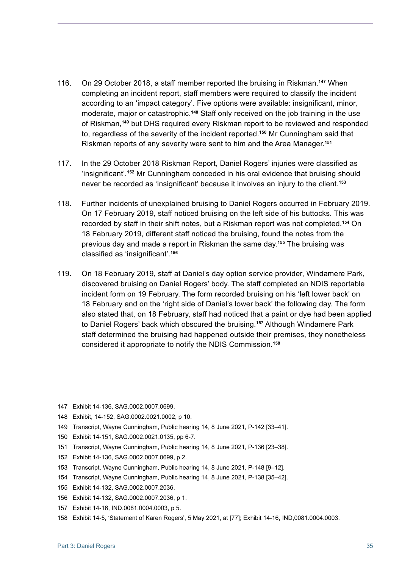- 116. On 29 October 2018, a staff member reported the bruising in Riskman.**<sup>147</sup>** When completing an incident report, staff members were required to classify the incident according to an 'impact category'. Five options were available: insignificant, minor, moderate, major or catastrophic. **<sup>148</sup>** Staff only received on the job training in the use of Riskman,**<sup>149</sup>** but DHS required every Riskman report to be reviewed and responded to, regardless of the severity of the incident reported. **<sup>150</sup>** Mr Cunningham said that Riskman reports of any severity were sent to him and the Area Manager. **151**
- 117. In the 29 October 2018 Riskman Report, Daniel Rogers' injuries were classified as 'insignificant'.**<sup>152</sup>** Mr Cunningham conceded in his oral evidence that bruising should never be recorded as 'insignificant' because it involves an injury to the client.**<sup>153</sup>**
- 118. Further incidents of unexplained bruising to Daniel Rogers occurred in February 2019. On 17 February 2019, staff noticed bruising on the left side of his buttocks. This was recorded by staff in their shift notes, but a Riskman report was not completed.**<sup>154</sup>** On 18 February 2019, different staff noticed the bruising, found the notes from the previous day and made a report in Riskman the same day. **<sup>155</sup>** The bruising was classified as 'insignificant'.**<sup>156</sup>**
- 119. On 18 February 2019, staff at Daniel's day option service provider, Windamere Park, discovered bruising on Daniel Rogers' body. The staff completed an NDIS reportable incident form on 19 February. The form recorded bruising on his 'left lower back' on 18 February and on the 'right side of Daniel's lower back' the following day. The form also stated that, on 18 February, staff had noticed that a paint or dye had been applied to Daniel Rogers' back which obscured the bruising. **<sup>157</sup>** Although Windamere Park staff determined the bruising had happened outside their premises, they nonetheless considered it appropriate to notify the NDIS Commission. **158**

152 Exhibit 14-136, SAG.0002.0007.0699, p 2.

<sup>147</sup> Exhibit 14-136, SAG.0002.0007.0699.

<sup>148</sup> Exhibit, 14-152, SAG.0002.0021.0002, p 10.

<sup>149</sup> Transcript, Wayne Cunningham, Public hearing 14, 8 June 2021, P-142 [33–41].

<sup>150</sup> Exhibit 14-151, SAG.0002.0021.0135, pp 6-7.

<sup>151</sup> Transcript, Wayne Cunningham, Public hearing 14, 8 June 2021, P-136 [23–38].

<sup>153</sup> Transcript, Wayne Cunningham, Public hearing 14, 8 June 2021, P-148 [9–12].

<sup>154</sup> Transcript, Wayne Cunningham, Public hearing 14, 8 June 2021, P-138 [35–42].

<sup>155</sup> Exhibit 14-132, SAG.0002.0007.2036.

<sup>156</sup> Exhibit 14-132, SAG.0002.0007.2036, p 1.

<sup>157</sup> Exhibit 14-16, IND.0081.0004.0003, p 5.

<sup>158</sup> Exhibit 14-5, 'Statement of Karen Rogers', 5 May 2021, at [77]; Exhibit 14-16, IND,0081.0004.0003.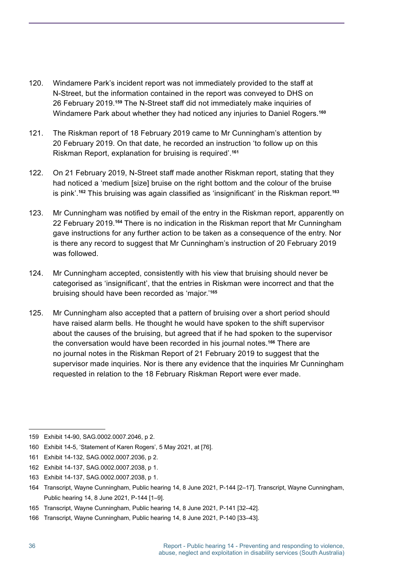- 120. Windamere Park's incident report was not immediately provided to the staff at N-Street, but the information contained in the report was conveyed to DHS on 26 February 2019. **<sup>159</sup>** The N-Street staff did not immediately make inquiries of Windamere Park about whether they had noticed any injuries to Daniel Rogers. **160**
- 121. The Riskman report of 18 February 2019 came to Mr Cunningham's attention by 20 February 2019. On that date, he recorded an instruction 'to follow up on this Riskman Report, explanation for bruising is required'. **161**
- 122. On 21 February 2019, N-Street staff made another Riskman report, stating that they had noticed a 'medium [size] bruise on the right bottom and the colour of the bruise is pink'. **<sup>162</sup>** This bruising was again classified as 'insignificant' in the Riskman report.**<sup>163</sup>**
- 123. Mr Cunningham was notified by email of the entry in the Riskman report, apparently on 22 February 2019. **<sup>164</sup>** There is no indication in the Riskman report that Mr Cunningham gave instructions for any further action to be taken as a consequence of the entry. Nor is there any record to suggest that Mr Cunningham's instruction of 20 February 2019 was followed.
- 124. Mr Cunningham accepted, consistently with his view that bruising should never be categorised as 'insignificant', that the entries in Riskman were incorrect and that the bruising should have been recorded as 'major.' **165**
- 125. Mr Cunningham also accepted that a pattern of bruising over a short period should have raised alarm bells. He thought he would have spoken to the shift supervisor about the causes of the bruising, but agreed that if he had spoken to the supervisor the conversation would have been recorded in his journal notes. **<sup>166</sup>** There are no journal notes in the Riskman Report of 21 February 2019 to suggest that the supervisor made inquiries. Nor is there any evidence that the inquiries Mr Cunningham requested in relation to the 18 February Riskman Report were ever made.

<sup>159</sup> Exhibit 14-90, SAG.0002.0007.2046, p 2.

<sup>160</sup> Exhibit 14-5, 'Statement of Karen Rogers', 5 May 2021, at [76].

<sup>161</sup> Exhibit 14-132, SAG.0002.0007.2036, p 2.

<sup>162</sup> Exhibit 14-137, SAG.0002.0007.2038, p 1.

<sup>163</sup> Exhibit 14-137, SAG.0002.0007.2038, p 1.

<sup>164</sup> Transcript, Wayne Cunningham, Public hearing 14, 8 June 2021, P-144 [2–17]. Transcript, Wayne Cunningham, Public hearing 14, 8 June 2021, P-144 [1–9].

<sup>165</sup> Transcript, Wayne Cunningham, Public hearing 14, 8 June 2021, P-141 [32–42].

<sup>166</sup> Transcript, Wayne Cunningham, Public hearing 14, 8 June 2021, P-140 [33–43].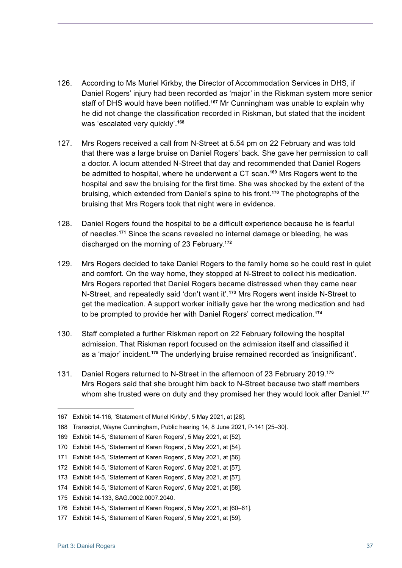- 126. According to Ms Muriel Kirkby, the Director of Accommodation Services in DHS, if Daniel Rogers' injury had been recorded as 'major' in the Riskman system more senior staff of DHS would have been notified.**<sup>167</sup>** Mr Cunningham was unable to explain why he did not change the classification recorded in Riskman, but stated that the incident was 'escalated very quickly'. **168**
- 127. Mrs Rogers received a call from N-Street at 5.54 pm on 22 February and was told that there was a large bruise on Daniel Rogers' back. She gave her permission to call a doctor. A locum attended N-Street that day and recommended that Daniel Rogers be admitted to hospital, where he underwent a CT scan. **<sup>169</sup>** Mrs Rogers went to the hospital and saw the bruising for the first time. She was shocked by the extent of the bruising, which extended from Daniel's spine to his front. **<sup>170</sup>** The photographs of the bruising that Mrs Rogers took that night were in evidence.
- 128. Daniel Rogers found the hospital to be a difficult experience because he is fearful of needles. **<sup>171</sup>** Since the scans revealed no internal damage or bleeding, he was discharged on the morning of 23 February. **172**
- 129. Mrs Rogers decided to take Daniel Rogers to the family home so he could rest in quiet and comfort. On the way home, they stopped at N-Street to collect his medication. Mrs Rogers reported that Daniel Rogers became distressed when they came near N-Street, and repeatedly said 'don't want it'. **<sup>173</sup>** Mrs Rogers went inside N-Street to get the medication. A support worker initially gave her the wrong medication and had to be prompted to provide her with Daniel Rogers' correct medication. **174**
- 130. Staff completed a further Riskman report on 22 February following the hospital admission. That Riskman report focused on the admission itself and classified it as a 'major' incident. **<sup>175</sup>** The underlying bruise remained recorded as 'insignificant'.
- 131. Daniel Rogers returned to N-Street in the afternoon of 23 February 2019. **176** Mrs Rogers said that she brought him back to N-Street because two staff members whom she trusted were on duty and they promised her they would look after Daniel. **177**

<sup>167</sup> Exhibit 14-116, 'Statement of Muriel Kirkby', 5 May 2021, at [28].

<sup>168</sup> Transcript, Wayne Cunningham, Public hearing 14, 8 June 2021, P-141 [25–30].

<sup>169</sup> Exhibit 14-5, 'Statement of Karen Rogers', 5 May 2021, at [52].

<sup>170</sup> Exhibit 14-5, 'Statement of Karen Rogers', 5 May 2021, at [54].

<sup>171</sup> Exhibit 14-5, 'Statement of Karen Rogers', 5 May 2021, at [56].

<sup>172</sup> Exhibit 14-5, 'Statement of Karen Rogers', 5 May 2021, at [57].

<sup>173</sup> Exhibit 14-5, 'Statement of Karen Rogers', 5 May 2021, at [57].

<sup>174</sup> Exhibit 14-5, 'Statement of Karen Rogers', 5 May 2021, at [58].

<sup>175</sup> Exhibit 14-133, SAG.0002.0007.2040.

<sup>176</sup> Exhibit 14-5, 'Statement of Karen Rogers', 5 May 2021, at [60–61].

<sup>177</sup> Exhibit 14-5, 'Statement of Karen Rogers', 5 May 2021, at [59].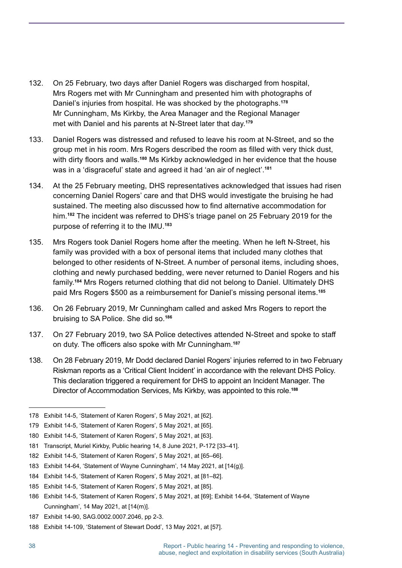- 132. On 25 February, two days after Daniel Rogers was discharged from hospital, Mrs Rogers met with Mr Cunningham and presented him with photographs of Daniel's injuries from hospital. He was shocked by the photographs. **178** Mr Cunningham, Ms Kirkby, the Area Manager and the Regional Manager met with Daniel and his parents at N-Street later that day. **179**
- 133. Daniel Rogers was distressed and refused to leave his room at N-Street, and so the group met in his room. Mrs Rogers described the room as filled with very thick dust, with dirty floors and walls.**<sup>180</sup>** Ms Kirkby acknowledged in her evidence that the house was in a 'disgraceful' state and agreed it had 'an air of neglect'. **181**
- 134. At the 25 February meeting, DHS representatives acknowledged that issues had risen concerning Daniel Rogers' care and that DHS would investigate the bruising he had sustained. The meeting also discussed how to find alternative accommodation for him. **<sup>182</sup>** The incident was referred to DHS's triage panel on 25 February 2019 for the purpose of referring it to the IMU. **183**
- 135. Mrs Rogers took Daniel Rogers home after the meeting. When he left N-Street, his family was provided with a box of personal items that included many clothes that belonged to other residents of N-Street. A number of personal items, including shoes, clothing and newly purchased bedding, were never returned to Daniel Rogers and his family. **<sup>184</sup>** Mrs Rogers returned clothing that did not belong to Daniel. Ultimately DHS paid Mrs Rogers \$500 as a reimbursement for Daniel's missing personal items. **185**
- 136. On 26 February 2019, Mr Cunningham called and asked Mrs Rogers to report the bruising to SA Police. She did so. **186**
- 137. On 27 February 2019, two SA Police detectives attended N-Street and spoke to staff on duty. The officers also spoke with Mr Cunningham.**<sup>187</sup>**
- 138. On 28 February 2019, Mr Dodd declared Daniel Rogers' injuries referred to in two February Riskman reports as a 'Critical Client Incident' in accordance with the relevant DHS Policy. This declaration triggered a requirement for DHS to appoint an Incident Manager. The Director of Accommodation Services, Ms Kirkby, was appointed to this role. **188**

<sup>178</sup> Exhibit 14-5, 'Statement of Karen Rogers', 5 May 2021, at [62].

<sup>179</sup> Exhibit 14-5, 'Statement of Karen Rogers', 5 May 2021, at [65].

<sup>180</sup> Exhibit 14-5, 'Statement of Karen Rogers', 5 May 2021, at [63].

<sup>181</sup> Transcript, Muriel Kirkby, Public hearing 14, 8 June 2021, P-172 [33–41].

<sup>182</sup> Exhibit 14-5, 'Statement of Karen Rogers', 5 May 2021, at [65–66].

<sup>183</sup> Exhibit 14-64, 'Statement of Wayne Cunningham', 14 May 2021, at [14(g)].

<sup>184</sup> Exhibit 14-5, 'Statement of Karen Rogers', 5 May 2021, at [81–82].

<sup>185</sup> Exhibit 14-5, 'Statement of Karen Rogers', 5 May 2021, at [85].

<sup>186</sup> Exhibit 14-5, 'Statement of Karen Rogers', 5 May 2021, at [69]; Exhibit 14-64, 'Statement of Wayne Cunningham', 14 May 2021, at [14(m)].

<sup>187</sup> Exhibit 14-90, SAG.0002.0007.2046, pp 2-3.

<sup>188</sup> Exhibit 14-109, 'Statement of Stewart Dodd', 13 May 2021, at [57].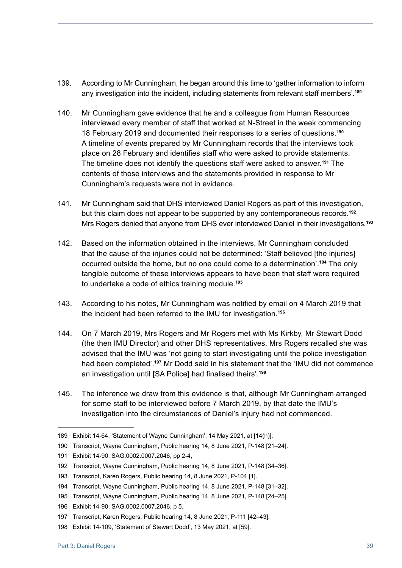- 139. According to Mr Cunningham, he began around this time to 'gather information to inform any investigation into the incident, including statements from relevant staff members'.**<sup>189</sup>**
- 140. Mr Cunningham gave evidence that he and a colleague from Human Resources interviewed every member of staff that worked at N-Street in the week commencing 18 February 2019 and documented their responses to a series of questions. **190** A timeline of events prepared by Mr Cunningham records that the interviews took place on 28 February and identifies staff who were asked to provide statements. The timeline does not identify the questions staff were asked to answer.**<sup>191</sup>** The contents of those interviews and the statements provided in response to Mr Cunningham's requests were not in evidence.
- 141. Mr Cunningham said that DHS interviewed Daniel Rogers as part of this investigation, but this claim does not appear to be supported by any contemporaneous records. **192** Mrs Rogers denied that anyone from DHS ever interviewed Daniel in their investigations. **193**
- 142. Based on the information obtained in the interviews, Mr Cunningham concluded that the cause of the injuries could not be determined: 'Staff believed [the injuries] occurred outside the home, but no one could come to a determination'. **<sup>194</sup>** The only tangible outcome of these interviews appears to have been that staff were required to undertake a code of ethics training module. **195**
- 143. According to his notes, Mr Cunningham was notified by email on 4 March 2019 that the incident had been referred to the IMU for investigation. **196**
- 144. On 7 March 2019, Mrs Rogers and Mr Rogers met with Ms Kirkby, Mr Stewart Dodd (the then IMU Director) and other DHS representatives. Mrs Rogers recalled she was advised that the IMU was 'not going to start investigating until the police investigation had been completed'. **<sup>197</sup>** Mr Dodd said in his statement that the 'IMU did not commence an investigation until [SA Police] had finalised theirs'.**<sup>198</sup>**
- 145. The inference we draw from this evidence is that, although Mr Cunningham arranged for some staff to be interviewed before 7 March 2019, by that date the IMU's investigation into the circumstances of Daniel's injury had not commenced.

<sup>189</sup> Exhibit 14-64, 'Statement of Wayne Cunningham', 14 May 2021, at [14(h)].

<sup>190</sup> Transcript, Wayne Cunningham, Public hearing 14, 8 June 2021, P-148 [21–24].

<sup>191</sup> Exhibit 14-90, SAG.0002.0007.2046, pp 2-4,

<sup>192</sup> Transcript, Wayne Cunningham, Public hearing 14, 8 June 2021, P-148 [34–36].

<sup>193</sup> Transcript, Karen Rogers, Public hearing 14, 8 June 2021, P-104 [1].

<sup>194</sup> Transcript, Wayne Cunningham, Public hearing 14, 8 June 2021, P-148 [31–32].

<sup>195</sup> Transcript, Wayne Cunningham, Public hearing 14, 8 June 2021, P-148 [24–25].

<sup>196</sup> Exhibit 14-90, SAG.0002.0007.2046, p 5.

<sup>197</sup> Transcript, Karen Rogers, Public hearing 14, 8 June 2021, P-111 [42–43].

<sup>198</sup> Exhibit 14-109, 'Statement of Stewart Dodd', 13 May 2021, at [59].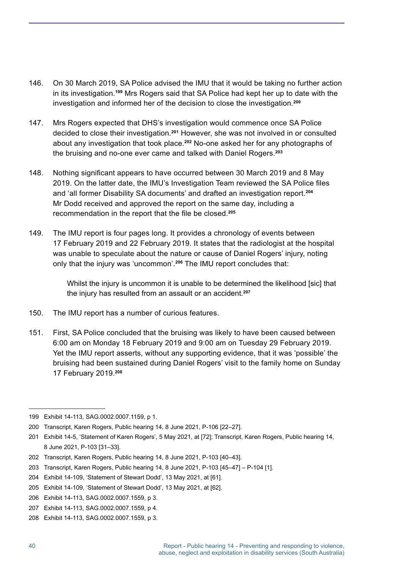- 146. On 30 March 2019, SA Police advised the IMU that it would be taking no further action in its investigation. **<sup>199</sup>** Mrs Rogers said that SA Police had kept her up to date with the investigation and informed her of the decision to close the investigation. **200**
- 147. Mrs Rogers expected that DHS's investigation would commence once SA Police decided to close their investigation. **<sup>201</sup>** However, she was not involved in or consulted about any investigation that took place. **<sup>202</sup>** No-one asked her for any photographs of the bruising and no-one ever came and talked with Daniel Rogers. **203**
- 148. Nothing significant appears to have occurred between 30 March 2019 and 8 May 2019. On the latter date, the IMU's Investigation Team reviewed the SA Police files and 'all former Disability SA documents' and drafted an investigation report. **204** Mr Dodd received and approved the report on the same day, including a recommendation in the report that the file be closed.**<sup>205</sup>**
- 149. The IMU report is four pages long. It provides a chronology of events between 17 February 2019 and 22 February 2019. It states that the radiologist at the hospital was unable to speculate about the nature or cause of Daniel Rogers' injury, noting only that the injury was 'uncommon'. **<sup>206</sup>** The IMU report concludes that:

Whilst the injury is uncommon it is unable to be determined the likelihood [sic] that the injury has resulted from an assault or an accident. **207**

- 150. The IMU report has a number of curious features.
- 151. First, SA Police concluded that the bruising was likely to have been caused between 6:00 am on Monday 18 February 2019 and 9:00 am on Tuesday 29 February 2019. Yet the IMU report asserts, without any supporting evidence, that it was 'possible' the bruising had been sustained during Daniel Rogers' visit to the family home on Sunday 17 February 2019. **208**

<sup>199</sup> Exhibit 14-113, SAG.0002.0007.1159, p 1.

<sup>200</sup> Transcript, Karen Rogers, Public hearing 14, 8 June 2021, P-106 [22–27].

<sup>201</sup> Exhibit 14-5, 'Statement of Karen Rogers', 5 May 2021, at [72]; Transcript, Karen Rogers, Public hearing 14, 8 June 2021, P-103 [31–33].

<sup>202</sup> Transcript, Karen Rogers, Public hearing 14, 8 June 2021, P-103 [40–43].

<sup>203</sup> Transcript, Karen Rogers, Public hearing 14, 8 June 2021, P-103 [45–47] – P-104 [1].

<sup>204</sup> Exhibit 14-109, 'Statement of Stewart Dodd', 13 May 2021, at [61].

<sup>205</sup> Exhibit 14-109, 'Statement of Stewart Dodd', 13 May 2021, at [62].

<sup>206</sup> Exhibit 14-113, SAG.0002.0007.1559, p 3.

<sup>207</sup> Exhibit 14-113, SAG.0002.0007.1559, p 4.

<sup>208</sup> Exhibit 14-113, SAG.0002.0007.1559, p 3.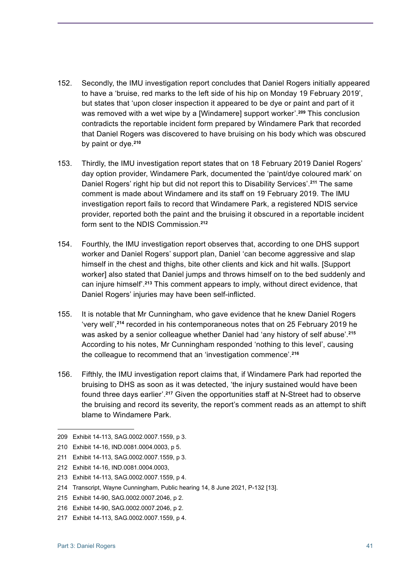- 152. Secondly, the IMU investigation report concludes that Daniel Rogers initially appeared to have a 'bruise, red marks to the left side of his hip on Monday 19 February 2019', but states that 'upon closer inspection it appeared to be dye or paint and part of it was removed with a wet wipe by a [Windamere] support worker'. **<sup>209</sup>** This conclusion contradicts the reportable incident form prepared by Windamere Park that recorded that Daniel Rogers was discovered to have bruising on his body which was obscured by paint or dye. **210**
- 153. Thirdly, the IMU investigation report states that on 18 February 2019 Daniel Rogers' day option provider, Windamere Park, documented the 'paint/dye coloured mark' on Daniel Rogers' right hip but did not report this to Disability Services'. **<sup>211</sup>** The same comment is made about Windamere and its staff on 19 February 2019. The IMU investigation report fails to record that Windamere Park, a registered NDIS service provider, reported both the paint and the bruising it obscured in a reportable incident form sent to the NDIS Commission. **212**
- 154. Fourthly, the IMU investigation report observes that, according to one DHS support worker and Daniel Rogers' support plan, Daniel 'can become aggressive and slap himself in the chest and thighs, bite other clients and kick and hit walls. [Support worker] also stated that Daniel jumps and throws himself on to the bed suddenly and can injure himself'. **<sup>213</sup>** This comment appears to imply, without direct evidence, that Daniel Rogers' injuries may have been self-inflicted.
- 155. It is notable that Mr Cunningham, who gave evidence that he knew Daniel Rogers 'very well',**<sup>214</sup>** recorded in his contemporaneous notes that on 25 February 2019 he was asked by a senior colleague whether Daniel had 'any history of self abuse'. **215** According to his notes, Mr Cunningham responded 'nothing to this level', causing the colleague to recommend that an 'investigation commence'. **216**
- 156. Fifthly, the IMU investigation report claims that, if Windamere Park had reported the bruising to DHS as soon as it was detected, 'the injury sustained would have been found three days earlier'. **<sup>217</sup>** Given the opportunities staff at N-Street had to observe the bruising and record its severity, the report's comment reads as an attempt to shift blame to Windamere Park.

<sup>209</sup> Exhibit 14-113, SAG.0002.0007.1559, p 3.

<sup>210</sup> Exhibit 14-16, IND.0081.0004.0003, p 5.

<sup>211</sup> Exhibit 14-113, SAG.0002.0007.1559, p 3.

<sup>212</sup> Exhibit 14-16, IND.0081.0004.0003,

<sup>213</sup> Exhibit 14-113, SAG.0002.0007.1559, p 4.

<sup>214</sup> Transcript, Wayne Cunningham, Public hearing 14, 8 June 2021, P-132 [13].

<sup>215</sup> Exhibit 14-90, SAG.0002.0007.2046, p 2.

<sup>216</sup> Exhibit 14-90, SAG.0002.0007.2046, p 2.

<sup>217</sup> Exhibit 14-113, SAG.0002.0007.1559, p 4.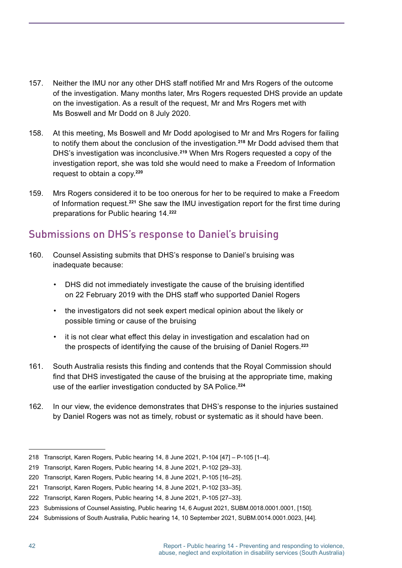- 157. Neither the IMU nor any other DHS staff notified Mr and Mrs Rogers of the outcome of the investigation. Many months later, Mrs Rogers requested DHS provide an update on the investigation. As a result of the request, Mr and Mrs Rogers met with Ms Boswell and Mr Dodd on 8 July 2020.
- 158. At this meeting, Ms Boswell and Mr Dodd apologised to Mr and Mrs Rogers for failing to notify them about the conclusion of the investigation. **<sup>218</sup>** Mr Dodd advised them that DHS's investigation was inconclusive. **<sup>219</sup>** When Mrs Rogers requested a copy of the investigation report, she was told she would need to make a Freedom of Information request to obtain a copy. **220**
- 159. Mrs Rogers considered it to be too onerous for her to be required to make a Freedom of Information request. **<sup>221</sup>** She saw the IMU investigation report for the first time during preparations for Public hearing 14. **222**

### Submissions on DHS's response to Daniel's bruising

- 160. Counsel Assisting submits that DHS's response to Daniel's bruising was inadequate because:
	- DHS did not immediately investigate the cause of the bruising identified on 22 February 2019 with the DHS staff who supported Daniel Rogers
	- the investigators did not seek expert medical opinion about the likely or possible timing or cause of the bruising
	- it is not clear what effect this delay in investigation and escalation had on the prospects of identifying the cause of the bruising of Daniel Rogers. **223**
- 161. South Australia resists this finding and contends that the Royal Commission should find that DHS investigated the cause of the bruising at the appropriate time, making use of the earlier investigation conducted by SA Police. **224**
- 162. In our view, the evidence demonstrates that DHS's response to the injuries sustained by Daniel Rogers was not as timely, robust or systematic as it should have been.

<sup>218</sup> Transcript, Karen Rogers, Public hearing 14, 8 June 2021, P-104 [47] – P-105 [1–4].

<sup>219</sup> Transcript, Karen Rogers, Public hearing 14, 8 June 2021, P-102 [29–33].

<sup>220</sup> Transcript, Karen Rogers, Public hearing 14, 8 June 2021, P-105 [16–25].

<sup>221</sup> Transcript, Karen Rogers, Public hearing 14, 8 June 2021, P-102 [33–35].

<sup>222</sup> Transcript, Karen Rogers, Public hearing 14, 8 June 2021, P-105 [27–33].

<sup>223</sup> Submissions of Counsel Assisting, Public hearing 14, 6 August 2021, SUBM.0018.0001.0001, [150].

<sup>224</sup> Submissions of South Australia, Public hearing 14, 10 September 2021, SUBM.0014.0001.0023, [44].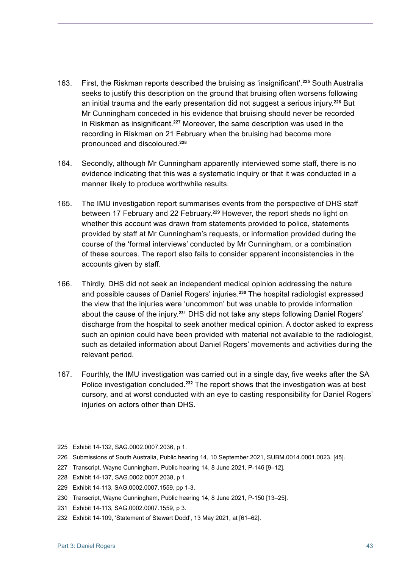- 163. First, the Riskman reports described the bruising as 'insignificant'.**<sup>225</sup>** South Australia seeks to justify this description on the ground that bruising often worsens following an initial trauma and the early presentation did not suggest a serious injury. **<sup>226</sup>** But Mr Cunningham conceded in his evidence that bruising should never be recorded in Riskman as insignificant.**<sup>227</sup>** Moreover, the same description was used in the recording in Riskman on 21 February when the bruising had become more pronounced and discoloured. **228**
- 164. Secondly, although Mr Cunningham apparently interviewed some staff, there is no evidence indicating that this was a systematic inquiry or that it was conducted in a manner likely to produce worthwhile results.
- 165. The IMU investigation report summarises events from the perspective of DHS staff between 17 February and 22 February. **<sup>229</sup>** However, the report sheds no light on whether this account was drawn from statements provided to police, statements provided by staff at Mr Cunningham's requests, or information provided during the course of the 'formal interviews' conducted by Mr Cunningham, or a combination of these sources. The report also fails to consider apparent inconsistencies in the accounts given by staff.
- 166. Thirdly, DHS did not seek an independent medical opinion addressing the nature and possible causes of Daniel Rogers' injuries. **<sup>230</sup>** The hospital radiologist expressed the view that the injuries were 'uncommon' but was unable to provide information about the cause of the injury. **<sup>231</sup>** DHS did not take any steps following Daniel Rogers' discharge from the hospital to seek another medical opinion. A doctor asked to express such an opinion could have been provided with material not available to the radiologist, such as detailed information about Daniel Rogers' movements and activities during the relevant period.
- 167. Fourthly, the IMU investigation was carried out in a single day, five weeks after the SA Police investigation concluded. **<sup>232</sup>** The report shows that the investigation was at best cursory, and at worst conducted with an eye to casting responsibility for Daniel Rogers' injuries on actors other than DHS.

<sup>225</sup> Exhibit 14-132, SAG.0002.0007.2036, p 1.

<sup>226</sup> Submissions of South Australia, Public hearing 14, 10 September 2021, SUBM.0014.0001.0023, [45].

<sup>227</sup> Transcript, Wayne Cunningham, Public hearing 14, 8 June 2021, P-146 [9–12].

<sup>228</sup> Exhibit 14-137, SAG.0002.0007.2038, p 1.

<sup>229</sup> Exhibit 14-113, SAG.0002.0007.1559, pp 1-3.

<sup>230</sup> Transcript, Wayne Cunningham, Public hearing 14, 8 June 2021, P-150 [13–25].

<sup>231</sup> Exhibit 14-113, SAG.0002.0007.1559, p 3.

<sup>232</sup> Exhibit 14-109, 'Statement of Stewart Dodd', 13 May 2021, at [61–62].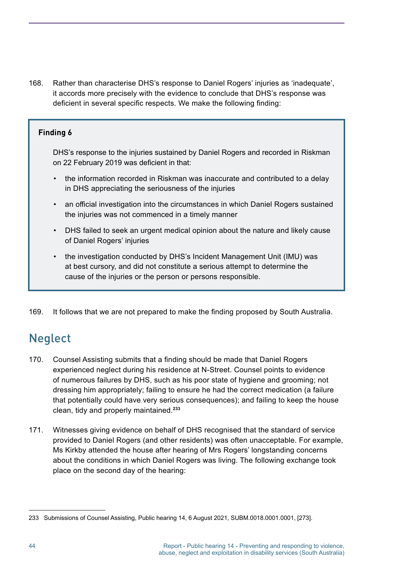168. Rather than characterise DHS's response to Daniel Rogers' injuries as 'inadequate', it accords more precisely with the evidence to conclude that DHS's response was deficient in several specific respects. We make the following finding:

#### **Finding 6**

DHS's response to the injuries sustained by Daniel Rogers and recorded in Riskman on 22 February 2019 was deficient in that:

- the information recorded in Riskman was inaccurate and contributed to a delay in DHS appreciating the seriousness of the injuries
- an official investigation into the circumstances in which Daniel Rogers sustained the injuries was not commenced in a timely manner
- DHS failed to seek an urgent medical opinion about the nature and likely cause of Daniel Rogers' injuries
- the investigation conducted by DHS's Incident Management Unit (IMU) was at best cursory, and did not constitute a serious attempt to determine the cause of the injuries or the person or persons responsible.
- 169. It follows that we are not prepared to make the finding proposed by South Australia.

# **Neglect**

- 170. Counsel Assisting submits that a finding should be made that Daniel Rogers experienced neglect during his residence at N-Street. Counsel points to evidence of numerous failures by DHS, such as his poor state of hygiene and grooming; not dressing him appropriately; failing to ensure he had the correct medication (a failure that potentially could have very serious consequences); and failing to keep the house clean, tidy and properly maintained. **233**
- 171. Witnesses giving evidence on behalf of DHS recognised that the standard of service provided to Daniel Rogers (and other residents) was often unacceptable. For example, Ms Kirkby attended the house after hearing of Mrs Rogers' longstanding concerns about the conditions in which Daniel Rogers was living. The following exchange took place on the second day of the hearing:

<sup>233</sup> Submissions of Counsel Assisting, Public hearing 14, 6 August 2021, SUBM.0018.0001.0001, [273].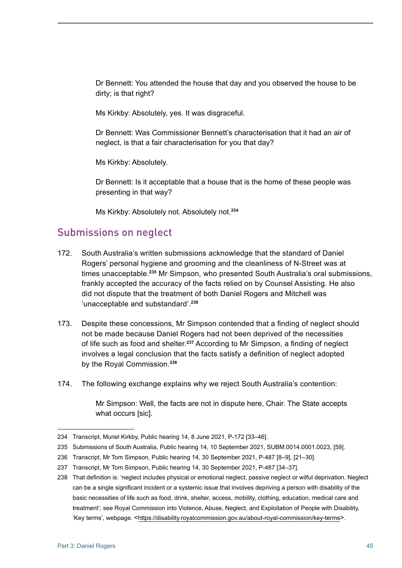Dr Bennett: You attended the house that day and you observed the house to be dirty; is that right?

Ms Kirkby: Absolutely, yes. It was disgraceful.

Dr Bennett: Was Commissioner Bennett's characterisation that it had an air of neglect, is that a fair characterisation for you that day?

Ms Kirkby: Absolutely.

Dr Bennett: Is it acceptable that a house that is the home of these people was presenting in that way?

Ms Kirkby: Absolutely not. Absolutely not. **234**

### Submissions on neglect

- 172. South Australia's written submissions acknowledge that the standard of Daniel Rogers' personal hygiene and grooming and the cleanliness of N-Street was at times unacceptable. **<sup>235</sup>** Mr Simpson, who presented South Australia's oral submissions, frankly accepted the accuracy of the facts relied on by Counsel Assisting. He also did not dispute that the treatment of both Daniel Rogers and Mitchell was 'unacceptable and substandard'. **236**
- 173. Despite these concessions, Mr Simpson contended that a finding of neglect should not be made because Daniel Rogers had not been deprived of the necessities of life such as food and shelter. **<sup>237</sup>** According to Mr Simpson, a finding of neglect involves a legal conclusion that the facts satisfy a definition of neglect adopted by the Royal Commission. **238**
- 174. The following exchange explains why we reject South Australia's contention:

Mr Simpson: Well, the facts are not in dispute here, Chair. The State accepts what occurs [sic].

<sup>234</sup> Transcript, Muriel Kirkby, Public hearing 14, 8 June 2021, P-172 [33–46].

<sup>235</sup> Submissions of South Australia, Public hearing 14, 10 September 2021, SUBM.0014.0001.0023, [59].

<sup>236</sup> Transcript, Mr Tom Simpson, Public hearing 14, 30 September 2021, P-487 [8–9], [21–30].

<sup>237</sup> Transcript, Mr Tom Simpson, Public hearing 14, 30 September 2021, P-487 [34–37].

<sup>238</sup> That definition is: 'neglect includes physical or emotional neglect, passive neglect or wilful deprivation. Neglect can be a single significant incident or a systemic issue that involves depriving a person with disability of the basic necessities of life such as food, drink, shelter, access, mobility, clothing, education, medical care and treatment'; see Royal Commission into Violence, Abuse, Neglect, and Exploitation of People with Disability, 'Key terms', webpage. <https://disability.royalcommission.gov.au/about-royal-commission/key-terms>.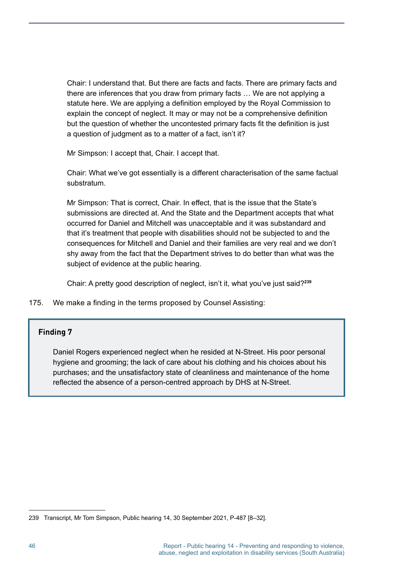Chair: I understand that. But there are facts and facts. There are primary facts and there are inferences that you draw from primary facts … We are not applying a statute here. We are applying a definition employed by the Royal Commission to explain the concept of neglect. It may or may not be a comprehensive definition but the question of whether the uncontested primary facts fit the definition is just a question of judgment as to a matter of a fact, isn't it?

Mr Simpson: I accept that, Chair. I accept that.

Chair: What we've got essentially is a different characterisation of the same factual substratum.

Mr Simpson: That is correct, Chair. In effect, that is the issue that the State's submissions are directed at. And the State and the Department accepts that what occurred for Daniel and Mitchell was unacceptable and it was substandard and that it's treatment that people with disabilities should not be subjected to and the consequences for Mitchell and Daniel and their families are very real and we don't shy away from the fact that the Department strives to do better than what was the subject of evidence at the public hearing.

Chair: A pretty good description of neglect, isn't it, what you've just said?**<sup>239</sup>**

175. We make a finding in the terms proposed by Counsel Assisting:

#### **Finding 7**

Daniel Rogers experienced neglect when he resided at N-Street. His poor personal hygiene and grooming; the lack of care about his clothing and his choices about his purchases; and the unsatisfactory state of cleanliness and maintenance of the home reflected the absence of a person-centred approach by DHS at N-Street.

<sup>239</sup> Transcript, Mr Tom Simpson, Public hearing 14, 30 September 2021, P-487 [8–32].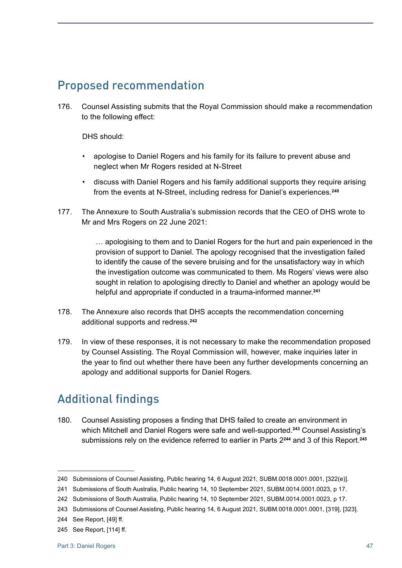# Proposed recommendation

176. Counsel Assisting submits that the Royal Commission should make a recommendation to the following effect:

DHS should:

- apologise to Daniel Rogers and his family for its failure to prevent abuse and neglect when Mr Rogers resided at N-Street
- discuss with Daniel Rogers and his family additional supports they require arising from the events at N-Street, including redress for Daniel's experiences. **240**
- 177. The Annexure to South Australia's submission records that the CEO of DHS wrote to Mr and Mrs Rogers on 22 June 2021:

… apologising to them and to Daniel Rogers for the hurt and pain experienced in the provision of support to Daniel. The apology recognised that the investigation failed to identify the cause of the severe bruising and for the unsatisfactory way in which the investigation outcome was communicated to them. Ms Rogers' views were also sought in relation to apologising directly to Daniel and whether an apology would be helpful and appropriate if conducted in a trauma-informed manner. **241**

- 178. The Annexure also records that DHS accepts the recommendation concerning additional supports and redress. **242**
- 179. In view of these responses, it is not necessary to make the recommendation proposed by Counsel Assisting. The Royal Commission will, however, make inquiries later in the year to find out whether there have been any further developments concerning an apology and additional supports for Daniel Rogers.

# Additional findings

180. Counsel Assisting proposes a finding that DHS failed to create an environment in which Mitchell and Daniel Rogers were safe and well-supported. **<sup>243</sup>** Counsel Assisting's submissions rely on the evidence referred to earlier in Parts 2**<sup>244</sup>** and 3 of this Report. **245**

<sup>240</sup> Submissions of Counsel Assisting, Public hearing 14, 6 August 2021, SUBM.0018.0001.0001, [322(e)].

<sup>241</sup> Submissions of South Australia, Public hearing 14, 10 September 2021, SUBM.0014.0001.0023, p 17.

<sup>242</sup> Submissions of South Australia, Public hearing 14, 10 September 2021, SUBM.0014.0001.0023, p 17.

<sup>243</sup> Submissions of Counsel Assisting, Public hearing 14, 6 August 2021, SUBM.0018.0001.0001, [319], [323].

<sup>244</sup> See Report, [49] ff.

<sup>245</sup> See Report, [114] ff.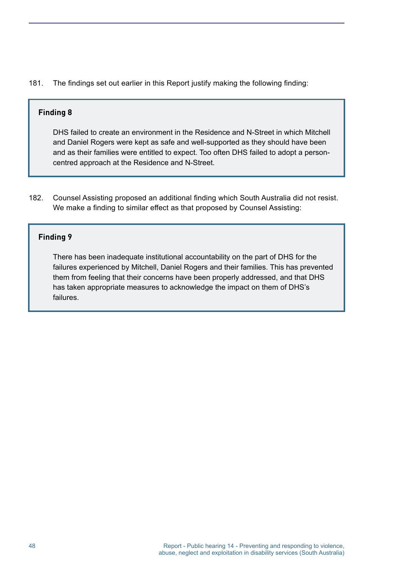181. The findings set out earlier in this Report justify making the following finding:

#### **Finding 8**

DHS failed to create an environment in the Residence and N-Street in which Mitchell and Daniel Rogers were kept as safe and well-supported as they should have been and as their families were entitled to expect. Too often DHS failed to adopt a personcentred approach at the Residence and N-Street.

182. Counsel Assisting proposed an additional finding which South Australia did not resist. We make a finding to similar effect as that proposed by Counsel Assisting:

#### **Finding 9**

There has been inadequate institutional accountability on the part of DHS for the failures experienced by Mitchell, Daniel Rogers and their families. This has prevented them from feeling that their concerns have been properly addressed, and that DHS has taken appropriate measures to acknowledge the impact on them of DHS's failures.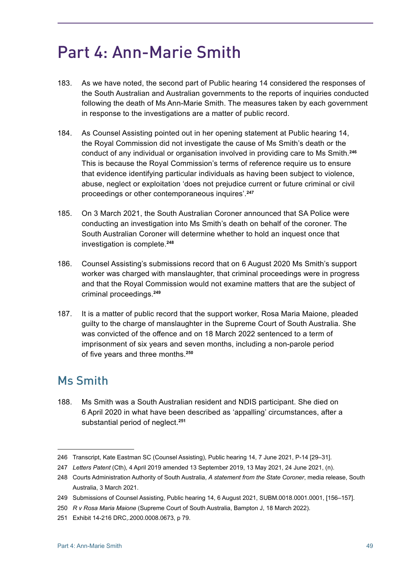# Part 4: Ann-Marie Smith

- 183. As we have noted, the second part of Public hearing 14 considered the responses of the South Australian and Australian governments to the reports of inquiries conducted following the death of Ms Ann-Marie Smith. The measures taken by each government in response to the investigations are a matter of public record.
- 184. As Counsel Assisting pointed out in her opening statement at Public hearing 14, the Royal Commission did not investigate the cause of Ms Smith's death or the conduct of any individual or organisation involved in providing care to Ms Smith. **246** This is because the Royal Commission's terms of reference require us to ensure that evidence identifying particular individuals as having been subject to violence, abuse, neglect or exploitation 'does not prejudice current or future criminal or civil proceedings or other contemporaneous inquires'. **247**
- 185. On 3 March 2021, the South Australian Coroner announced that SA Police were conducting an investigation into Ms Smith's death on behalf of the coroner. The South Australian Coroner will determine whether to hold an inquest once that investigation is complete. **<sup>248</sup>**
- 186. Counsel Assisting's submissions record that on 6 August 2020 Ms Smith's support worker was charged with manslaughter, that criminal proceedings were in progress and that the Royal Commission would not examine matters that are the subject of criminal proceedings. **249**
- 187. It is a matter of public record that the support worker, Rosa Maria Maione, pleaded guilty to the charge of manslaughter in the Supreme Court of South Australia. She was convicted of the offence and on 18 March 2022 sentenced to a term of imprisonment of six years and seven months, including a non-parole period of five years and three months.**<sup>250</sup>**

# Ms Smith

188. Ms Smith was a South Australian resident and NDIS participant. She died on 6 April 2020 in what have been described as 'appalling' circumstances, after a substantial period of neglect. **251**

<sup>246</sup> Transcript, Kate Eastman SC (Counsel Assisting), Public hearing 14, 7 June 2021, P-14 [29–31].

<sup>247</sup> *Letters Patent* (Cth), 4 April 2019 amended 13 September 2019, 13 May 2021, 24 June 2021, (n).

<sup>248</sup> Courts Administration Authority of South Australia, *A statement from the State Coroner*, media release, South Australia, 3 March 2021.

<sup>249</sup> Submissions of Counsel Assisting, Public hearing 14, 6 August 2021, SUBM.0018.0001.0001, [156–157].

<sup>250</sup> *R v Rosa Maria Maione* (Supreme Court of South Australia, Bampton J, 18 March 2022).

<sup>251</sup> Exhibit 14-216 DRC,.2000.0008.0673, p 79.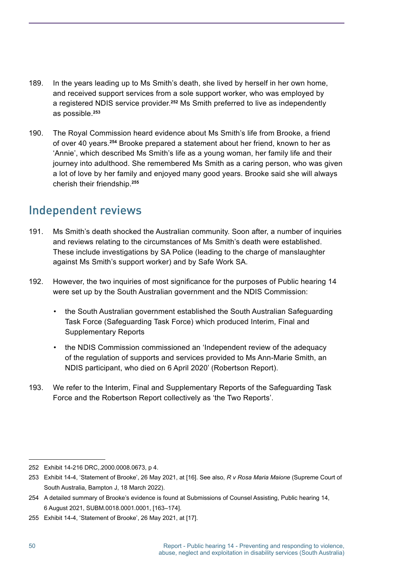- 189. In the years leading up to Ms Smith's death, she lived by herself in her own home, and received support services from a sole support worker, who was employed by a registered NDIS service provider. **<sup>252</sup>** Ms Smith preferred to live as independently as possible. **253**
- 190. The Royal Commission heard evidence about Ms Smith's life from Brooke, a friend of over 40 years. **<sup>254</sup>** Brooke prepared a statement about her friend, known to her as 'Annie', which described Ms Smith's life as a young woman, her family life and their journey into adulthood. She remembered Ms Smith as a caring person, who was given a lot of love by her family and enjoyed many good years. Brooke said she will always cherish their friendship. **255**

# Independent reviews

- 191. Ms Smith's death shocked the Australian community. Soon after, a number of inquiries and reviews relating to the circumstances of Ms Smith's death were established. These include investigations by SA Police (leading to the charge of manslaughter against Ms Smith's support worker) and by Safe Work SA.
- 192. However, the two inquiries of most significance for the purposes of Public hearing 14 were set up by the South Australian government and the NDIS Commission:
	- the South Australian government established the South Australian Safeguarding Task Force (Safeguarding Task Force) which produced Interim, Final and Supplementary Reports
	- the NDIS Commission commissioned an 'Independent review of the adequacy of the regulation of supports and services provided to Ms Ann-Marie Smith, an NDIS participant, who died on 6 April 2020' (Robertson Report).
- 193. We refer to the Interim, Final and Supplementary Reports of the Safeguarding Task Force and the Robertson Report collectively as 'the Two Reports'.

<sup>252</sup> Exhibit 14-216 DRC,.2000.0008.0673, p 4.

<sup>253</sup> Exhibit 14-4, 'Statement of Brooke', 26 May 2021, at [16]. See also, *R v Rosa Maria Maione* (Supreme Court of South Australia, Bampton J, 18 March 2022).

<sup>254</sup> A detailed summary of Brooke's evidence is found at Submissions of Counsel Assisting, Public hearing 14, 6 August 2021, SUBM.0018.0001.0001, [163–174].

<sup>255</sup> Exhibit 14-4, 'Statement of Brooke', 26 May 2021, at [17].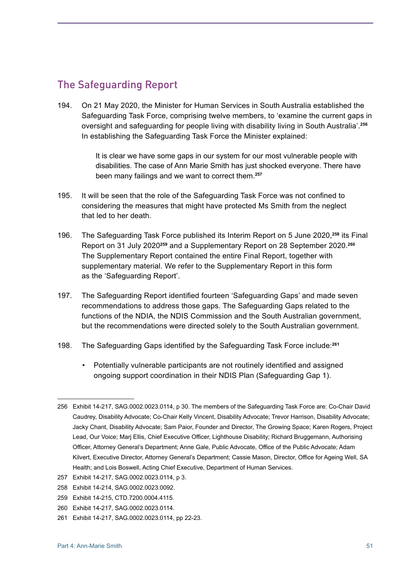### The Safeguarding Report

194. On 21 May 2020, the Minister for Human Services in South Australia established the Safeguarding Task Force, comprising twelve members, to 'examine the current gaps in oversight and safeguarding for people living with disability living in South Australia'. **256** In establishing the Safeguarding Task Force the Minister explained:

> It is clear we have some gaps in our system for our most vulnerable people with disabilities. The case of Ann Marie Smith has just shocked everyone. There have been many failings and we want to correct them. **257**

- 195. It will be seen that the role of the Safeguarding Task Force was not confined to considering the measures that might have protected Ms Smith from the neglect that led to her death.
- 196. The Safeguarding Task Force published its Interim Report on 5 June 2020,**<sup>258</sup>** its Final Report on 31 July 2020**<sup>259</sup>** and a Supplementary Report on 28 September 2020. **260** The Supplementary Report contained the entire Final Report, together with supplementary material. We refer to the Supplementary Report in this form as the 'Safeguarding Report'.
- 197. The Safeguarding Report identified fourteen 'Safeguarding Gaps' and made seven recommendations to address those gaps. The Safeguarding Gaps related to the functions of the NDIA, the NDIS Commission and the South Australian government, but the recommendations were directed solely to the South Australian government.
- 198. The Safeguarding Gaps identified by the Safeguarding Task Force include:**<sup>261</sup>**
	- Potentially vulnerable participants are not routinely identified and assigned ongoing support coordination in their NDIS Plan (Safeguarding Gap 1).

- 258 Exhibit 14-214, SAG.0002.0023.0092.
- 259 Exhibit 14-215, CTD.7200.0004.4115.
- 260 Exhibit 14-217, SAG.0002.0023.0114.
- 261 Exhibit 14-217, SAG.0002.0023.0114, pp 22-23.

<sup>256</sup> Exhibit 14-217, SAG.0002.0023.0114, p 30. The members of the Safeguarding Task Force are: Co-Chair David Caudrey, Disability Advocate; Co-Chair Kelly Vincent, Disability Advocate; Trevor Harrison, Disability Advocate; Jacky Chant, Disability Advocate; Sam Paior, Founder and Director, The Growing Space; Karen Rogers, Project Lead, Our Voice; Marj Ellis, Chief Executive Officer, Lighthouse Disability; Richard Bruggemann, Authorising Officer, Attorney General's Department; Anne Gale, Public Advocate, Office of the Public Advocate; Adam Kilvert, Executive Director, Attorney General's Department; Cassie Mason, Director, Office for Ageing Well, SA Health; and Lois Boswell, Acting Chief Executive, Department of Human Services.

<sup>257</sup> Exhibit 14-217, SAG.0002.0023.0114, p 3.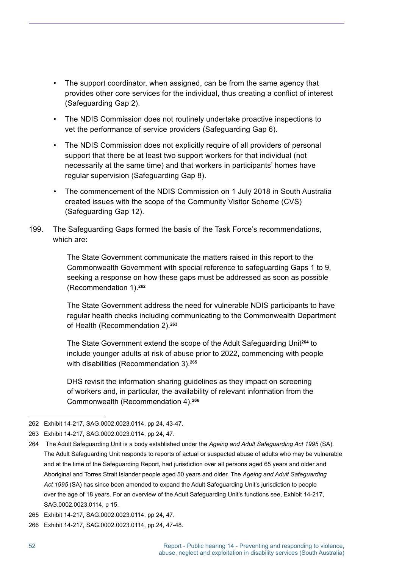- The support coordinator, when assigned, can be from the same agency that provides other core services for the individual, thus creating a conflict of interest (Safeguarding Gap 2).
- The NDIS Commission does not routinely undertake proactive inspections to vet the performance of service providers (Safeguarding Gap 6).
- The NDIS Commission does not explicitly require of all providers of personal support that there be at least two support workers for that individual (not necessarily at the same time) and that workers in participants' homes have regular supervision (Safeguarding Gap 8).
- The commencement of the NDIS Commission on 1 July 2018 in South Australia created issues with the scope of the Community Visitor Scheme (CVS) (Safeguarding Gap 12).
- 199. The Safeguarding Gaps formed the basis of the Task Force's recommendations, which are:

The State Government communicate the matters raised in this report to the Commonwealth Government with special reference to safeguarding Gaps 1 to 9, seeking a response on how these gaps must be addressed as soon as possible (Recommendation 1). **262**

The State Government address the need for vulnerable NDIS participants to have regular health checks including communicating to the Commonwealth Department of Health (Recommendation 2). **263**

The State Government extend the scope of the Adult Safeguarding Unit**<sup>264</sup>** to include younger adults at risk of abuse prior to 2022, commencing with people with disabilities (Recommendation 3). **265**

DHS revisit the information sharing guidelines as they impact on screening of workers and, in particular, the availability of relevant information from the Commonwealth (Recommendation 4). **266**

<sup>262</sup> Exhibit 14-217, SAG.0002.0023.0114, pp 24, 43-47.

<sup>263</sup> Exhibit 14-217, SAG.0002.0023.0114, pp 24, 47.

<sup>264</sup> The Adult Safeguarding Unit is a body established under the *Ageing and Adult Safeguarding Act 1995* (SA). The Adult Safeguarding Unit responds to reports of actual or suspected abuse of adults who may be vulnerable and at the time of the Safeguarding Report, had jurisdiction over all persons aged 65 years and older and Aboriginal and Torres Strait Islander people aged 50 years and older. The *Ageing and Adult Safeguarding Act 1995* (SA) has since been amended to expand the Adult Safeguarding Unit's jurisdiction to people over the age of 18 years. For an overview of the Adult Safeguarding Unit's functions see, Exhibit 14-217, SAG.0002.0023.0114, p 15.

<sup>265</sup> Exhibit 14-217, SAG.0002.0023.0114, pp 24, 47.

<sup>266</sup> Exhibit 14-217, SAG.0002.0023.0114, pp 24, 47-48.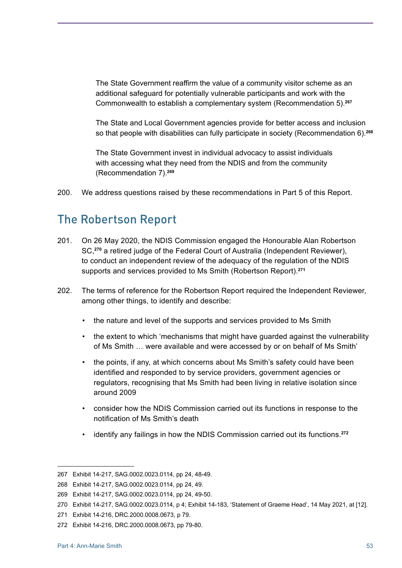The State Government reaffirm the value of a community visitor scheme as an additional safeguard for potentially vulnerable participants and work with the Commonwealth to establish a complementary system (Recommendation 5). **267**

The State and Local Government agencies provide for better access and inclusion so that people with disabilities can fully participate in society (Recommendation 6). **268**

The State Government invest in individual advocacy to assist individuals with accessing what they need from the NDIS and from the community (Recommendation 7). **269**

200. We address questions raised by these recommendations in Part 5 of this Report.

## The Robertson Report

- 201. On 26 May 2020, the NDIS Commission engaged the Honourable Alan Robertson SC,**<sup>270</sup>** a retired judge of the Federal Court of Australia (Independent Reviewer), to conduct an independent review of the adequacy of the regulation of the NDIS supports and services provided to Ms Smith (Robertson Report). **271**
- 202. The terms of reference for the Robertson Report required the Independent Reviewer, among other things, to identify and describe:
	- the nature and level of the supports and services provided to Ms Smith
	- the extent to which 'mechanisms that might have guarded against the vulnerability of Ms Smith … were available and were accessed by or on behalf of Ms Smith'
	- the points, if any, at which concerns about Ms Smith's safety could have been identified and responded to by service providers, government agencies or regulators, recognising that Ms Smith had been living in relative isolation since around 2009
	- consider how the NDIS Commission carried out its functions in response to the notification of Ms Smith's death
	- identify any failings in how the NDIS Commission carried out its functions. **272**

<sup>267</sup> Exhibit 14-217, SAG.0002.0023.0114, pp 24, 48-49.

<sup>268</sup> Exhibit 14-217, SAG.0002.0023.0114, pp 24, 49.

<sup>269</sup> Exhibit 14-217, SAG.0002.0023.0114, pp 24, 49-50.

<sup>270</sup> Exhibit 14-217, SAG.0002.0023.0114, p 4; Exhibit 14-183, 'Statement of Graeme Head', 14 May 2021, at [12].

<sup>271</sup> Exhibit 14-216, DRC.2000.0008.0673, p 79.

<sup>272</sup> Exhibit 14-216, DRC.2000.0008.0673, pp 79-80.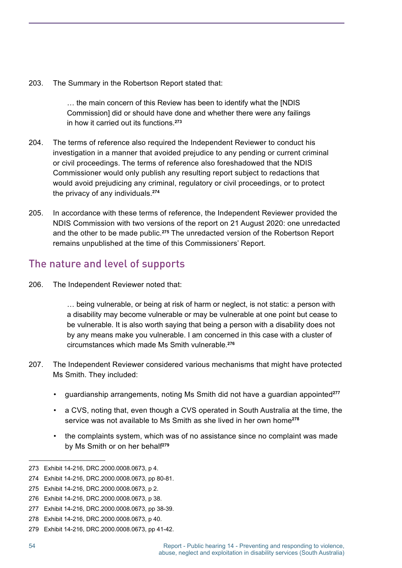203. The Summary in the Robertson Report stated that:

… the main concern of this Review has been to identify what the [NDIS Commission] did or should have done and whether there were any failings in how it carried out its functions. **273**

- 204. The terms of reference also required the Independent Reviewer to conduct his investigation in a manner that avoided prejudice to any pending or current criminal or civil proceedings. The terms of reference also foreshadowed that the NDIS Commissioner would only publish any resulting report subject to redactions that would avoid prejudicing any criminal, regulatory or civil proceedings, or to protect the privacy of any individuals. **274**
- 205. In accordance with these terms of reference, the Independent Reviewer provided the NDIS Commission with two versions of the report on 21 August 2020: one unredacted and the other to be made public. **<sup>275</sup>** The unredacted version of the Robertson Report remains unpublished at the time of this Commissioners' Report.

### The nature and level of supports

206. The Independent Reviewer noted that:

… being vulnerable, or being at risk of harm or neglect, is not static: a person with a disability may become vulnerable or may be vulnerable at one point but cease to be vulnerable. It is also worth saying that being a person with a disability does not by any means make you vulnerable. I am concerned in this case with a cluster of circumstances which made Ms Smith vulnerable. **276**

- 207. The Independent Reviewer considered various mechanisms that might have protected Ms Smith. They included:
	- guardianship arrangements, noting Ms Smith did not have a guardian appointed**<sup>277</sup>**
	- a CVS, noting that, even though a CVS operated in South Australia at the time, the service was not available to Ms Smith as she lived in her own home**<sup>278</sup>**
	- the complaints system, which was of no assistance since no complaint was made by Ms Smith or on her behalf**<sup>279</sup>**

<sup>273</sup> Exhibit 14-216, DRC.2000.0008.0673, p 4.

<sup>274</sup> Exhibit 14-216, DRC.2000.0008.0673, pp 80-81.

<sup>275</sup> Exhibit 14-216, DRC.2000.0008.0673, p 2.

<sup>276</sup> Exhibit 14-216, DRC.2000.0008.0673, p 38.

<sup>277</sup> Exhibit 14-216, DRC.2000.0008.0673, pp 38-39.

<sup>278</sup> Exhibit 14-216, DRC.2000.0008.0673, p 40.

<sup>279</sup> Exhibit 14-216, DRC.2000.0008.0673, pp 41-42.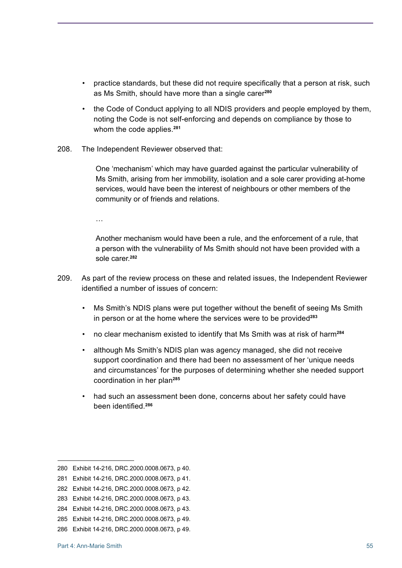- practice standards, but these did not require specifically that a person at risk, such as Ms Smith, should have more than a single carer**<sup>280</sup>**
- the Code of Conduct applying to all NDIS providers and people employed by them, noting the Code is not self-enforcing and depends on compliance by those to whom the code applies. **281**
- 208. The Independent Reviewer observed that:

One 'mechanism' which may have guarded against the particular vulnerability of Ms Smith, arising from her immobility, isolation and a sole carer providing at-home services, would have been the interest of neighbours or other members of the community or of friends and relations.

…

Another mechanism would have been a rule, and the enforcement of a rule, that a person with the vulnerability of Ms Smith should not have been provided with a sole carer. **282**

- 209. As part of the review process on these and related issues, the Independent Reviewer identified a number of issues of concern:
	- Ms Smith's NDIS plans were put together without the benefit of seeing Ms Smith in person or at the home where the services were to be provided**<sup>283</sup>**
	- no clear mechanism existed to identify that Ms Smith was at risk of harm**<sup>284</sup>**
	- although Ms Smith's NDIS plan was agency managed, she did not receive support coordination and there had been no assessment of her 'unique needs and circumstances' for the purposes of determining whether she needed support coordination in her plan**<sup>285</sup>**
	- had such an assessment been done, concerns about her safety could have been identified.**<sup>286</sup>**

<sup>280</sup> Exhibit 14-216, DRC.2000.0008.0673, p 40.

<sup>281</sup> Exhibit 14-216, DRC.2000.0008.0673, p 41.

<sup>282</sup> Exhibit 14-216, DRC.2000.0008.0673, p 42.

<sup>283</sup> Exhibit 14-216, DRC.2000.0008.0673, p 43.

<sup>284</sup> Exhibit 14-216, DRC.2000.0008.0673, p 43.

<sup>285</sup> Exhibit 14-216, DRC.2000.0008.0673, p 49.

<sup>286</sup> Exhibit 14-216, DRC.2000.0008.0673, p 49.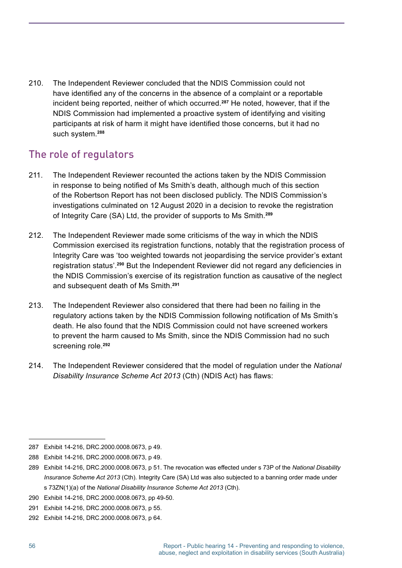210. The Independent Reviewer concluded that the NDIS Commission could not have identified any of the concerns in the absence of a complaint or a reportable incident being reported, neither of which occurred. **<sup>287</sup>** He noted, however, that if the NDIS Commission had implemented a proactive system of identifying and visiting participants at risk of harm it might have identified those concerns, but it had no such system. **288**

### The role of regulators

- 211. The Independent Reviewer recounted the actions taken by the NDIS Commission in response to being notified of Ms Smith's death, although much of this section of the Robertson Report has not been disclosed publicly. The NDIS Commission's investigations culminated on 12 August 2020 in a decision to revoke the registration of Integrity Care (SA) Ltd, the provider of supports to Ms Smith. **289**
- 212. The Independent Reviewer made some criticisms of the way in which the NDIS Commission exercised its registration functions, notably that the registration process of Integrity Care was 'too weighted towards not jeopardising the service provider's extant registration status'. **<sup>290</sup>** But the Independent Reviewer did not regard any deficiencies in the NDIS Commission's exercise of its registration function as causative of the neglect and subsequent death of Ms Smith. **291**
- 213. The Independent Reviewer also considered that there had been no failing in the regulatory actions taken by the NDIS Commission following notification of Ms Smith's death. He also found that the NDIS Commission could not have screened workers to prevent the harm caused to Ms Smith, since the NDIS Commission had no such screening role. **292**
- 214. The Independent Reviewer considered that the model of regulation under the *National Disability Insurance Scheme Act 2013* (Cth) (NDIS Act) has flaws:

<sup>287</sup> Exhibit 14-216, DRC.2000.0008.0673, p 49.

<sup>288</sup> Exhibit 14-216, DRC.2000.0008.0673, p 49.

<sup>289</sup> Exhibit 14-216, DRC.2000.0008.0673, p 51. The revocation was effected under s 73P of the *National Disability Insurance Scheme Act 2013* (Cth). Integrity Care (SA) Ltd was also subjected to a banning order made under s 73ZN(1)(a) of the *National Disability Insurance Scheme Act 2013* (Cth).

<sup>290</sup> Exhibit 14-216, DRC.2000.0008.0673, pp 49-50.

<sup>291</sup> Exhibit 14-216, DRC.2000.0008.0673, p 55.

<sup>292</sup> Exhibit 14-216, DRC.2000.0008.0673, p 64.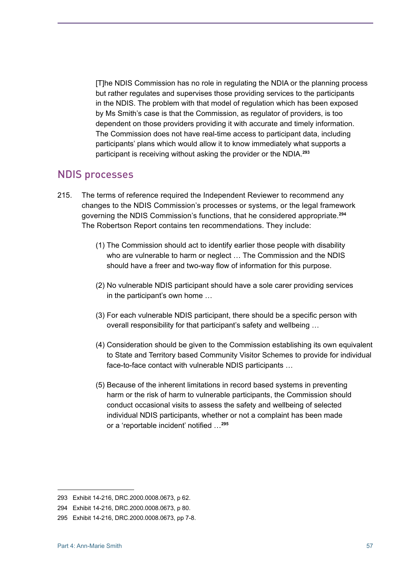[T]he NDIS Commission has no role in regulating the NDIA or the planning process but rather regulates and supervises those providing services to the participants in the NDIS. The problem with that model of regulation which has been exposed by Ms Smith's case is that the Commission, as regulator of providers, is too dependent on those providers providing it with accurate and timely information. The Commission does not have real-time access to participant data, including participants' plans which would allow it to know immediately what supports a participant is receiving without asking the provider or the NDIA. **293**

### NDIS processes

- 215. The terms of reference required the Independent Reviewer to recommend any changes to the NDIS Commission's processes or systems, or the legal framework governing the NDIS Commission's functions, that he considered appropriate. **294** The Robertson Report contains ten recommendations. They include:
	- (1) The Commission should act to identify earlier those people with disability who are vulnerable to harm or neglect … The Commission and the NDIS should have a freer and two-way flow of information for this purpose.
	- (2) No vulnerable NDIS participant should have a sole carer providing services in the participant's own home …
	- (3) For each vulnerable NDIS participant, there should be a specific person with overall responsibility for that participant's safety and wellbeing …
	- (4) Consideration should be given to the Commission establishing its own equivalent to State and Territory based Community Visitor Schemes to provide for individual face-to-face contact with vulnerable NDIS participants …
	- (5) Because of the inherent limitations in record based systems in preventing harm or the risk of harm to vulnerable participants, the Commission should conduct occasional visits to assess the safety and wellbeing of selected individual NDIS participants, whether or not a complaint has been made or a 'reportable incident' notified …**<sup>295</sup>**

<sup>293</sup> Exhibit 14-216, DRC.2000.0008.0673, p 62.

<sup>294</sup> Exhibit 14-216, DRC.2000.0008.0673, p 80.

<sup>295</sup> Exhibit 14-216, DRC.2000.0008.0673, pp 7-8.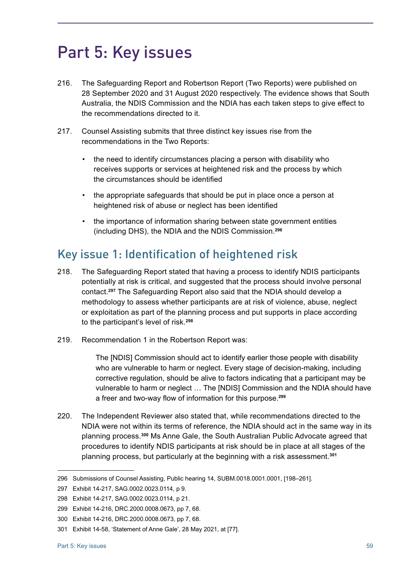# Part 5: Key issues

- 216. The Safeguarding Report and Robertson Report (Two Reports) were published on 28 September 2020 and 31 August 2020 respectively. The evidence shows that South Australia, the NDIS Commission and the NDIA has each taken steps to give effect to the recommendations directed to it.
- 217. Counsel Assisting submits that three distinct key issues rise from the recommendations in the Two Reports:
	- the need to identify circumstances placing a person with disability who receives supports or services at heightened risk and the process by which the circumstances should be identified
	- the appropriate safeguards that should be put in place once a person at heightened risk of abuse or neglect has been identified
	- the importance of information sharing between state government entities (including DHS), the NDIA and the NDIS Commission. **296**

# Key issue 1: Identification of heightened risk

- 218. The Safeguarding Report stated that having a process to identify NDIS participants potentially at risk is critical, and suggested that the process should involve personal contact. **<sup>297</sup>** The Safeguarding Report also said that the NDIA should develop a methodology to assess whether participants are at risk of violence, abuse, neglect or exploitation as part of the planning process and put supports in place according to the participant's level of risk. **298**
- 219. Recommendation 1 in the Robertson Report was:

The [NDIS] Commission should act to identify earlier those people with disability who are vulnerable to harm or neglect. Every stage of decision-making, including corrective regulation, should be alive to factors indicating that a participant may be vulnerable to harm or neglect … The [NDIS] Commission and the NDIA should have a freer and two-way flow of information for this purpose.**<sup>299</sup>**

220. The Independent Reviewer also stated that, while recommendations directed to the NDIA were not within its terms of reference, the NDIA should act in the same way in its planning process. **<sup>300</sup>** Ms Anne Gale, the South Australian Public Advocate agreed that procedures to identify NDIS participants at risk should be in place at all stages of the planning process, but particularly at the beginning with a risk assessment. **301**

<sup>296</sup> Submissions of Counsel Assisting, Public hearing 14, SUBM.0018.0001.0001, [198–261].

<sup>297</sup> Exhibit 14-217, SAG.0002.0023.0114, p 9.

<sup>298</sup> Exhibit 14-217, SAG.0002.0023.0114, p 21.

<sup>299</sup> Exhibit 14-216, DRC.2000.0008.0673, pp 7, 68.

<sup>300</sup> Exhibit 14-216, DRC.2000.0008.0673, pp 7, 68.

<sup>301</sup> Exhibit 14-58, 'Statement of Anne Gale', 28 May 2021, at [77].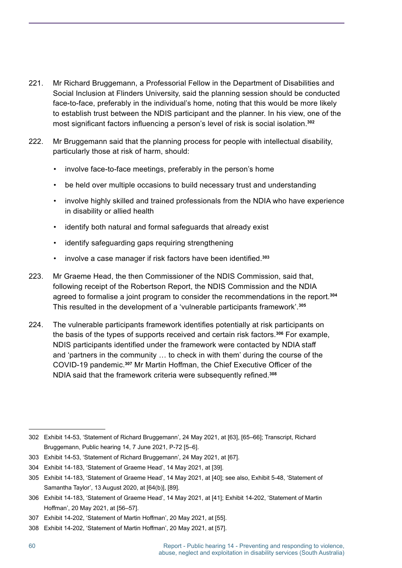- 221. Mr Richard Bruggemann, a Professorial Fellow in the Department of Disabilities and Social Inclusion at Flinders University, said the planning session should be conducted face-to-face, preferably in the individual's home, noting that this would be more likely to establish trust between the NDIS participant and the planner. In his view, one of the most significant factors influencing a person's level of risk is social isolation.**<sup>302</sup>**
- 222. Mr Bruggemann said that the planning process for people with intellectual disability, particularly those at risk of harm, should:
	- involve face-to-face meetings, preferably in the person's home
	- be held over multiple occasions to build necessary trust and understanding
	- involve highly skilled and trained professionals from the NDIA who have experience in disability or allied health
	- identify both natural and formal safeguards that already exist
	- identify safeguarding gaps requiring strengthening
	- involve a case manager if risk factors have been identified.**<sup>303</sup>**
- 223. Mr Graeme Head, the then Commissioner of the NDIS Commission, said that, following receipt of the Robertson Report, the NDIS Commission and the NDIA agreed to formalise a joint program to consider the recommendations in the report. **304** This resulted in the development of a 'vulnerable participants framework'. **305**
- 224. The vulnerable participants framework identifies potentially at risk participants on the basis of the types of supports received and certain risk factors. **<sup>306</sup>** For example, NDIS participants identified under the framework were contacted by NDIA staff and 'partners in the community … to check in with them' during the course of the COVID-19 pandemic. **<sup>307</sup>** Mr Martin Hoffman, the Chief Executive Officer of the NDIA said that the framework criteria were subsequently refined.**<sup>308</sup>**

<sup>302</sup> Exhibit 14-53, 'Statement of Richard Bruggemann', 24 May 2021, at [63], [65–66]; Transcript, Richard Bruggemann, Public hearing 14, 7 June 2021, P-72 [5–6].

<sup>303</sup> Exhibit 14-53, 'Statement of Richard Bruggemann', 24 May 2021, at [67].

<sup>304</sup> Exhibit 14-183, 'Statement of Graeme Head', 14 May 2021, at [39].

<sup>305</sup> Exhibit 14-183, 'Statement of Graeme Head', 14 May 2021, at [40]; see also, Exhibit 5-48, 'Statement of Samantha Taylor', 13 August 2020, at [64(b)], [89].

<sup>306</sup> Exhibit 14-183, 'Statement of Graeme Head', 14 May 2021, at [41]; Exhibit 14-202, 'Statement of Martin Hoffman', 20 May 2021, at [56–57].

<sup>307</sup> Exhibit 14-202, 'Statement of Martin Hoffman', 20 May 2021, at [55].

<sup>308</sup> Exhibit 14-202, 'Statement of Martin Hoffman', 20 May 2021, at [57].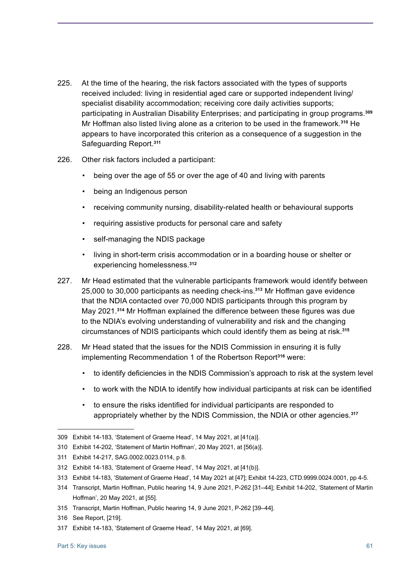- 225. At the time of the hearing, the risk factors associated with the types of supports received included: living in residential aged care or supported independent living/ specialist disability accommodation; receiving core daily activities supports; participating in Australian Disability Enterprises; and participating in group programs. **309** Mr Hoffman also listed living alone as a criterion to be used in the framework.**<sup>310</sup>** He appears to have incorporated this criterion as a consequence of a suggestion in the Safeguarding Report. **311**
- 226. Other risk factors included a participant:
	- being over the age of 55 or over the age of 40 and living with parents
	- being an Indigenous person
	- receiving community nursing, disability-related health or behavioural supports
	- requiring assistive products for personal care and safety
	- self-managing the NDIS package
	- living in short-term crisis accommodation or in a boarding house or shelter or experiencing homelessness. **312**
- 227. Mr Head estimated that the vulnerable participants framework would identify between 25,000 to 30,000 participants as needing check-ins. **<sup>313</sup>** Mr Hoffman gave evidence that the NDIA contacted over 70,000 NDIS participants through this program by May 2021. **<sup>314</sup>** Mr Hoffman explained the difference between these figures was due to the NDIA's evolving understanding of vulnerability and risk and the changing circumstances of NDIS participants which could identify them as being at risk. **315**
- 228. Mr Head stated that the issues for the NDIS Commission in ensuring it is fully implementing Recommendation 1 of the Robertson Report**<sup>316</sup>** were:
	- to identify deficiencies in the NDIS Commission's approach to risk at the system level
	- to work with the NDIA to identify how individual participants at risk can be identified
	- to ensure the risks identified for individual participants are responded to appropriately whether by the NDIS Commission, the NDIA or other agencies. **317**

<sup>309</sup> Exhibit 14-183, 'Statement of Graeme Head', 14 May 2021, at [41(a)].

<sup>310</sup> Exhibit 14-202, 'Statement of Martin Hoffman', 20 May 2021, at [56(a)].

<sup>311</sup> Exhibit 14-217, SAG.0002.0023.0114, p 8.

<sup>312</sup> Exhibit 14-183, 'Statement of Graeme Head', 14 May 2021, at [41(b)].

<sup>313</sup> Exhibit 14-183, 'Statement of Graeme Head', 14 May 2021 at [47]; Exhibit 14-223, CTD.9999.0024.0001, pp 4-5.

<sup>314</sup> Transcript, Martin Hoffman, Public hearing 14, 9 June 2021, P-262 [31–44]; Exhibit 14-202, 'Statement of Martin Hoffman', 20 May 2021, at [55].

<sup>315</sup> Transcript, Martin Hoffman, Public hearing 14, 9 June 2021, P-262 [39–44].

<sup>316</sup> See Report, [219].

<sup>317</sup> Exhibit 14-183, 'Statement of Graeme Head', 14 May 2021, at [69].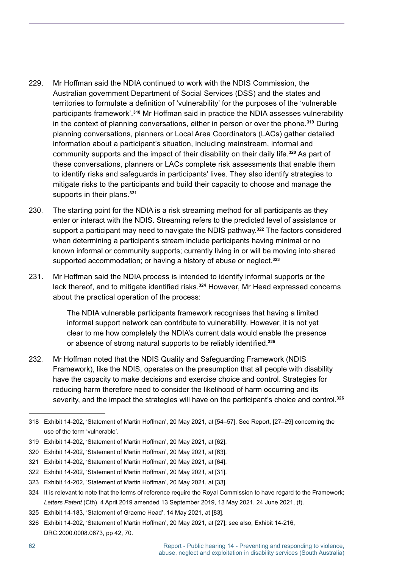- 229. Mr Hoffman said the NDIA continued to work with the NDIS Commission, the Australian government Department of Social Services (DSS) and the states and territories to formulate a definition of 'vulnerability' for the purposes of the 'vulnerable participants framework'. **<sup>318</sup>** Mr Hoffman said in practice the NDIA assesses vulnerability in the context of planning conversations, either in person or over the phone. **<sup>319</sup>** During planning conversations, planners or Local Area Coordinators (LACs) gather detailed information about a participant's situation, including mainstream, informal and community supports and the impact of their disability on their daily life. **<sup>320</sup>** As part of these conversations, planners or LACs complete risk assessments that enable them to identify risks and safeguards in participants' lives. They also identify strategies to mitigate risks to the participants and build their capacity to choose and manage the supports in their plans. **321**
- 230. The starting point for the NDIA is a risk streaming method for all participants as they enter or interact with the NDIS. Streaming refers to the predicted level of assistance or support a participant may need to navigate the NDIS pathway. **<sup>322</sup>** The factors considered when determining a participant's stream include participants having minimal or no known informal or community supports; currently living in or will be moving into shared supported accommodation; or having a history of abuse or neglect. **323**
- 231. Mr Hoffman said the NDIA process is intended to identify informal supports or the lack thereof, and to mitigate identified risks.**<sup>324</sup>** However, Mr Head expressed concerns about the practical operation of the process:

The NDIA vulnerable participants framework recognises that having a limited informal support network can contribute to vulnerability. However, it is not yet clear to me how completely the NDIA's current data would enable the presence or absence of strong natural supports to be reliably identified.**<sup>325</sup>**

232. Mr Hoffman noted that the NDIS Quality and Safeguarding Framework (NDIS Framework), like the NDIS, operates on the presumption that all people with disability have the capacity to make decisions and exercise choice and control. Strategies for reducing harm therefore need to consider the likelihood of harm occurring and its severity, and the impact the strategies will have on the participant's choice and control. **326**

<sup>318</sup> Exhibit 14-202, 'Statement of Martin Hoffman', 20 May 2021, at [54–57]. See Report, [27–29] concerning the use of the term 'vulnerable'.

<sup>319</sup> Exhibit 14-202, 'Statement of Martin Hoffman', 20 May 2021, at [62].

<sup>320</sup> Exhibit 14-202, 'Statement of Martin Hoffman', 20 May 2021, at [63].

<sup>321</sup> Exhibit 14-202, 'Statement of Martin Hoffman', 20 May 2021, at [64].

<sup>322</sup> Exhibit 14-202, 'Statement of Martin Hoffman', 20 May 2021, at [31].

<sup>323</sup> Exhibit 14-202, 'Statement of Martin Hoffman', 20 May 2021, at [33].

<sup>324</sup> It is relevant to note that the terms of reference require the Royal Commission to have regard to the Framework; *Letters Patent* (Cth), 4 April 2019 amended 13 September 2019, 13 May 2021, 24 June 2021, (f).

<sup>325</sup> Exhibit 14-183, 'Statement of Graeme Head', 14 May 2021, at [83].

<sup>326</sup> Exhibit 14-202, 'Statement of Martin Hoffman', 20 May 2021, at [27]; see also, Exhibit 14-216, DRC.2000.0008.0673, pp 42, 70.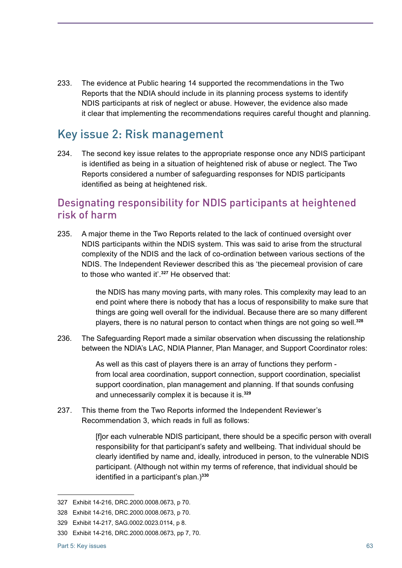233. The evidence at Public hearing 14 supported the recommendations in the Two Reports that the NDIA should include in its planning process systems to identify NDIS participants at risk of neglect or abuse. However, the evidence also made it clear that implementing the recommendations requires careful thought and planning.

### Key issue 2: Risk management

234. The second key issue relates to the appropriate response once any NDIS participant is identified as being in a situation of heightened risk of abuse or neglect. The Two Reports considered a number of safeguarding responses for NDIS participants identified as being at heightened risk.

### Designating responsibility for NDIS participants at heightened risk of harm

235. A major theme in the Two Reports related to the lack of continued oversight over NDIS participants within the NDIS system. This was said to arise from the structural complexity of the NDIS and the lack of co-ordination between various sections of the NDIS. The Independent Reviewer described this as 'the piecemeal provision of care to those who wanted it'. **<sup>327</sup>** He observed that:

> the NDIS has many moving parts, with many roles. This complexity may lead to an end point where there is nobody that has a locus of responsibility to make sure that things are going well overall for the individual. Because there are so many different players, there is no natural person to contact when things are not going so well. **328**

236. The Safeguarding Report made a similar observation when discussing the relationship between the NDIA's LAC, NDIA Planner, Plan Manager, and Support Coordinator roles:

> As well as this cast of players there is an array of functions they perform from local area coordination, support connection, support coordination, specialist support coordination, plan management and planning. If that sounds confusing and unnecessarily complex it is because it is. **329**

237. This theme from the Two Reports informed the Independent Reviewer's Recommendation 3, which reads in full as follows:

> [f]or each vulnerable NDIS participant, there should be a specific person with overall responsibility for that participant's safety and wellbeing. That individual should be clearly identified by name and, ideally, introduced in person, to the vulnerable NDIS participant. (Although not within my terms of reference, that individual should be identified in a participant's plan.)**<sup>330</sup>**

<sup>327</sup> Exhibit 14-216, DRC.2000.0008.0673, p 70.

<sup>328</sup> Exhibit 14-216, DRC.2000.0008.0673, p 70.

<sup>329</sup> Exhibit 14-217, SAG.0002.0023.0114, p 8.

<sup>330</sup> Exhibit 14-216, DRC.2000.0008.0673, pp 7, 70.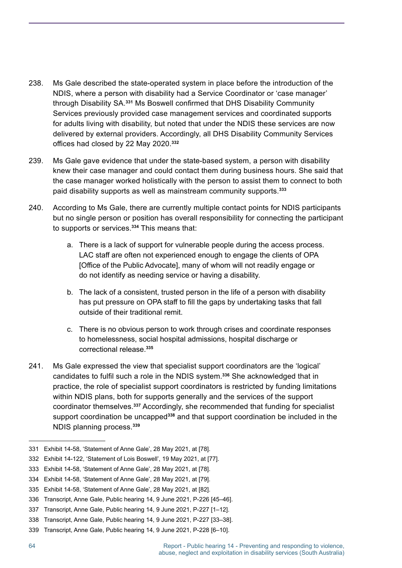- 238. Ms Gale described the state-operated system in place before the introduction of the NDIS, where a person with disability had a Service Coordinator or 'case manager' through Disability SA. **<sup>331</sup>** Ms Boswell confirmed that DHS Disability Community Services previously provided case management services and coordinated supports for adults living with disability, but noted that under the NDIS these services are now delivered by external providers. Accordingly, all DHS Disability Community Services offices had closed by 22 May 2020.**<sup>332</sup>**
- 239. Ms Gale gave evidence that under the state-based system, a person with disability knew their case manager and could contact them during business hours. She said that the case manager worked holistically with the person to assist them to connect to both paid disability supports as well as mainstream community supports. **333**
- 240. According to Ms Gale, there are currently multiple contact points for NDIS participants but no single person or position has overall responsibility for connecting the participant to supports or services. **<sup>334</sup>** This means that:
	- a. There is a lack of support for vulnerable people during the access process. LAC staff are often not experienced enough to engage the clients of OPA [Office of the Public Advocate], many of whom will not readily engage or do not identify as needing service or having a disability.
	- b. The lack of a consistent, trusted person in the life of a person with disability has put pressure on OPA staff to fill the gaps by undertaking tasks that fall outside of their traditional remit.
	- c. There is no obvious person to work through crises and coordinate responses to homelessness, social hospital admissions, hospital discharge or correctional release. **335**
- 241. Ms Gale expressed the view that specialist support coordinators are the 'logical' candidates to fulfil such a role in the NDIS system.**<sup>336</sup>** She acknowledged that in practice, the role of specialist support coordinators is restricted by funding limitations within NDIS plans, both for supports generally and the services of the support coordinator themselves. **<sup>337</sup>** Accordingly, she recommended that funding for specialist support coordination be uncapped**<sup>338</sup>** and that support coordination be included in the NDIS planning process. **339**

<sup>331</sup> Exhibit 14-58, 'Statement of Anne Gale', 28 May 2021, at [78].

<sup>332</sup> Exhibit 14-122, 'Statement of Lois Boswell', 19 May 2021, at [77].

<sup>333</sup> Exhibit 14-58, 'Statement of Anne Gale', 28 May 2021, at [78].

<sup>334</sup> Exhibit 14-58, 'Statement of Anne Gale', 28 May 2021, at [79].

<sup>335</sup> Exhibit 14-58, 'Statement of Anne Gale', 28 May 2021, at [82].

<sup>336</sup> Transcript, Anne Gale, Public hearing 14, 9 June 2021, P-226 [45–46].

<sup>337</sup> Transcript, Anne Gale, Public hearing 14, 9 June 2021, P-227 [1–12].

<sup>338</sup> Transcript, Anne Gale, Public hearing 14, 9 June 2021, P-227 [33–38].

<sup>339</sup> Transcript, Anne Gale, Public hearing 14, 9 June 2021, P-228 [6–10].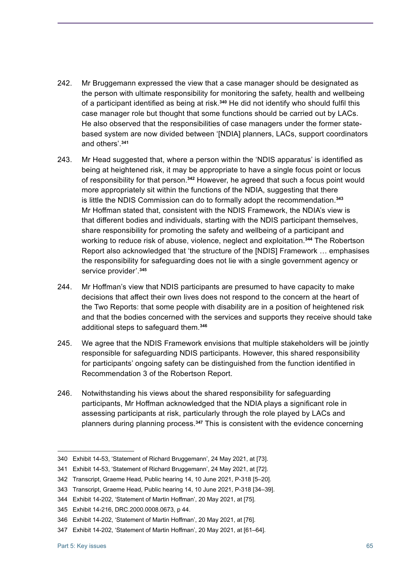- 242. Mr Bruggemann expressed the view that a case manager should be designated as the person with ultimate responsibility for monitoring the safety, health and wellbeing of a participant identified as being at risk.**<sup>340</sup>** He did not identify who should fulfil this case manager role but thought that some functions should be carried out by LACs. He also observed that the responsibilities of case managers under the former statebased system are now divided between '[NDIA] planners, LACs, support coordinators and others'. **341**
- 243. Mr Head suggested that, where a person within the 'NDIS apparatus' is identified as being at heightened risk, it may be appropriate to have a single focus point or locus of responsibility for that person. **<sup>342</sup>** However, he agreed that such a focus point would more appropriately sit within the functions of the NDIA, suggesting that there is little the NDIS Commission can do to formally adopt the recommendation. **343** Mr Hoffman stated that, consistent with the NDIS Framework, the NDIA's view is that different bodies and individuals, starting with the NDIS participant themselves, share responsibility for promoting the safety and wellbeing of a participant and working to reduce risk of abuse, violence, neglect and exploitation. **<sup>344</sup>** The Robertson Report also acknowledged that 'the structure of the [NDIS] Framework … emphasises the responsibility for safeguarding does not lie with a single government agency or service provider'. **345**
- 244. Mr Hoffman's view that NDIS participants are presumed to have capacity to make decisions that affect their own lives does not respond to the concern at the heart of the Two Reports: that some people with disability are in a position of heightened risk and that the bodies concerned with the services and supports they receive should take additional steps to safeguard them. **346**
- 245. We agree that the NDIS Framework envisions that multiple stakeholders will be jointly responsible for safeguarding NDIS participants. However, this shared responsibility for participants' ongoing safety can be distinguished from the function identified in Recommendation 3 of the Robertson Report.
- 246. Notwithstanding his views about the shared responsibility for safeguarding participants, Mr Hoffman acknowledged that the NDIA plays a significant role in assessing participants at risk, particularly through the role played by LACs and planners during planning process. **<sup>347</sup>** This is consistent with the evidence concerning

<sup>340</sup> Exhibit 14-53, 'Statement of Richard Bruggemann', 24 May 2021, at [73].

<sup>341</sup> Exhibit 14-53, 'Statement of Richard Bruggemann', 24 May 2021, at [72].

<sup>342</sup> Transcript, Graeme Head, Public hearing 14, 10 June 2021, P-318 [5–20].

<sup>343</sup> Transcript, Graeme Head, Public hearing 14, 10 June 2021, P-318 [34–39].

<sup>344</sup> Exhibit 14-202, 'Statement of Martin Hoffman', 20 May 2021, at [75].

<sup>345</sup> Exhibit 14-216, DRC.2000.0008.0673, p 44.

<sup>346</sup> Exhibit 14-202, 'Statement of Martin Hoffman', 20 May 2021, at [76].

<sup>347</sup> Exhibit 14-202, 'Statement of Martin Hoffman', 20 May 2021, at [61–64].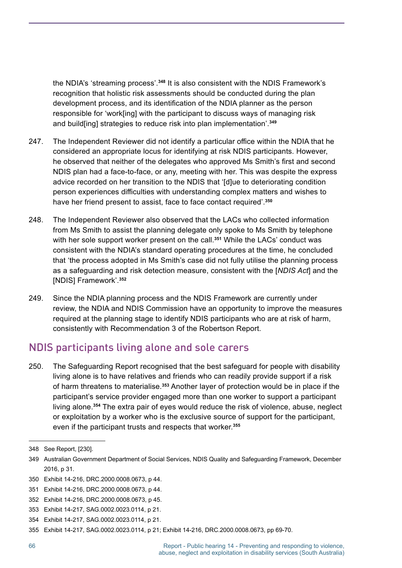the NDIA's 'streaming process'. **<sup>348</sup>** It is also consistent with the NDIS Framework's recognition that holistic risk assessments should be conducted during the plan development process, and its identification of the NDIA planner as the person responsible for 'work[ing] with the participant to discuss ways of managing risk and build[ing] strategies to reduce risk into plan implementation'. **349**

- 247. The Independent Reviewer did not identify a particular office within the NDIA that he considered an appropriate locus for identifying at risk NDIS participants. However, he observed that neither of the delegates who approved Ms Smith's first and second NDIS plan had a face-to-face, or any, meeting with her. This was despite the express advice recorded on her transition to the NDIS that '[d]ue to deteriorating condition person experiences difficulties with understanding complex matters and wishes to have her friend present to assist, face to face contact required'. **350**
- 248. The Independent Reviewer also observed that the LACs who collected information from Ms Smith to assist the planning delegate only spoke to Ms Smith by telephone with her sole support worker present on the call. **<sup>351</sup>** While the LACs' conduct was consistent with the NDIA's standard operating procedures at the time, he concluded that 'the process adopted in Ms Smith's case did not fully utilise the planning process as a safeguarding and risk detection measure, consistent with the [*NDIS Act*] and the [NDIS] Framework'. **352**
- 249. Since the NDIA planning process and the NDIS Framework are currently under review, the NDIA and NDIS Commission have an opportunity to improve the measures required at the planning stage to identify NDIS participants who are at risk of harm, consistently with Recommendation 3 of the Robertson Report.

#### NDIS participants living alone and sole carers

250. The Safeguarding Report recognised that the best safeguard for people with disability living alone is to have relatives and friends who can readily provide support if a risk of harm threatens to materialise. **<sup>353</sup>** Another layer of protection would be in place if the participant's service provider engaged more than one worker to support a participant living alone. **<sup>354</sup>** The extra pair of eyes would reduce the risk of violence, abuse, neglect or exploitation by a worker who is the exclusive source of support for the participant, even if the participant trusts and respects that worker. **355**

<sup>348</sup> See Report, [230].

<sup>349</sup> Australian Government Department of Social Services, NDIS Quality and Safeguarding Framework, December 2016, p 31.

<sup>350</sup> Exhibit 14-216, DRC.2000.0008.0673, p 44.

<sup>351</sup> Exhibit 14-216, DRC.2000.0008.0673, p 44.

<sup>352</sup> Exhibit 14-216, DRC.2000.0008.0673, p 45.

<sup>353</sup> Exhibit 14-217, SAG.0002.0023.0114, p 21.

<sup>354</sup> Exhibit 14-217, SAG.0002.0023.0114, p 21.

<sup>355</sup> Exhibit 14-217, SAG.0002.0023.0114, p 21; Exhibit 14-216, DRC.2000.0008.0673, pp 69-70.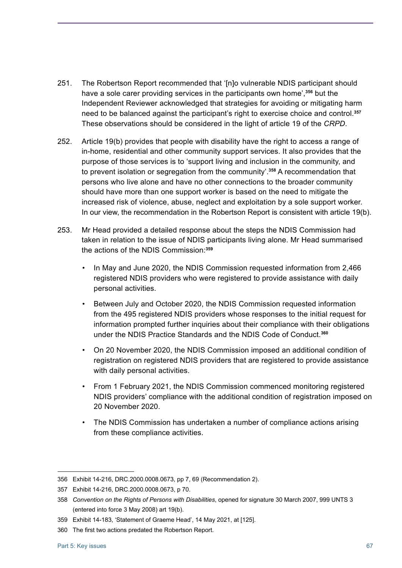- 251. The Robertson Report recommended that '[n]o vulnerable NDIS participant should have a sole carer providing services in the participants own home',**<sup>356</sup>** but the Independent Reviewer acknowledged that strategies for avoiding or mitigating harm need to be balanced against the participant's right to exercise choice and control. **357** These observations should be considered in the light of article 19 of the *CRPD*.
- 252. Article 19(b) provides that people with disability have the right to access a range of in-home, residential and other community support services. It also provides that the purpose of those services is to 'support living and inclusion in the community, and to prevent isolation or segregation from the community'. **<sup>358</sup>** A recommendation that persons who live alone and have no other connections to the broader community should have more than one support worker is based on the need to mitigate the increased risk of violence, abuse, neglect and exploitation by a sole support worker. In our view, the recommendation in the Robertson Report is consistent with article 19(b).
- 253. Mr Head provided a detailed response about the steps the NDIS Commission had taken in relation to the issue of NDIS participants living alone. Mr Head summarised the actions of the NDIS Commission:**<sup>359</sup>**
	- In May and June 2020, the NDIS Commission requested information from 2,466 registered NDIS providers who were registered to provide assistance with daily personal activities.
	- Between July and October 2020, the NDIS Commission requested information from the 495 registered NDIS providers whose responses to the initial request for information prompted further inquiries about their compliance with their obligations under the NDIS Practice Standards and the NDIS Code of Conduct. **360**
	- On 20 November 2020, the NDIS Commission imposed an additional condition of registration on registered NDIS providers that are registered to provide assistance with daily personal activities.
	- From 1 February 2021, the NDIS Commission commenced monitoring registered NDIS providers' compliance with the additional condition of registration imposed on 20 November 2020.
	- The NDIS Commission has undertaken a number of compliance actions arising from these compliance activities.

<sup>356</sup> Exhibit 14-216, DRC.2000.0008.0673, pp 7, 69 (Recommendation 2).

<sup>357</sup> Exhibit 14-216, DRC.2000.0008.0673, p 70.

<sup>358</sup> *Convention on the Rights of Persons with Disabilities*, opened for signature 30 March 2007, 999 UNTS 3 (entered into force 3 May 2008) art 19(b).

<sup>359</sup> Exhibit 14-183, 'Statement of Graeme Head', 14 May 2021, at [125].

<sup>360</sup> The first two actions predated the Robertson Report.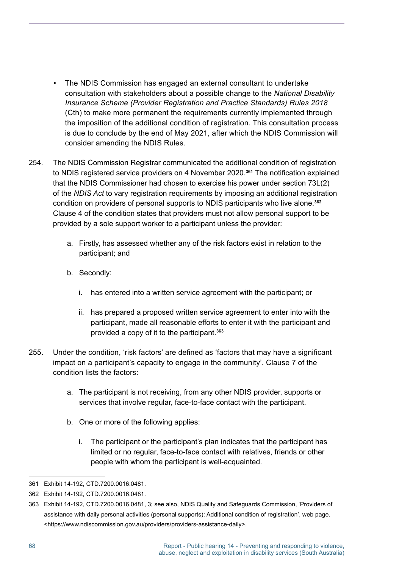- The NDIS Commission has engaged an external consultant to undertake consultation with stakeholders about a possible change to the *National Disability Insurance Scheme (Provider Registration and Practice Standards) Rules 2018*  (Cth) to make more permanent the requirements currently implemented through the imposition of the additional condition of registration. This consultation process is due to conclude by the end of May 2021, after which the NDIS Commission will consider amending the NDIS Rules.
- 254. The NDIS Commission Registrar communicated the additional condition of registration to NDIS registered service providers on 4 November 2020. **<sup>361</sup>** The notification explained that the NDIS Commissioner had chosen to exercise his power under section 73L(2) of the *NDIS Act* to vary registration requirements by imposing an additional registration condition on providers of personal supports to NDIS participants who live alone. **362** Clause 4 of the condition states that providers must not allow personal support to be provided by a sole support worker to a participant unless the provider:
	- a. Firstly, has assessed whether any of the risk factors exist in relation to the participant; and
	- b. Secondly:
		- i. has entered into a written service agreement with the participant; or
		- ii. has prepared a proposed written service agreement to enter into with the participant, made all reasonable efforts to enter it with the participant and provided a copy of it to the participant. **363**
- 255. Under the condition, 'risk factors' are defined as 'factors that may have a significant impact on a participant's capacity to engage in the community'. Clause 7 of the condition lists the factors:
	- a. The participant is not receiving, from any other NDIS provider, supports or services that involve regular, face-to-face contact with the participant.
	- b. One or more of the following applies:
		- i. The participant or the participant's plan indicates that the participant has limited or no regular, face-to-face contact with relatives, friends or other people with whom the participant is well-acquainted.

<sup>361</sup> Exhibit 14-192, CTD.7200.0016.0481.

<sup>362</sup> Exhibit 14-192, CTD.7200.0016.0481.

<sup>363</sup> Exhibit 14-192, CTD.7200.0016.0481, 3; see also, NDIS Quality and Safeguards Commission, 'Providers of assistance with daily personal activities (personal supports): Additional condition of registration', web page. [<https://www.ndiscommission.gov.au/providers/providers-assistance-daily>](https://www.ndiscommission.gov.au/providers/providers-assistance-daily).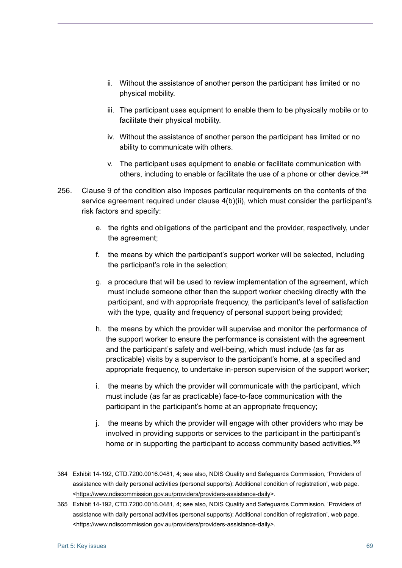- ii. Without the assistance of another person the participant has limited or no physical mobility.
- iii. The participant uses equipment to enable them to be physically mobile or to facilitate their physical mobility.
- iv. Without the assistance of another person the participant has limited or no ability to communicate with others.
- v. The participant uses equipment to enable or facilitate communication with others, including to enable or facilitate the use of a phone or other device. **364**
- 256. Clause 9 of the condition also imposes particular requirements on the contents of the service agreement required under clause 4(b)(ii), which must consider the participant's risk factors and specify:
	- e. the rights and obligations of the participant and the provider, respectively, under the agreement;
	- f. the means by which the participant's support worker will be selected, including the participant's role in the selection;
	- g. a procedure that will be used to review implementation of the agreement, which must include someone other than the support worker checking directly with the participant, and with appropriate frequency, the participant's level of satisfaction with the type, quality and frequency of personal support being provided;
	- h. the means by which the provider will supervise and monitor the performance of the support worker to ensure the performance is consistent with the agreement and the participant's safety and well-being, which must include (as far as practicable) visits by a supervisor to the participant's home, at a specified and appropriate frequency, to undertake in-person supervision of the support worker;
	- i. the means by which the provider will communicate with the participant, which must include (as far as practicable) face-to-face communication with the participant in the participant's home at an appropriate frequency;
	- j. the means by which the provider will engage with other providers who may be involved in providing supports or services to the participant in the participant's home or in supporting the participant to access community based activities. **365**

<sup>364</sup> Exhibit 14-192, CTD.7200.0016.0481, 4; see also, NDIS Quality and Safeguards Commission, 'Providers of assistance with daily personal activities (personal supports): Additional condition of registration', web page. <<https://www.ndiscommission.gov.au/providers/providers-assistance-daily>>.

<sup>365</sup> Exhibit 14-192, CTD.7200.0016.0481, 4; see also, NDIS Quality and Safeguards Commission, 'Providers of assistance with daily personal activities (personal supports): Additional condition of registration', web page. <<https://www.ndiscommission.gov.au/providers/providers-assistance-daily>>.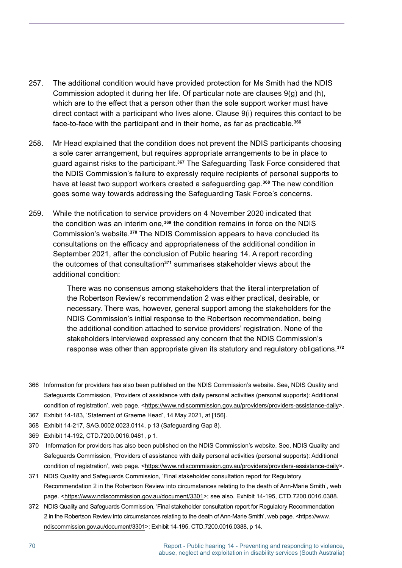- 257. The additional condition would have provided protection for Ms Smith had the NDIS Commission adopted it during her life. Of particular note are clauses 9(g) and (h), which are to the effect that a person other than the sole support worker must have direct contact with a participant who lives alone. Clause 9(i) requires this contact to be face-to-face with the participant and in their home, as far as practicable. **366**
- 258. Mr Head explained that the condition does not prevent the NDIS participants choosing a sole carer arrangement, but requires appropriate arrangements to be in place to guard against risks to the participant. **<sup>367</sup>** The Safeguarding Task Force considered that the NDIS Commission's failure to expressly require recipients of personal supports to have at least two support workers created a safeguarding gap. **<sup>368</sup>** The new condition goes some way towards addressing the Safeguarding Task Force's concerns.
- 259. While the notification to service providers on 4 November 2020 indicated that the condition was an interim one,**<sup>369</sup>** the condition remains in force on the NDIS Commission's website. **<sup>370</sup>** The NDIS Commission appears to have concluded its consultations on the efficacy and appropriateness of the additional condition in September 2021, after the conclusion of Public hearing 14. A report recording the outcomes of that consultation**<sup>371</sup>** summarises stakeholder views about the additional condition:

There was no consensus among stakeholders that the literal interpretation of the Robertson Review's recommendation 2 was either practical, desirable, or necessary. There was, however, general support among the stakeholders for the NDIS Commission's initial response to the Robertson recommendation, being the additional condition attached to service providers' registration. None of the stakeholders interviewed expressed any concern that the NDIS Commission's response was other than appropriate given its statutory and regulatory obligations. **372**

<sup>366</sup> Information for providers has also been published on the NDIS Commission's website. See, NDIS Quality and Safeguards Commission, 'Providers of assistance with daily personal activities (personal supports): Additional condition of registration', web page. <[https://www.ndiscommission.gov.au/providers/providers-assistance-daily>](https://www.ndiscommission.gov.au/providers/providers-assistance-daily).

<sup>367</sup> Exhibit 14-183, 'Statement of Graeme Head', 14 May 2021, at [156].

<sup>368</sup> Exhibit 14-217, SAG.0002.0023.0114, p 13 (Safeguarding Gap 8).

<sup>369</sup> Exhibit 14-192, CTD.7200.0016.0481, p 1.

<sup>370</sup> Information for providers has also been published on the NDIS Commission's website. See, NDIS Quality and Safeguards Commission, 'Providers of assistance with daily personal activities (personal supports): Additional condition of registration', web page. <[https://www.ndiscommission.gov.au/providers/providers-assistance-daily>](https://www.ndiscommission.gov.au/providers/providers-assistance-daily).

<sup>371</sup> NDIS Quality and Safeguards Commission, 'Final stakeholder consultation report for Regulatory Recommendation 2 in the Robertson Review into circumstances relating to the death of Ann-Marie Smith', web page. [<https://www.ndiscommission.gov.au/document/3301](https://www.ndiscommission.gov.au/document/3301)>; see also, Exhibit 14-195, CTD.7200.0016.0388.

<sup>372</sup> NDIS Quality and Safeguards Commission, 'Final stakeholder consultation report for Regulatory Recommendation 2 in the Robertson Review into circumstances relating to the death of Ann-Marie Smith', web page. [<https://www.](https://www.ndiscommission.gov.au/document/3301) [ndiscommission.gov.au/document/3301>](https://www.ndiscommission.gov.au/document/3301); Exhibit 14-195, CTD.7200.0016.0388, p 14.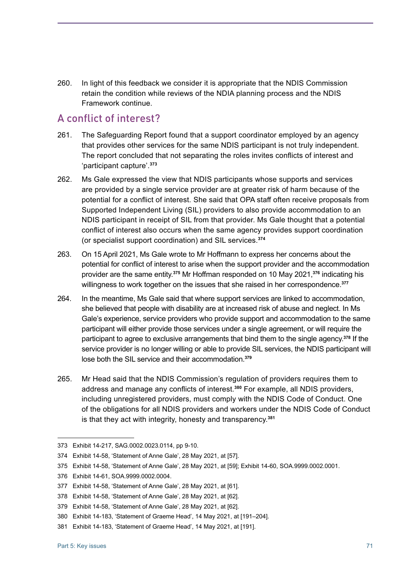260. In light of this feedback we consider it is appropriate that the NDIS Commission retain the condition while reviews of the NDIA planning process and the NDIS Framework continue.

#### A conflict of interest?

- 261. The Safeguarding Report found that a support coordinator employed by an agency that provides other services for the same NDIS participant is not truly independent. The report concluded that not separating the roles invites conflicts of interest and 'participant capture'. **373**
- 262. Ms Gale expressed the view that NDIS participants whose supports and services are provided by a single service provider are at greater risk of harm because of the potential for a conflict of interest. She said that OPA staff often receive proposals from Supported Independent Living (SIL) providers to also provide accommodation to an NDIS participant in receipt of SIL from that provider. Ms Gale thought that a potential conflict of interest also occurs when the same agency provides support coordination (or specialist support coordination) and SIL services. **374**
- 263. On 15 April 2021, Ms Gale wrote to Mr Hoffmann to express her concerns about the potential for conflict of interest to arise when the support provider and the accommodation provider are the same entity.<sup>375</sup> Mr Hoffman responded on 10 May 2021,<sup>376</sup> indicating his willingness to work together on the issues that she raised in her correspondence. **377**
- 264. In the meantime, Ms Gale said that where support services are linked to accommodation, she believed that people with disability are at increased risk of abuse and neglect. In Ms Gale's experience, service providers who provide support and accommodation to the same participant will either provide those services under a single agreement, or will require the participant to agree to exclusive arrangements that bind them to the single agency. **<sup>378</sup>** If the service provider is no longer willing or able to provide SIL services, the NDIS participant will lose both the SIL service and their accommodation. **379**
- 265. Mr Head said that the NDIS Commission's regulation of providers requires them to address and manage any conflicts of interest.**<sup>380</sup>** For example, all NDIS providers, including unregistered providers, must comply with the NDIS Code of Conduct. One of the obligations for all NDIS providers and workers under the NDIS Code of Conduct is that they act with integrity, honesty and transparency. **381**

<sup>373</sup> Exhibit 14-217, SAG.0002.0023.0114, pp 9-10.

<sup>374</sup> Exhibit 14-58, 'Statement of Anne Gale', 28 May 2021, at [57].

<sup>375</sup> Exhibit 14-58, 'Statement of Anne Gale', 28 May 2021, at [59]; Exhibit 14-60, SOA.9999.0002.0001.

<sup>376</sup> Exhibit 14-61, SOA.9999.0002.0004.

<sup>377</sup> Exhibit 14-58, 'Statement of Anne Gale', 28 May 2021, at [61].

<sup>378</sup> Exhibit 14-58, 'Statement of Anne Gale', 28 May 2021, at [62].

<sup>379</sup> Exhibit 14-58, 'Statement of Anne Gale', 28 May 2021, at [62].

<sup>380</sup> Exhibit 14-183, 'Statement of Graeme Head', 14 May 2021, at [191–204].

<sup>381</sup> Exhibit 14-183, 'Statement of Graeme Head', 14 May 2021, at [191].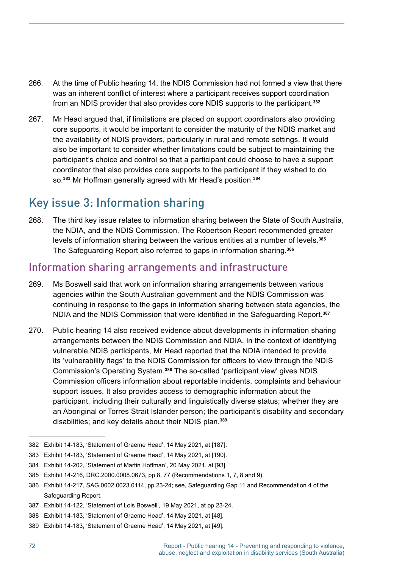- 266. At the time of Public hearing 14, the NDIS Commission had not formed a view that there was an inherent conflict of interest where a participant receives support coordination from an NDIS provider that also provides core NDIS supports to the participant. **382**
- 267. Mr Head argued that, if limitations are placed on support coordinators also providing core supports, it would be important to consider the maturity of the NDIS market and the availability of NDIS providers, particularly in rural and remote settings. It would also be important to consider whether limitations could be subject to maintaining the participant's choice and control so that a participant could choose to have a support coordinator that also provides core supports to the participant if they wished to do so. **<sup>383</sup>** Mr Hoffman generally agreed with Mr Head's position.**<sup>384</sup>**

# Key issue 3: Information sharing

268. The third key issue relates to information sharing between the State of South Australia, the NDIA, and the NDIS Commission. The Robertson Report recommended greater levels of information sharing between the various entities at a number of levels. **385** The Safeguarding Report also referred to gaps in information sharing. **386**

#### Information sharing arrangements and infrastructure

- 269. Ms Boswell said that work on information sharing arrangements between various agencies within the South Australian government and the NDIS Commission was continuing in response to the gaps in information sharing between state agencies, the NDIA and the NDIS Commission that were identified in the Safeguarding Report.**<sup>387</sup>**
- 270. Public hearing 14 also received evidence about developments in information sharing arrangements between the NDIS Commission and NDIA. In the context of identifying vulnerable NDIS participants, Mr Head reported that the NDIA intended to provide its 'vulnerability flags' to the NDIS Commission for officers to view through the NDIS Commission's Operating System. **<sup>388</sup>** The so-called 'participant view' gives NDIS Commission officers information about reportable incidents, complaints and behaviour support issues. It also provides access to demographic information about the participant, including their culturally and linguistically diverse status; whether they are an Aboriginal or Torres Strait Islander person; the participant's disability and secondary disabilities; and key details about their NDIS plan. **389**
- 382 Exhibit 14-183, 'Statement of Graeme Head', 14 May 2021, at [187].
- 383 Exhibit 14-183, 'Statement of Graeme Head', 14 May 2021, at [190].

<sup>384</sup> Exhibit 14-202, 'Statement of Martin Hoffman', 20 May 2021, at [93].

<sup>385</sup> Exhibit 14-216, DRC.2000.0008.0673, pp 8, 77 (Recommendations 1, 7, 8 and 9).

<sup>386</sup> Exhibit 14-217, SAG.0002.0023.0114, pp 23-24; see, Safeguarding Gap 11 and Recommendation 4 of the Safeguarding Report.

<sup>387</sup> Exhibit 14-122, 'Statement of Lois Boswell', 19 May 2021, at pp 23-24.

<sup>388</sup> Exhibit 14-183, 'Statement of Graeme Head', 14 May 2021, at [48].

<sup>389</sup> Exhibit 14-183, 'Statement of Graeme Head', 14 May 2021, at [49].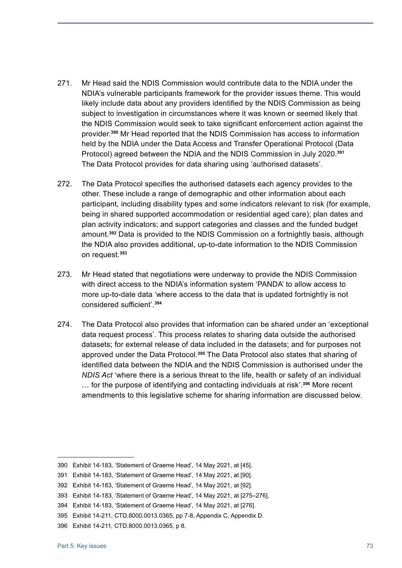- 271. Mr Head said the NDIS Commission would contribute data to the NDIA under the NDIA's vulnerable participants framework for the provider issues theme. This would likely include data about any providers identified by the NDIS Commission as being subject to investigation in circumstances where it was known or seemed likely that the NDIS Commission would seek to take significant enforcement action against the provider. **<sup>390</sup>** Mr Head reported that the NDIS Commission has access to information held by the NDIA under the Data Access and Transfer Operational Protocol (Data Protocol) agreed between the NDIA and the NDIS Commission in July 2020. **391** The Data Protocol provides for data sharing using 'authorised datasets'.
- 272. The Data Protocol specifies the authorised datasets each agency provides to the other. These include a range of demographic and other information about each participant, including disability types and some indicators relevant to risk (for example, being in shared supported accommodation or residential aged care); plan dates and plan activity indicators; and support categories and classes and the funded budget amount. **<sup>392</sup>** Data is provided to the NDIS Commission on a fortnightly basis, although the NDIA also provides additional, up-to-date information to the NDIS Commission on request. **393**
- 273. Mr Head stated that negotiations were underway to provide the NDIS Commission with direct access to the NDIA's information system 'PANDA' to allow access to more up-to-date data 'where access to the data that is updated fortnightly is not considered sufficient'.**<sup>394</sup>**
- 274. The Data Protocol also provides that information can be shared under an 'exceptional data request process'. This process relates to sharing data outside the authorised datasets; for external release of data included in the datasets; and for purposes not approved under the Data Protocol.<sup>395</sup> The Data Protocol also states that sharing of identified data between the NDIA and the NDIS Commission is authorised under the *NDIS Act* 'where there is a serious threat to the life, health or safety of an individual … for the purpose of identifying and contacting individuals at risk'. **<sup>396</sup>** More recent amendments to this legislative scheme for sharing information are discussed below.

<sup>390</sup> Exhibit 14-183, 'Statement of Graeme Head', 14 May 2021, at [45].

<sup>391</sup> Exhibit 14-183, 'Statement of Graeme Head', 14 May 2021, at [90].

<sup>392</sup> Exhibit 14-183, 'Statement of Graeme Head', 14 May 2021, at [92].

<sup>393</sup> Exhibit 14-183, 'Statement of Graeme Head', 14 May 2021, at [275–276].

<sup>394</sup> Exhibit 14-183, 'Statement of Graeme Head', 14 May 2021, at [276].

<sup>395</sup> Exhibit 14-211, CTD.8000.0013.0365, pp 7-8, Appendix C, Appendix D.

<sup>396</sup> Exhibit 14-211, CTD.8000.0013.0365, p 8.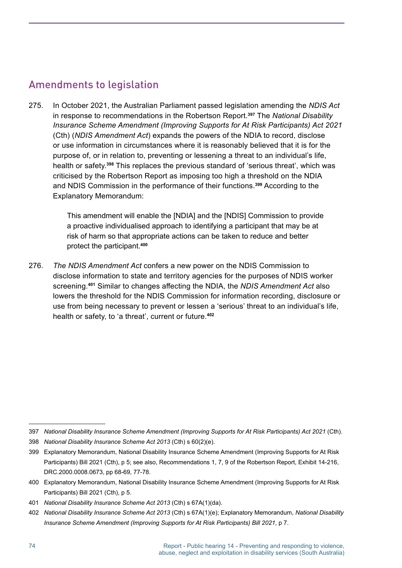#### Amendments to legislation

275. In October 2021, the Australian Parliament passed legislation amending the *NDIS Act*  in response to recommendations in the Robertson Report. **<sup>397</sup>** The *National Disability Insurance Scheme Amendment (Improving Supports for At Risk Participants) Act 2021*  (Cth) (*NDIS Amendment Act*) expands the powers of the NDIA to record, disclose or use information in circumstances where it is reasonably believed that it is for the purpose of, or in relation to, preventing or lessening a threat to an individual's life, health or safety. **<sup>398</sup>** This replaces the previous standard of 'serious threat', which was criticised by the Robertson Report as imposing too high a threshold on the NDIA and NDIS Commission in the performance of their functions. **<sup>399</sup>** According to the Explanatory Memorandum:

> This amendment will enable the [NDIA] and the [NDIS] Commission to provide a proactive individualised approach to identifying a participant that may be at risk of harm so that appropriate actions can be taken to reduce and better protect the participant. **400**

276. *The NDIS Amendment Act* confers a new power on the NDIS Commission to disclose information to state and territory agencies for the purposes of NDIS worker screening. **<sup>401</sup>** Similar to changes affecting the NDIA, the *NDIS Amendment Act* also lowers the threshold for the NDIS Commission for information recording, disclosure or use from being necessary to prevent or lessen a 'serious' threat to an individual's life, health or safety, to 'a threat', current or future. **402**

<sup>397</sup> *National Disability Insurance Scheme Amendment (Improving Supports for At Risk Participants) Act 2021* (Cth).

<sup>398</sup> *National Disability Insurance Scheme Act 2013* (Cth) s 60(2)(e).

<sup>399</sup> Explanatory Memorandum, National Disability Insurance Scheme Amendment (Improving Supports for At Risk Participants) Bill 2021 (Cth), p 5; see also, Recommendations 1, 7, 9 of the Robertson Report, Exhibit 14-216, DRC.2000.0008.0673, pp 68-69, 77-78.

<sup>400</sup> Explanatory Memorandum, National Disability Insurance Scheme Amendment (Improving Supports for At Risk Participants) Bill 2021 (Cth), p 5.

<sup>401</sup> *National Disability Insurance Scheme Act 2013* (Cth) s 67A(1)(da).

<sup>402</sup> *National Disability Insurance Scheme Act 2013* (Cth) s 67A(1)(e); Explanatory Memorandum, *National Disability Insurance Scheme Amendment (Improving Supports for At Risk Participants) Bill 2021*, p 7.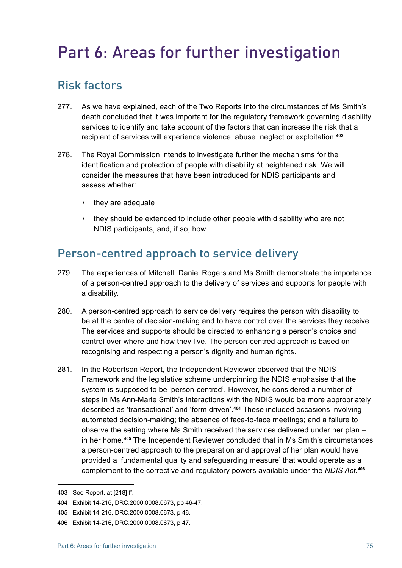# Part 6: Areas for further investigation

# Risk factors

- 277. As we have explained, each of the Two Reports into the circumstances of Ms Smith's death concluded that it was important for the regulatory framework governing disability services to identify and take account of the factors that can increase the risk that a recipient of services will experience violence, abuse, neglect or exploitation. **403**
- 278. The Royal Commission intends to investigate further the mechanisms for the identification and protection of people with disability at heightened risk. We will consider the measures that have been introduced for NDIS participants and assess whether:
	- they are adequate
	- they should be extended to include other people with disability who are not NDIS participants, and, if so, how.

#### Person-centred approach to service delivery

- 279. The experiences of Mitchell, Daniel Rogers and Ms Smith demonstrate the importance of a person-centred approach to the delivery of services and supports for people with a disability.
- 280. A person-centred approach to service delivery requires the person with disability to be at the centre of decision-making and to have control over the services they receive. The services and supports should be directed to enhancing a person's choice and control over where and how they live. The person-centred approach is based on recognising and respecting a person's dignity and human rights.
- 281. In the Robertson Report, the Independent Reviewer observed that the NDIS Framework and the legislative scheme underpinning the NDIS emphasise that the system is supposed to be 'person-centred'. However, he considered a number of steps in Ms Ann-Marie Smith's interactions with the NDIS would be more appropriately described as 'transactional' and 'form driven'. **<sup>404</sup>** These included occasions involving automated decision-making; the absence of face-to-face meetings; and a failure to observe the setting where Ms Smith received the services delivered under her plan – in her home. **<sup>405</sup>** The Independent Reviewer concluded that in Ms Smith's circumstances a person-centred approach to the preparation and approval of her plan would have provided a 'fundamental quality and safeguarding measure' that would operate as a complement to the corrective and regulatory powers available under the *NDIS Act.***<sup>406</sup>**

<sup>403</sup> See Report, at [218] ff.

<sup>404</sup> Exhibit 14-216, DRC.2000.0008.0673, pp 46-47.

<sup>405</sup> Exhibit 14-216, DRC.2000.0008.0673, p 46.

<sup>406</sup> Exhibit 14-216, DRC.2000.0008.0673, p 47.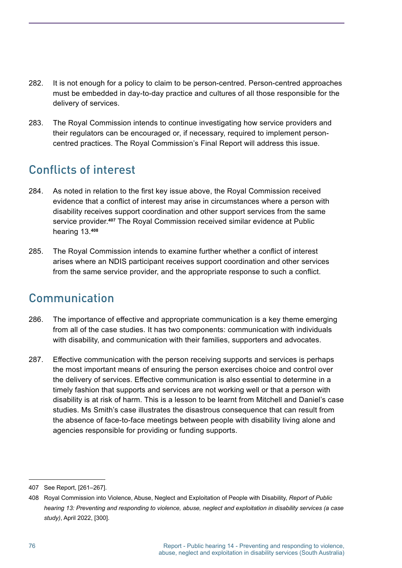- 282. It is not enough for a policy to claim to be person-centred. Person-centred approaches must be embedded in day-to-day practice and cultures of all those responsible for the delivery of services.
- 283. The Royal Commission intends to continue investigating how service providers and their regulators can be encouraged or, if necessary, required to implement personcentred practices. The Royal Commission's Final Report will address this issue.

# Conflicts of interest

- 284. As noted in relation to the first key issue above, the Royal Commission received evidence that a conflict of interest may arise in circumstances where a person with disability receives support coordination and other support services from the same service provider. **<sup>407</sup>** The Royal Commission received similar evidence at Public hearing 13. **408**
- 285. The Royal Commission intends to examine further whether a conflict of interest arises where an NDIS participant receives support coordination and other services from the same service provider, and the appropriate response to such a conflict.

# Communication

- 286. The importance of effective and appropriate communication is a key theme emerging from all of the case studies. It has two components: communication with individuals with disability, and communication with their families, supporters and advocates.
- 287. Effective communication with the person receiving supports and services is perhaps the most important means of ensuring the person exercises choice and control over the delivery of services. Effective communication is also essential to determine in a timely fashion that supports and services are not working well or that a person with disability is at risk of harm. This is a lesson to be learnt from Mitchell and Daniel's case studies. Ms Smith's case illustrates the disastrous consequence that can result from the absence of face-to-face meetings between people with disability living alone and agencies responsible for providing or funding supports.

<sup>407</sup> See Report, [261–267].

<sup>408</sup> Royal Commission into Violence, Abuse, Neglect and Exploitation of People with Disability, *Report of Public hearing 13: Preventing and responding to violence, abuse, neglect and exploitation in disability services (a case study)*, April 2022, [300].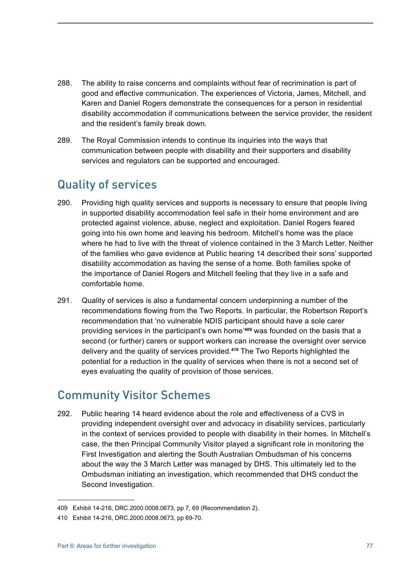- 288. The ability to raise concerns and complaints without fear of recrimination is part of good and effective communication. The experiences of Victoria, James, Mitchell, and Karen and Daniel Rogers demonstrate the consequences for a person in residential disability accommodation if communications between the service provider, the resident and the resident's family break down.
- 289. The Royal Commission intends to continue its inquiries into the ways that communication between people with disability and their supporters and disability services and regulators can be supported and encouraged.

### Quality of services

- 290. Providing high quality services and supports is necessary to ensure that people living in supported disability accommodation feel safe in their home environment and are protected against violence, abuse, neglect and exploitation. Daniel Rogers feared going into his own home and leaving his bedroom. Mitchell's home was the place where he had to live with the threat of violence contained in the 3 March Letter. Neither of the families who gave evidence at Public hearing 14 described their sons' supported disability accommodation as having the sense of a home. Both families spoke of the importance of Daniel Rogers and Mitchell feeling that they live in a safe and comfortable home.
- 291. Quality of services is also a fundamental concern underpinning a number of the recommendations flowing from the Two Reports. In particular, the Robertson Report's recommendation that 'no vulnerable NDIS participant should have a sole carer providing services in the participant's own home'**<sup>409</sup>** was founded on the basis that a second (or further) carers or support workers can increase the oversight over service delivery and the quality of services provided. **<sup>410</sup>** The Two Reports highlighted the potential for a reduction in the quality of services when there is not a second set of eyes evaluating the quality of provision of those services.

#### Community Visitor Schemes

292. Public hearing 14 heard evidence about the role and effectiveness of a CVS in providing independent oversight over and advocacy in disability services, particularly in the context of services provided to people with disability in their homes. In Mitchell's case, the then Principal Community Visitor played a significant role in monitoring the First Investigation and alerting the South Australian Ombudsman of his concerns about the way the 3 March Letter was managed by DHS. This ultimately led to the Ombudsman initiating an investigation, which recommended that DHS conduct the Second Investigation.

<sup>409</sup> Exhibit 14-216, DRC.2000.0008.0673, pp 7, 69 (Recommendation 2).

<sup>410</sup> Exhibit 14-216, DRC.2000.0008.0673, pp 69-70.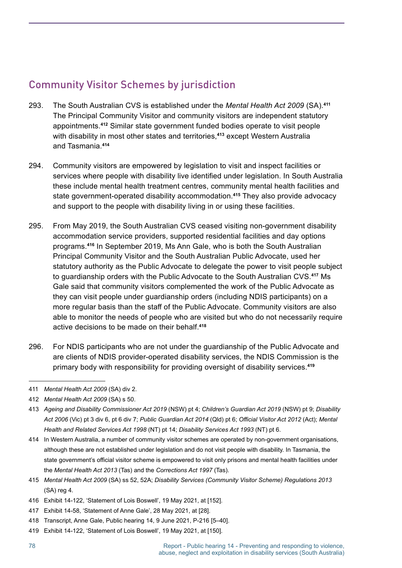#### Community Visitor Schemes by jurisdiction

- 293. The South Australian CVS is established under the *Mental Health Act 2009* (SA). **411** The Principal Community Visitor and community visitors are independent statutory appointments. **<sup>412</sup>** Similar state government funded bodies operate to visit people with disability in most other states and territories,**<sup>413</sup>** except Western Australia and Tasmania. **414**
- 294. Community visitors are empowered by legislation to visit and inspect facilities or services where people with disability live identified under legislation. In South Australia these include mental health treatment centres, community mental health facilities and state government-operated disability accommodation. **<sup>415</sup>** They also provide advocacy and support to the people with disability living in or using these facilities.
- 295. From May 2019, the South Australian CVS ceased visiting non-government disability accommodation service providers, supported residential facilities and day options programs. **<sup>416</sup>** In September 2019, Ms Ann Gale, who is both the South Australian Principal Community Visitor and the South Australian Public Advocate, used her statutory authority as the Public Advocate to delegate the power to visit people subject to guardianship orders with the Public Advocate to the South Australian CVS. **<sup>417</sup>** Ms Gale said that community visitors complemented the work of the Public Advocate as they can visit people under guardianship orders (including NDIS participants) on a more regular basis than the staff of the Public Advocate. Community visitors are also able to monitor the needs of people who are visited but who do not necessarily require active decisions to be made on their behalf. **418**
- 296. For NDIS participants who are not under the guardianship of the Public Advocate and are clients of NDIS provider-operated disability services, the NDIS Commission is the primary body with responsibility for providing oversight of disability services. **419**

- 414 In Western Australia, a number of community visitor schemes are operated by non-government organisations, although these are not established under legislation and do not visit people with disability. In Tasmania, the state government's official visitor scheme is empowered to visit only prisons and mental health facilities under the *Mental Health Act 2013* (Tas) and the *Corrections Act 1997* (Tas).
- 415 *Mental Health Act 2009* (SA) ss 52, 52A; *Disability Services (Community Visitor Scheme) Regulations 2013* (SA) reg 4.
- 416 Exhibit 14-122, 'Statement of Lois Boswell', 19 May 2021, at [152].
- 417 Exhibit 14-58, 'Statement of Anne Gale', 28 May 2021, at [28].
- 418 Transcript, Anne Gale, Public hearing 14, 9 June 2021, P-216 [5–40].
- 419 Exhibit 14-122, 'Statement of Lois Boswell', 19 May 2021, at [150].

<sup>411</sup> *Mental Health Act 2009* (SA) div 2.

<sup>412</sup> *Mental Health Act 2009* (SA) s 50.

<sup>413</sup> *Ageing and Disability Commissioner Act 2019* (NSW) pt 4; *Children's Guardian Act 2019* (NSW) pt 9; *Disability Act 2006* (Vic) pt 3 div 6, pt 6 div 7; *Public Guardian Act 2014* (Qld) pt 6; *Official Visitor Act 2012* (Act); *Mental Health and Related Services Act 1998* (NT) pt 14; *Disability Services Act 1993* (NT) pt 6.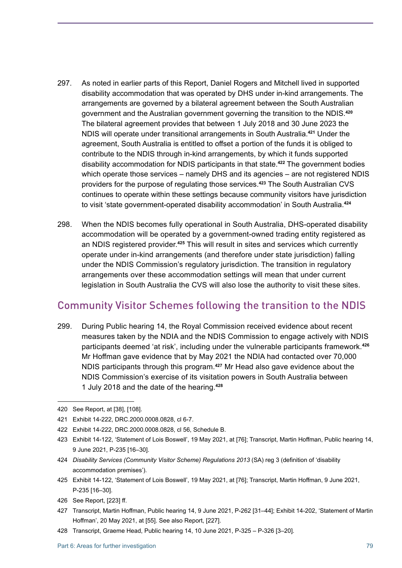- 297. As noted in earlier parts of this Report, Daniel Rogers and Mitchell lived in supported disability accommodation that was operated by DHS under in-kind arrangements. The arrangements are governed by a bilateral agreement between the South Australian government and the Australian government governing the transition to the NDIS. **420** The bilateral agreement provides that between 1 July 2018 and 30 June 2023 the NDIS will operate under transitional arrangements in South Australia. **<sup>421</sup>** Under the agreement, South Australia is entitled to offset a portion of the funds it is obliged to contribute to the NDIS through in-kind arrangements, by which it funds supported disability accommodation for NDIS participants in that state. **<sup>422</sup>** The government bodies which operate those services – namely DHS and its agencies – are not registered NDIS providers for the purpose of regulating those services. **<sup>423</sup>** The South Australian CVS continues to operate within these settings because community visitors have jurisdiction to visit 'state government-operated disability accommodation' in South Australia. **424**
- 298. When the NDIS becomes fully operational in South Australia, DHS-operated disability accommodation will be operated by a government-owned trading entity registered as an NDIS registered provider. **<sup>425</sup>** This will result in sites and services which currently operate under in-kind arrangements (and therefore under state jurisdiction) falling under the NDIS Commission's regulatory jurisdiction. The transition in regulatory arrangements over these accommodation settings will mean that under current legislation in South Australia the CVS will also lose the authority to visit these sites.

#### Community Visitor Schemes following the transition to the NDIS

299. During Public hearing 14, the Royal Commission received evidence about recent measures taken by the NDIA and the NDIS Commission to engage actively with NDIS participants deemed 'at risk', including under the vulnerable participants framework. **426** Mr Hoffman gave evidence that by May 2021 the NDIA had contacted over 70,000 NDIS participants through this program. **<sup>427</sup>** Mr Head also gave evidence about the NDIS Commission's exercise of its visitation powers in South Australia between 1 July 2018 and the date of the hearing. **428**

<sup>420</sup> See Report, at [38], [108].

<sup>421</sup> Exhibit 14-222, DRC.2000.0008.0828, cl 6-7.

<sup>422</sup> Exhibit 14-222, DRC.2000.0008.0828, cl 56, Schedule B.

<sup>423</sup> Exhibit 14-122, 'Statement of Lois Boswell', 19 May 2021, at [76]; Transcript, Martin Hoffman, Public hearing 14, 9 June 2021, P-235 [16–30].

<sup>424</sup> *Disability Services (Community Visitor Scheme) Regulations 2013* (SA) reg 3 (definition of 'disability accommodation premises').

<sup>425</sup> Exhibit 14-122, 'Statement of Lois Boswell', 19 May 2021, at [76]; Transcript, Martin Hoffman, 9 June 2021, P-235 [16–30].

<sup>426</sup> See Report, [223] ff.

<sup>427</sup> Transcript, Martin Hoffman, Public hearing 14, 9 June 2021, P-262 [31–44]; Exhibit 14-202, 'Statement of Martin Hoffman', 20 May 2021, at [55]. See also Report, [227].

<sup>428</sup> Transcript, Graeme Head, Public hearing 14, 10 June 2021, P-325 – P-326 [3–20].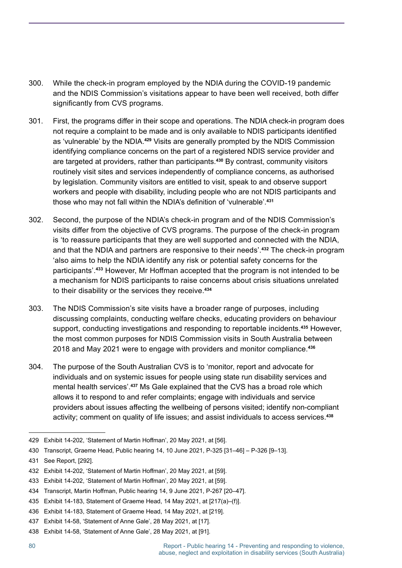- 300. While the check-in program employed by the NDIA during the COVID-19 pandemic and the NDIS Commission's visitations appear to have been well received, both differ significantly from CVS programs.
- 301. First, the programs differ in their scope and operations. The NDIA check-in program does not require a complaint to be made and is only available to NDIS participants identified as 'vulnerable' by the NDIA. **<sup>429</sup>** Visits are generally prompted by the NDIS Commission identifying compliance concerns on the part of a registered NDIS service provider and are targeted at providers, rather than participants. **<sup>430</sup>** By contrast, community visitors routinely visit sites and services independently of compliance concerns, as authorised by legislation. Community visitors are entitled to visit, speak to and observe support workers and people with disability, including people who are not NDIS participants and those who may not fall within the NDIA's definition of 'vulnerable'.**<sup>431</sup>**
- 302. Second, the purpose of the NDIA's check-in program and of the NDIS Commission's visits differ from the objective of CVS programs. The purpose of the check-in program is 'to reassure participants that they are well supported and connected with the NDIA, and that the NDIA and partners are responsive to their needs'. **<sup>432</sup>** The check-in program 'also aims to help the NDIA identify any risk or potential safety concerns for the participants'. **<sup>433</sup>** However, Mr Hoffman accepted that the program is not intended to be a mechanism for NDIS participants to raise concerns about crisis situations unrelated to their disability or the services they receive. **434**
- 303. The NDIS Commission's site visits have a broader range of purposes, including discussing complaints, conducting welfare checks, educating providers on behaviour support, conducting investigations and responding to reportable incidents. **<sup>435</sup>** However, the most common purposes for NDIS Commission visits in South Australia between 2018 and May 2021 were to engage with providers and monitor compliance. **436**
- 304. The purpose of the South Australian CVS is to 'monitor, report and advocate for individuals and on systemic issues for people using state run disability services and mental health services'. **<sup>437</sup>** Ms Gale explained that the CVS has a broad role which allows it to respond to and refer complaints; engage with individuals and service providers about issues affecting the wellbeing of persons visited; identify non-compliant activity; comment on quality of life issues; and assist individuals to access services. **438**

<sup>429</sup> Exhibit 14-202, 'Statement of Martin Hoffman', 20 May 2021, at [56].

<sup>430</sup> Transcript, Graeme Head, Public hearing 14, 10 June 2021, P-325 [31–46] – P-326 [9–13].

<sup>431</sup> See Report, [292].

<sup>432</sup> Exhibit 14-202, 'Statement of Martin Hoffman', 20 May 2021, at [59].

<sup>433</sup> Exhibit 14-202, 'Statement of Martin Hoffman', 20 May 2021, at [59].

<sup>434</sup> Transcript, Martin Hoffman, Public hearing 14, 9 June 2021, P-267 [20–47].

<sup>435</sup> Exhibit 14-183, Statement of Graeme Head, 14 May 2021, at [217(a)–(f)].

<sup>436</sup> Exhibit 14-183, Statement of Graeme Head, 14 May 2021, at [219].

<sup>437</sup> Exhibit 14-58, 'Statement of Anne Gale', 28 May 2021, at [17].

<sup>438</sup> Exhibit 14-58, 'Statement of Anne Gale', 28 May 2021, at [91].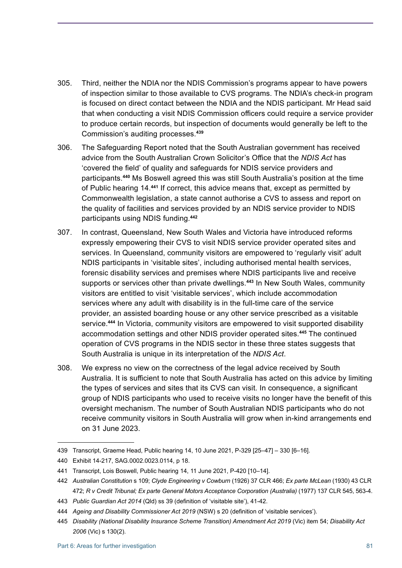- 305. Third, neither the NDIA nor the NDIS Commission's programs appear to have powers of inspection similar to those available to CVS programs. The NDIA's check-in program is focused on direct contact between the NDIA and the NDIS participant. Mr Head said that when conducting a visit NDIS Commission officers could require a service provider to produce certain records, but inspection of documents would generally be left to the Commission's auditing processes. **439**
- 306. The Safeguarding Report noted that the South Australian government has received advice from the South Australian Crown Solicitor's Office that the *NDIS Act* has 'covered the field' of quality and safeguards for NDIS service providers and participants. **<sup>440</sup>** Ms Boswell agreed this was still South Australia's position at the time of Public hearing 14. **<sup>441</sup>** If correct, this advice means that, except as permitted by Commonwealth legislation, a state cannot authorise a CVS to assess and report on the quality of facilities and services provided by an NDIS service provider to NDIS participants using NDIS funding. **442**
- 307. In contrast, Queensland, New South Wales and Victoria have introduced reforms expressly empowering their CVS to visit NDIS service provider operated sites and services. In Queensland, community visitors are empowered to 'regularly visit' adult NDIS participants in 'visitable sites', including authorised mental health services, forensic disability services and premises where NDIS participants live and receive supports or services other than private dwellings. **<sup>443</sup>** In New South Wales, community visitors are entitled to visit 'visitable services', which include accommodation services where any adult with disability is in the full-time care of the service provider, an assisted boarding house or any other service prescribed as a visitable service. **<sup>444</sup>** In Victoria, community visitors are empowered to visit supported disability accommodation settings and other NDIS provider operated sites. **<sup>445</sup>** The continued operation of CVS programs in the NDIS sector in these three states suggests that South Australia is unique in its interpretation of the *NDIS Act*.
- 308. We express no view on the correctness of the legal advice received by South Australia. It is sufficient to note that South Australia has acted on this advice by limiting the types of services and sites that its CVS can visit. In consequence, a significant group of NDIS participants who used to receive visits no longer have the benefit of this oversight mechanism. The number of South Australian NDIS participants who do not receive community visitors in South Australia will grow when in-kind arrangements end on 31 June 2023.

<sup>439</sup> Transcript, Graeme Head, Public hearing 14, 10 June 2021, P-329 [25–47] – 330 [6–16].

<sup>440</sup> Exhibit 14-217, SAG.0002.0023.0114, p 18.

<sup>441</sup> Transcript, Lois Boswell, Public hearing 14, 11 June 2021, P-420 [10–14].

<sup>442</sup> *Australian Constitution* s 109; *Clyde Engineering v Cowburn* (1926) 37 CLR 466; *Ex parte McLean* (1930) 43 CLR 472; *R v Credit Tribunal; Ex parte General Motors Acceptance Corporation (Australia)* (1977) 137 CLR 545, 563-4.

<sup>443</sup> *Public Guardian Act 2014* (Qld) ss 39 (definition of 'visitable site'), 41-42.

<sup>444</sup> *Ageing and Disability Commissioner Act 2019* (NSW) s 20 (definition of 'visitable services').

<sup>445</sup> *Disability (National Disability Insurance Scheme Transition) Amendment Act 2019* (Vic) item 54; *Disability Act 2006* (Vic) s 130(2).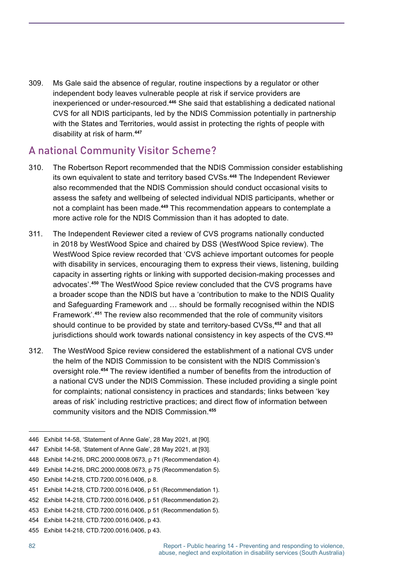309. Ms Gale said the absence of regular, routine inspections by a regulator or other independent body leaves vulnerable people at risk if service providers are inexperienced or under-resourced. **<sup>446</sup>** She said that establishing a dedicated national CVS for all NDIS participants, led by the NDIS Commission potentially in partnership with the States and Territories, would assist in protecting the rights of people with disability at risk of harm. **447**

#### A national Community Visitor Scheme?

- 310. The Robertson Report recommended that the NDIS Commission consider establishing its own equivalent to state and territory based CVSs. **<sup>448</sup>** The Independent Reviewer also recommended that the NDIS Commission should conduct occasional visits to assess the safety and wellbeing of selected individual NDIS participants, whether or not a complaint has been made. **<sup>449</sup>** This recommendation appears to contemplate a more active role for the NDIS Commission than it has adopted to date.
- 311. The Independent Reviewer cited a review of CVS programs nationally conducted in 2018 by WestWood Spice and chaired by DSS (WestWood Spice review). The WestWood Spice review recorded that 'CVS achieve important outcomes for people with disability in services, encouraging them to express their views, listening, building capacity in asserting rights or linking with supported decision-making processes and advocates'. **<sup>450</sup>** The WestWood Spice review concluded that the CVS programs have a broader scope than the NDIS but have a 'contribution to make to the NDIS Quality and Safeguarding Framework and … should be formally recognised within the NDIS Framework'. **<sup>451</sup>** The review also recommended that the role of community visitors should continue to be provided by state and territory-based CVSs,**<sup>452</sup>** and that all jurisdictions should work towards national consistency in key aspects of the CVS. **453**
- 312. The WestWood Spice review considered the establishment of a national CVS under the helm of the NDIS Commission to be consistent with the NDIS Commission's oversight role. **<sup>454</sup>** The review identified a number of benefits from the introduction of a national CVS under the NDIS Commission. These included providing a single point for complaints; national consistency in practices and standards; links between 'key areas of risk' including restrictive practices; and direct flow of information between community visitors and the NDIS Commission. **455**

<sup>446</sup> Exhibit 14-58, 'Statement of Anne Gale', 28 May 2021, at [90].

<sup>447</sup> Exhibit 14-58, 'Statement of Anne Gale', 28 May 2021, at [93].

<sup>448</sup> Exhibit 14-216, DRC.2000.0008.0673, p 71 (Recommendation 4).

<sup>449</sup> Exhibit 14-216, DRC.2000.0008.0673, p 75 (Recommendation 5).

<sup>450</sup> Exhibit 14-218, CTD.7200.0016.0406, p 8.

<sup>451</sup> Exhibit 14-218, CTD.7200.0016.0406, p 51 (Recommendation 1).

<sup>452</sup> Exhibit 14-218, CTD.7200.0016.0406, p 51 (Recommendation 2).

<sup>453</sup> Exhibit 14-218, CTD.7200.0016.0406, p 51 (Recommendation 5).

<sup>454</sup> Exhibit 14-218, CTD.7200.0016.0406, p 43.

<sup>455</sup> Exhibit 14-218, CTD.7200.0016.0406, p 43.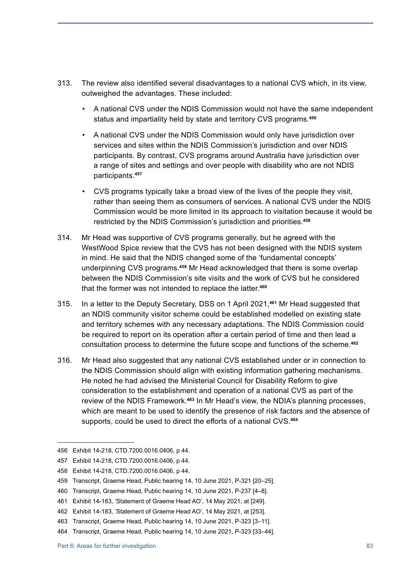- 313. The review also identified several disadvantages to a national CVS which, in its view, outweighed the advantages. These included:
	- A national CVS under the NDIS Commission would not have the same independent status and impartiality held by state and territory CVS programs. **456**
	- A national CVS under the NDIS Commission would only have jurisdiction over services and sites within the NDIS Commission's jurisdiction and over NDIS participants. By contrast, CVS programs around Australia have jurisdiction over a range of sites and settings and over people with disability who are not NDIS participants. **457**
	- CVS programs typically take a broad view of the lives of the people they visit, rather than seeing them as consumers of services. A national CVS under the NDIS Commission would be more limited in its approach to visitation because it would be restricted by the NDIS Commission's jurisdiction and priorities. **458**
- 314. Mr Head was supportive of CVS programs generally, but he agreed with the WestWood Spice review that the CVS has not been designed with the NDIS system in mind. He said that the NDIS changed some of the 'fundamental concepts' underpinning CVS programs. **<sup>459</sup>** Mr Head acknowledged that there is some overlap between the NDIS Commission's site visits and the work of CVS but he considered that the former was not intended to replace the latter. **460**
- 315. In a letter to the Deputy Secretary, DSS on 1 April 2021,**<sup>461</sup>** Mr Head suggested that an NDIS community visitor scheme could be established modelled on existing state and territory schemes with any necessary adaptations. The NDIS Commission could be required to report on its operation after a certain period of time and then lead a consultation process to determine the future scope and functions of the scheme. **462**
- 316. Mr Head also suggested that any national CVS established under or in connection to the NDIS Commission should align with existing information gathering mechanisms. He noted he had advised the Ministerial Council for Disability Reform to give consideration to the establishment and operation of a national CVS as part of the review of the NDIS Framework. **<sup>463</sup>** In Mr Head's view, the NDIA's planning processes, which are meant to be used to identify the presence of risk factors and the absence of supports, could be used to direct the efforts of a national CVS.**<sup>464</sup>**

<sup>456</sup> Exhibit 14-218, CTD.7200.0016.0406, p 44.

<sup>457</sup> Exhibit 14-218, CTD.7200.0016.0406, p 44.

<sup>458</sup> Exhibit 14-218, CTD.7200.0016.0406, p 44.

<sup>459</sup> Transcript, Graeme Head, Public hearing 14, 10 June 2021, P-321 [20–25].

<sup>460</sup> Transcript, Graeme Head, Public hearing 14, 10 June 2021, P-237 [4–8].

<sup>461</sup> Exhibit 14-183, 'Statement of Graeme Head AO', 14 May 2021, at [249].

<sup>462</sup> Exhibit 14-183, 'Statement of Graeme Head AO', 14 May 2021, at [253].

<sup>463</sup> Transcript, Graeme Head, Public hearing 14, 10 June 2021, P-323 [3–11].

<sup>464</sup> Transcript, Graeme Head, Public hearing 14, 10 June 2021, P-323 [33–44].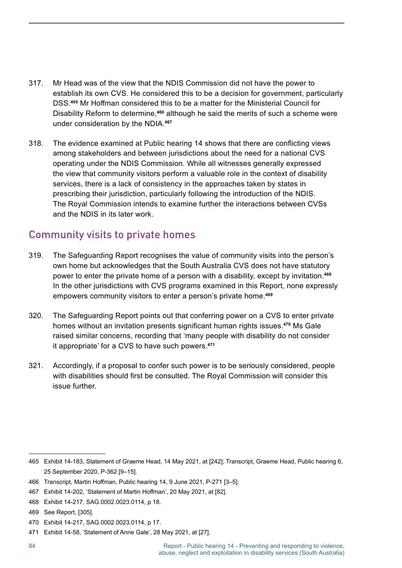- 317. Mr Head was of the view that the NDIS Commission did not have the power to establish its own CVS. He considered this to be a decision for government, particularly DSS. **<sup>465</sup>** Mr Hoffman considered this to be a matter for the Ministerial Council for Disability Reform to determine,**<sup>466</sup>** although he said the merits of such a scheme were under consideration by the NDIA. **467**
- 318. The evidence examined at Public hearing 14 shows that there are conflicting views among stakeholders and between jurisdictions about the need for a national CVS operating under the NDIS Commission. While all witnesses generally expressed the view that community visitors perform a valuable role in the context of disability services, there is a lack of consistency in the approaches taken by states in prescribing their jurisdiction, particularly following the introduction of the NDIS. The Royal Commission intends to examine further the interactions between CVSs and the NDIS in its later work.

#### Community visits to private homes

- 319. The Safeguarding Report recognises the value of community visits into the person's own home but acknowledges that the South Australia CVS does not have statutory power to enter the private home of a person with a disability, except by invitation. **468** In the other jurisdictions with CVS programs examined in this Report, none expressly empowers community visitors to enter a person's private home. **469**
- 320. The Safeguarding Report points out that conferring power on a CVS to enter private homes without an invitation presents significant human rights issues.**<sup>470</sup>** Ms Gale raised similar concerns, recording that 'many people with disability do not consider it appropriate' for a CVS to have such powers. **471**
- 321. Accordingly, if a proposal to confer such power is to be seriously considered, people with disabilities should first be consulted. The Royal Commission will consider this issue further.

<sup>465</sup> Exhibit 14-183, Statement of Graeme Head, 14 May 2021, at [242]; Transcript, Graeme Head, Public hearing 6, 25 September 2020, P-362 [9–15].

<sup>466</sup> Transcript, Martin Hoffman, Public hearing 14, 9 June 2021, P-271 [3–5].

<sup>467</sup> Exhibit 14-202, 'Statement of Martin Hoffman', 20 May 2021, at [82].

<sup>468</sup> Exhibit 14-217, SAG.0002.0023.0114, p 18.

<sup>469</sup> See Report, [305].

<sup>470</sup> Exhibit 14-217, SAG.0002.0023.0114, p 17.

<sup>471</sup> Exhibit 14-58, 'Statement of Anne Gale', 28 May 2021, at [27].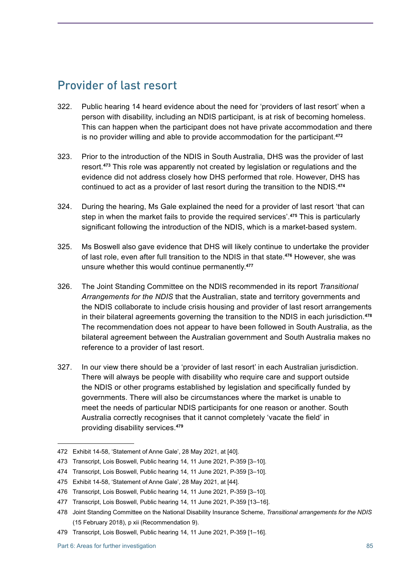#### Provider of last resort

- 322. Public hearing 14 heard evidence about the need for 'providers of last resort' when a person with disability, including an NDIS participant, is at risk of becoming homeless. This can happen when the participant does not have private accommodation and there is no provider willing and able to provide accommodation for the participant. **472**
- 323. Prior to the introduction of the NDIS in South Australia, DHS was the provider of last resort. **<sup>473</sup>** This role was apparently not created by legislation or regulations and the evidence did not address closely how DHS performed that role. However, DHS has continued to act as a provider of last resort during the transition to the NDIS. **474**
- 324. During the hearing, Ms Gale explained the need for a provider of last resort 'that can step in when the market fails to provide the required services'. **<sup>475</sup>** This is particularly significant following the introduction of the NDIS, which is a market-based system.
- 325. Ms Boswell also gave evidence that DHS will likely continue to undertake the provider of last role, even after full transition to the NDIS in that state. **<sup>476</sup>** However, she was unsure whether this would continue permanently. **477**
- 326. The Joint Standing Committee on the NDIS recommended in its report *Transitional Arrangements for the NDIS* that the Australian, state and territory governments and the NDIS collaborate to include crisis housing and provider of last resort arrangements in their bilateral agreements governing the transition to the NDIS in each jurisdiction. **478** The recommendation does not appear to have been followed in South Australia, as the bilateral agreement between the Australian government and South Australia makes no reference to a provider of last resort.
- 327. In our view there should be a 'provider of last resort' in each Australian jurisdiction. There will always be people with disability who require care and support outside the NDIS or other programs established by legislation and specifically funded by governments. There will also be circumstances where the market is unable to meet the needs of particular NDIS participants for one reason or another. South Australia correctly recognises that it cannot completely 'vacate the field' in providing disability services. **479**

<sup>472</sup> Exhibit 14-58, 'Statement of Anne Gale', 28 May 2021, at [40].

<sup>473</sup> Transcript, Lois Boswell, Public hearing 14, 11 June 2021, P-359 [3–10].

<sup>474</sup> Transcript, Lois Boswell, Public hearing 14, 11 June 2021, P-359 [3–10].

<sup>475</sup> Exhibit 14-58, 'Statement of Anne Gale', 28 May 2021, at [44].

<sup>476</sup> Transcript, Lois Boswell, Public hearing 14, 11 June 2021, P-359 [3–10].

<sup>477</sup> Transcript, Lois Boswell, Public hearing 14, 11 June 2021, P-359 [13–16].

<sup>478</sup> Joint Standing Committee on the National Disability Insurance Scheme, *Transitional arrangements for the NDIS*  (15 February 2018), p xii (Recommendation 9).

<sup>479</sup> Transcript, Lois Boswell, Public hearing 14, 11 June 2021, P-359 [1–16].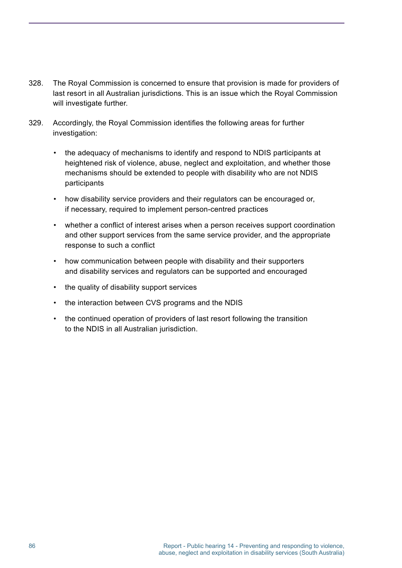- 328. The Royal Commission is concerned to ensure that provision is made for providers of last resort in all Australian jurisdictions. This is an issue which the Royal Commission will investigate further.
- 329. Accordingly, the Royal Commission identifies the following areas for further investigation:
	- the adequacy of mechanisms to identify and respond to NDIS participants at heightened risk of violence, abuse, neglect and exploitation, and whether those mechanisms should be extended to people with disability who are not NDIS participants
	- how disability service providers and their regulators can be encouraged or, if necessary, required to implement person-centred practices
	- whether a conflict of interest arises when a person receives support coordination and other support services from the same service provider, and the appropriate response to such a conflict
	- how communication between people with disability and their supporters and disability services and regulators can be supported and encouraged
	- the quality of disability support services
	- the interaction between CVS programs and the NDIS
	- the continued operation of providers of last resort following the transition to the NDIS in all Australian jurisdiction.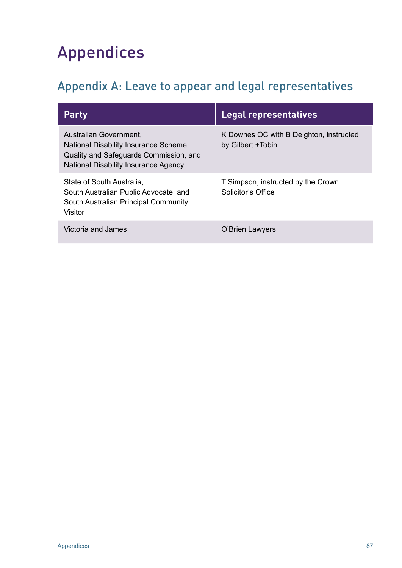# Appendices

# Appendix A: Leave to appear and legal representatives

| <b>Party</b>                                                                                                                                     | Legal representatives                                         |
|--------------------------------------------------------------------------------------------------------------------------------------------------|---------------------------------------------------------------|
| Australian Government,<br>National Disability Insurance Scheme<br>Quality and Safeguards Commission, and<br>National Disability Insurance Agency | K Downes QC with B Deighton, instructed<br>by Gilbert + Tobin |
| State of South Australia,<br>South Australian Public Advocate, and<br>South Australian Principal Community<br>Visitor                            | T Simpson, instructed by the Crown<br>Solicitor's Office      |
| Victoria and James                                                                                                                               | O'Brien Lawyers                                               |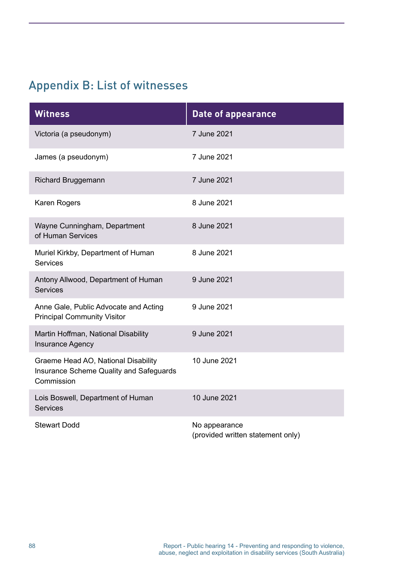# Appendix B: List of witnesses

| <b>Witness</b>                                                                                      | <b>Date of appearance</b>                          |
|-----------------------------------------------------------------------------------------------------|----------------------------------------------------|
| Victoria (a pseudonym)                                                                              | 7 June 2021                                        |
| James (a pseudonym)                                                                                 | 7 June 2021                                        |
| <b>Richard Bruggemann</b>                                                                           | 7 June 2021                                        |
| Karen Rogers                                                                                        | 8 June 2021                                        |
| Wayne Cunningham, Department<br>of Human Services                                                   | 8 June 2021                                        |
| Muriel Kirkby, Department of Human<br><b>Services</b>                                               | 8 June 2021                                        |
| Antony Allwood, Department of Human<br><b>Services</b>                                              | 9 June 2021                                        |
| Anne Gale, Public Advocate and Acting<br><b>Principal Community Visitor</b>                         | 9 June 2021                                        |
| Martin Hoffman, National Disability<br><b>Insurance Agency</b>                                      | 9 June 2021                                        |
| Graeme Head AO, National Disability<br><b>Insurance Scheme Quality and Safeguards</b><br>Commission | 10 June 2021                                       |
| Lois Boswell, Department of Human<br><b>Services</b>                                                | 10 June 2021                                       |
| <b>Stewart Dodd</b>                                                                                 | No appearance<br>(provided written statement only) |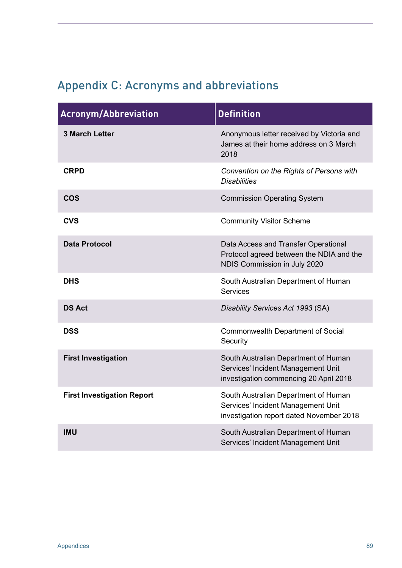# Appendix C: Acronyms and abbreviations

| <b>Acronym/Abbreviation</b>       | <b>Definition</b>                                                                                                      |
|-----------------------------------|------------------------------------------------------------------------------------------------------------------------|
| <b>3 March Letter</b>             | Anonymous letter received by Victoria and<br>James at their home address on 3 March<br>2018                            |
| <b>CRPD</b>                       | Convention on the Rights of Persons with<br><b>Disabilities</b>                                                        |
| <b>COS</b>                        | <b>Commission Operating System</b>                                                                                     |
| <b>CVS</b>                        | <b>Community Visitor Scheme</b>                                                                                        |
| <b>Data Protocol</b>              | Data Access and Transfer Operational<br>Protocol agreed between the NDIA and the<br>NDIS Commission in July 2020       |
| <b>DHS</b>                        | South Australian Department of Human<br><b>Services</b>                                                                |
| <b>DS Act</b>                     | Disability Services Act 1993 (SA)                                                                                      |
| <b>DSS</b>                        | <b>Commonwealth Department of Social</b><br>Security                                                                   |
| <b>First Investigation</b>        | South Australian Department of Human<br>Services' Incident Management Unit<br>investigation commencing 20 April 2018   |
| <b>First Investigation Report</b> | South Australian Department of Human<br>Services' Incident Management Unit<br>investigation report dated November 2018 |
| <b>IMU</b>                        | South Australian Department of Human<br>Services' Incident Management Unit                                             |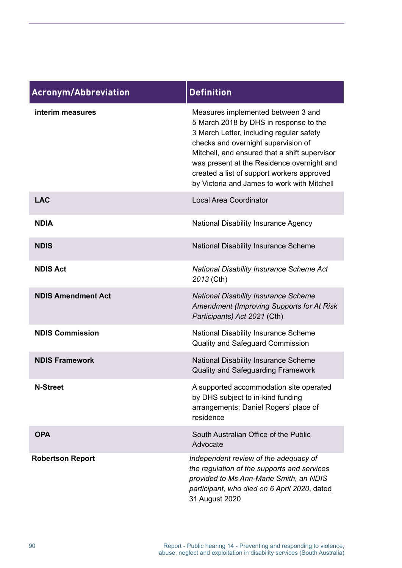| <b>Acronym/Abbreviation</b> | <b>Definition</b>                                                                                                                                                                                                                                                                                                                                           |
|-----------------------------|-------------------------------------------------------------------------------------------------------------------------------------------------------------------------------------------------------------------------------------------------------------------------------------------------------------------------------------------------------------|
| interim measures            | Measures implemented between 3 and<br>5 March 2018 by DHS in response to the<br>3 March Letter, including regular safety<br>checks and overnight supervision of<br>Mitchell, and ensured that a shift supervisor<br>was present at the Residence overnight and<br>created a list of support workers approved<br>by Victoria and James to work with Mitchell |
| <b>LAC</b>                  | <b>Local Area Coordinator</b>                                                                                                                                                                                                                                                                                                                               |
| <b>NDIA</b>                 | <b>National Disability Insurance Agency</b>                                                                                                                                                                                                                                                                                                                 |
| <b>NDIS</b>                 | National Disability Insurance Scheme                                                                                                                                                                                                                                                                                                                        |
| <b>NDIS Act</b>             | <b>National Disability Insurance Scheme Act</b><br>2013 (Cth)                                                                                                                                                                                                                                                                                               |
| <b>NDIS Amendment Act</b>   | <b>National Disability Insurance Scheme</b><br><b>Amendment (Improving Supports for At Risk</b><br>Participants) Act 2021 (Cth)                                                                                                                                                                                                                             |
| <b>NDIS Commission</b>      | <b>National Disability Insurance Scheme</b><br><b>Quality and Safeguard Commission</b>                                                                                                                                                                                                                                                                      |
| <b>NDIS Framework</b>       | National Disability Insurance Scheme<br><b>Quality and Safeguarding Framework</b>                                                                                                                                                                                                                                                                           |
| <b>N-Street</b>             | A supported accommodation site operated<br>by DHS subject to in-kind funding<br>arrangements; Daniel Rogers' place of<br>residence                                                                                                                                                                                                                          |
| <b>OPA</b>                  | South Australian Office of the Public<br>Advocate                                                                                                                                                                                                                                                                                                           |
| <b>Robertson Report</b>     | Independent review of the adequacy of<br>the regulation of the supports and services<br>provided to Ms Ann-Marie Smith, an NDIS<br>participant, who died on 6 April 2020, dated<br>31 August 2020                                                                                                                                                           |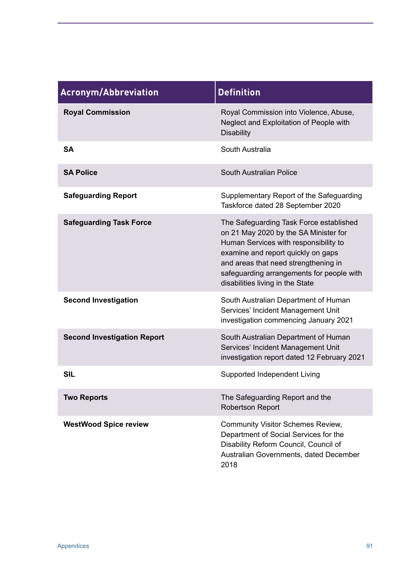| <b>Acronym/Abbreviation</b>        | <b>Definition</b>                                                                                                                                                                                                                                                                        |
|------------------------------------|------------------------------------------------------------------------------------------------------------------------------------------------------------------------------------------------------------------------------------------------------------------------------------------|
| <b>Royal Commission</b>            | Royal Commission into Violence, Abuse,<br>Neglect and Exploitation of People with<br><b>Disability</b>                                                                                                                                                                                   |
| <b>SA</b>                          | South Australia                                                                                                                                                                                                                                                                          |
| <b>SA Police</b>                   | South Australian Police                                                                                                                                                                                                                                                                  |
| <b>Safeguarding Report</b>         | Supplementary Report of the Safeguarding<br>Taskforce dated 28 September 2020                                                                                                                                                                                                            |
| <b>Safeguarding Task Force</b>     | The Safeguarding Task Force established<br>on 21 May 2020 by the SA Minister for<br>Human Services with responsibility to<br>examine and report quickly on gaps<br>and areas that need strengthening in<br>safeguarding arrangements for people with<br>disabilities living in the State |
| <b>Second Investigation</b>        | South Australian Department of Human<br>Services' Incident Management Unit<br>investigation commencing January 2021                                                                                                                                                                      |
| <b>Second Investigation Report</b> | South Australian Department of Human<br>Services' Incident Management Unit<br>investigation report dated 12 February 2021                                                                                                                                                                |
| <b>SIL</b>                         | Supported Independent Living                                                                                                                                                                                                                                                             |
| <b>Two Reports</b>                 | The Safeguarding Report and the<br><b>Robertson Report</b>                                                                                                                                                                                                                               |
| <b>WestWood Spice review</b>       | <b>Community Visitor Schemes Review,</b><br>Department of Social Services for the<br>Disability Reform Council, Council of<br>Australian Governments, dated December<br>2018                                                                                                             |